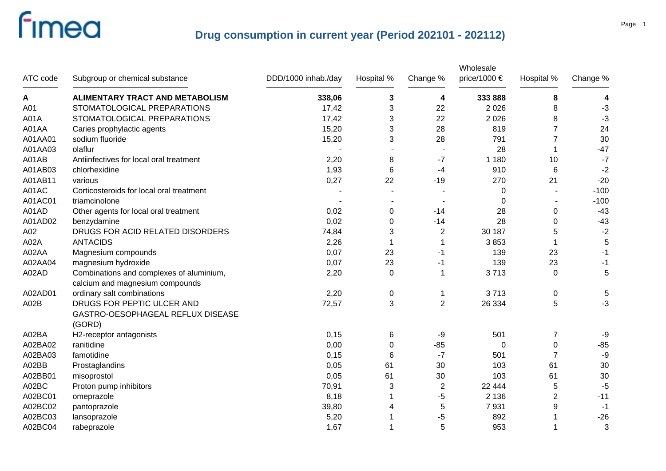| ATC code | Subgroup or chemical substance                                              | DDD/1000 inhab./day | Hospital % | Change %       | Wholesale<br>price/1000 € | Hospital %     | Change % |
|----------|-----------------------------------------------------------------------------|---------------------|------------|----------------|---------------------------|----------------|----------|
| Α        | ALIMENTARY TRACT AND METABOLISM                                             | 338,06              | 3          | 4              | 333 888                   | 8              | 4        |
| A01      | STOMATOLOGICAL PREPARATIONS                                                 | 17,42               | 3          | 22             | 2 0 2 6                   | 8              | $-3$     |
| A01A     | STOMATOLOGICAL PREPARATIONS                                                 | 17,42               | 3          | 22             | 2 0 2 6                   | 8              | $-3$     |
| A01AA    | Caries prophylactic agents                                                  | 15,20               | 3          | 28             | 819                       | $\overline{7}$ | 24       |
| A01AA01  | sodium fluoride                                                             | 15,20               | 3          | 28             | 791                       | $\overline{7}$ | 30       |
| A01AA03  | olaflur                                                                     |                     |            |                | 28                        | 1              | $-47$    |
| A01AB    | Antiinfectives for local oral treatment                                     | 2,20                | 8          | $-7$           | 1 1 8 0                   | 10             | $-7$     |
| A01AB03  | chlorhexidine                                                               | 1,93                | 6          | $-4$           | 910                       | 6              | $-2$     |
| A01AB11  | various                                                                     | 0,27                | 22         | $-19$          | 270                       | 21             | $-20$    |
| A01AC    | Corticosteroids for local oral treatment                                    |                     |            |                | 0                         |                | $-100$   |
| A01AC01  | triamcinolone                                                               |                     |            |                | 0                         |                | $-100$   |
| A01AD    | Other agents for local oral treatment                                       | 0,02                | 0          | $-14$          | 28                        | 0              | $-43$    |
| A01AD02  | benzydamine                                                                 | 0,02                | 0          | $-14$          | 28                        | 0              | $-43$    |
| A02      | DRUGS FOR ACID RELATED DISORDERS                                            | 74,84               | 3          | $\overline{2}$ | 30 187                    | 5              | $-2$     |
| A02A     | <b>ANTACIDS</b>                                                             | 2,26                | -1         | -1             | 3853                      | 1              | 5        |
| A02AA    | Magnesium compounds                                                         | 0,07                | 23         | -1             | 139                       | 23             | $-1$     |
| A02AA04  | magnesium hydroxide                                                         | 0,07                | 23         | $-1$           | 139                       | 23             | $-1$     |
| A02AD    | Combinations and complexes of aluminium,<br>calcium and magnesium compounds | 2,20                | $\Omega$   | $\mathbf 1$    | 3713                      | $\Omega$       | 5        |
| A02AD01  | ordinary salt combinations                                                  | 2,20                | 0          | 1              | 3713                      | $\mathbf 0$    | 5        |
| A02B     | DRUGS FOR PEPTIC ULCER AND                                                  | 72,57               | 3          | $\overline{2}$ | 26 334                    | 5              | $-3$     |
|          | GASTRO-OESOPHAGEAL REFLUX DISEASE<br>(GORD)                                 |                     |            |                |                           |                |          |
| A02BA    | H2-receptor antagonists                                                     | 0,15                | 6          | -9             | 501                       | $\overline{7}$ | -9       |
| A02BA02  | ranitidine                                                                  | 0,00                | $\Omega$   | $-85$          | 0                         | 0              | $-85$    |
| A02BA03  | famotidine                                                                  | 0,15                | 6          | $-7$           | 501                       | $\overline{7}$ | -9       |
| A02BB    | Prostaglandins                                                              | 0,05                | 61         | 30             | 103                       | 61             | 30       |
| A02BB01  | misoprostol                                                                 | 0,05                | 61         | 30             | 103                       | 61             | 30       |
| A02BC    | Proton pump inhibitors                                                      | 70,91               | 3          | $\overline{2}$ | 22 444                    | 5              | $-5$     |
| A02BC01  | omeprazole                                                                  | 8,18                | 1          | -5             | 2 1 3 6                   | $\overline{c}$ | $-11$    |
| A02BC02  | pantoprazole                                                                | 39,80               | 4          | 5              | 7931                      | 9              | $-1$     |
| A02BC03  | lansoprazole                                                                | 5,20                |            | -5             | 892                       |                | $-26$    |
| A02BC04  | rabeprazole                                                                 | 1,67                |            | 5              | 953                       |                | 3        |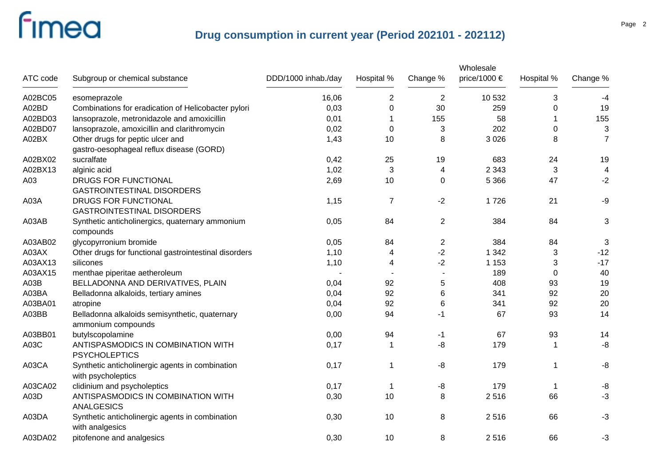|          |                                                                       |                     |                |                 | Wholesale    |             |                          |
|----------|-----------------------------------------------------------------------|---------------------|----------------|-----------------|--------------|-------------|--------------------------|
| ATC code | Subgroup or chemical substance                                        | DDD/1000 inhab./day | Hospital %     | Change %        | price/1000 € | Hospital %  | Change %                 |
| A02BC05  | esomeprazole                                                          | 16,06               | $\overline{2}$ | 2               | 10 532       | 3           | -4                       |
| A02BD    | Combinations for eradication of Helicobacter pylori                   | 0,03                | $\Omega$       | 30              | 259          | $\Omega$    | 19                       |
| A02BD03  | lansoprazole, metronidazole and amoxicillin                           | 0,01                |                | 155             | 58           |             | 155                      |
| A02BD07  | lansoprazole, amoxicillin and clarithromycin                          | 0,02                | 0              | 3               | 202          | 0           | $\sqrt{3}$               |
| A02BX    | Other drugs for peptic ulcer and                                      | 1,43                | 10             | 8               | 3 0 2 6      | 8           | $\overline{7}$           |
|          | gastro-oesophageal reflux disease (GORD)                              |                     |                |                 |              |             |                          |
| A02BX02  | sucralfate                                                            | 0,42                | 25             | 19              | 683          | 24          | 19                       |
| A02BX13  | alginic acid                                                          | 1,02                | 3              | 4               | 2 3 4 3      | 3           | $\overline{\mathcal{A}}$ |
| A03      | DRUGS FOR FUNCTIONAL<br><b>GASTROINTESTINAL DISORDERS</b>             | 2,69                | 10             | $\mathbf 0$     | 5 3 6 6      | 47          | $-2$                     |
| A03A     | DRUGS FOR FUNCTIONAL<br><b>GASTROINTESTINAL DISORDERS</b>             | 1,15                | $\overline{7}$ | $-2$            | 1726         | 21          | $-9$                     |
| A03AB    | Synthetic anticholinergics, quaternary ammonium<br>compounds          | 0,05                | 84             | $\overline{2}$  | 384          | 84          | 3                        |
| A03AB02  | glycopyrronium bromide                                                | 0,05                | 84             | $\overline{2}$  | 384          | 84          | 3                        |
| A03AX    | Other drugs for functional gastrointestinal disorders                 | 1,10                | 4              | $-2$            | 1 3 4 2      | 3           | $-12$                    |
| A03AX13  | silicones                                                             | 1,10                | 4              | $-2$            | 1 1 5 3      | 3           | $-17$                    |
| A03AX15  | menthae piperitae aetheroleum                                         |                     |                |                 | 189          | 0           | 40                       |
| A03B     | BELLADONNA AND DERIVATIVES, PLAIN                                     | 0,04                | 92             | 5               | 408          | 93          | 19                       |
| A03BA    | Belladonna alkaloids, tertiary amines                                 | 0,04                | 92             | 6               | 341          | 92          | 20                       |
| A03BA01  | atropine                                                              | 0,04                | 92             | $6\phantom{1}6$ | 341          | 92          | 20                       |
| A03BB    | Belladonna alkaloids semisynthetic, quaternary<br>ammonium compounds  | 0,00                | 94             | $-1$            | 67           | 93          | 14                       |
| A03BB01  | butylscopolamine                                                      | 0,00                | 94             | -1              | 67           | 93          | 14                       |
| A03C     | ANTISPASMODICS IN COMBINATION WITH<br><b>PSYCHOLEPTICS</b>            | 0,17                | $\mathbf 1$    | -8              | 179          | -1          | -8                       |
| A03CA    | Synthetic anticholinergic agents in combination<br>with psycholeptics | 0,17                | 1              | -8              | 179          | -1          | -8                       |
| A03CA02  | clidinium and psycholeptics                                           | 0,17                | $\mathbf 1$    | -8              | 179          | $\mathbf 1$ | -8                       |
| A03D     | ANTISPASMODICS IN COMBINATION WITH<br><b>ANALGESICS</b>               | 0,30                | 10             | 8               | 2516         | 66          | $-3$                     |
| A03DA    | Synthetic anticholinergic agents in combination<br>with analgesics    | 0,30                | 10             | 8               | 2516         | 66          | $-3$                     |
| A03DA02  | pitofenone and analgesics                                             | 0,30                | 10             | 8               | 2516         | 66          | $-3$                     |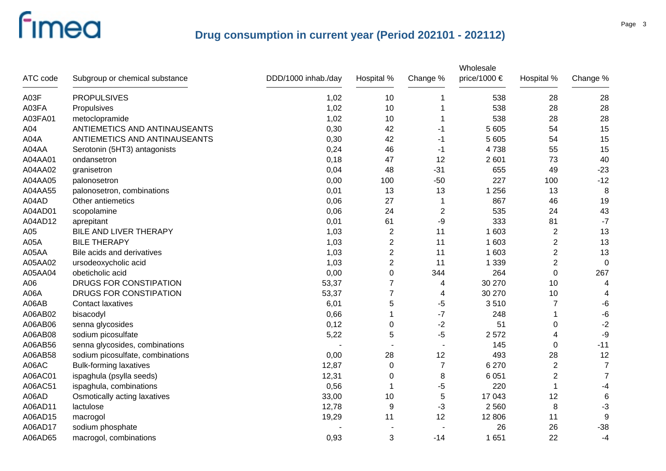|          |                                  |                     |                         |                | Wholesale    |                  |                |
|----------|----------------------------------|---------------------|-------------------------|----------------|--------------|------------------|----------------|
| ATC code | Subgroup or chemical substance   | DDD/1000 inhab./day | Hospital %              | Change %       | price/1000 € | Hospital %       | Change %       |
| A03F     | <b>PROPULSIVES</b>               | 1,02                | 10                      |                | 538          | 28               | 28             |
| A03FA    | Propulsives                      | 1,02                | 10                      |                | 538          | 28               | 28             |
| A03FA01  | metoclopramide                   | 1,02                | 10                      | 1              | 538          | 28               | 28             |
| A04      | ANTIEMETICS AND ANTINAUSEANTS    | 0,30                | 42                      | -1             | 5 605        | 54               | 15             |
| A04A     | ANTIEMETICS AND ANTINAUSEANTS    | 0,30                | 42                      | -1             | 5 6 0 5      | 54               | 15             |
| A04AA    | Serotonin (5HT3) antagonists     | 0,24                | 46                      | -1             | 4738         | 55               | 15             |
| A04AA01  | ondansetron                      | 0,18                | 47                      | 12             | 2 601        | 73               | 40             |
| A04AA02  | granisetron                      | 0,04                | 48                      | $-31$          | 655          | 49               | $-23$          |
| A04AA05  | palonosetron                     | 0,00                | 100                     | $-50$          | 227          | 100              | $-12$          |
| A04AA55  | palonosetron, combinations       | 0,01                | 13                      | 13             | 1 2 5 6      | 13               | 8              |
| A04AD    | Other antiemetics                | 0,06                | 27                      | 1              | 867          | 46               | 19             |
| A04AD01  | scopolamine                      | 0,06                | 24                      | $\overline{c}$ | 535          | 24               | 43             |
| A04AD12  | aprepitant                       | 0,01                | 61                      | -9             | 333          | 81               | $-7$           |
| A05      | BILE AND LIVER THERAPY           | 1,03                | $\overline{c}$          | 11             | 1 603        | $\boldsymbol{2}$ | 13             |
| A05A     | <b>BILE THERAPY</b>              | 1,03                | $\overline{c}$          | 11             | 1 603        | $\overline{c}$   | 13             |
| A05AA    | Bile acids and derivatives       | 1,03                | $\overline{c}$          | 11             | 1 603        | $\overline{c}$   | 13             |
| A05AA02  | ursodeoxycholic acid             | 1,03                | $\overline{\mathbf{c}}$ | 11             | 1 3 3 9      | $\overline{c}$   | 0              |
| A05AA04  | obeticholic acid                 | 0,00                | 0                       | 344            | 264          | 0                | 267            |
| A06      | DRUGS FOR CONSTIPATION           | 53,37               | 7                       | 4              | 30 270       | 10               | 4              |
| A06A     | DRUGS FOR CONSTIPATION           | 53,37               | 7                       | 4              | 30 270       | 10               | 4              |
| A06AB    | <b>Contact laxatives</b>         | 6,01                | 5                       | -5             | 3510         | $\overline{7}$   | $-6$           |
| A06AB02  | bisacodyl                        | 0,66                |                         | $-7$           | 248          | 1                | $-6$           |
| A06AB06  | senna glycosides                 | 0,12                | 0                       | $-2$           | 51           | 0                | $-2$           |
| A06AB08  | sodium picosulfate               | 5,22                | 5                       | $-5$           | 2572         | 4                | -9             |
| A06AB56  | senna glycosides, combinations   |                     |                         |                | 145          | 0                | $-11$          |
| A06AB58  | sodium picosulfate, combinations | 0,00                | 28                      | 12             | 493          | 28               | 12             |
| A06AC    | <b>Bulk-forming laxatives</b>    | 12,87               | $\mathbf 0$             | $\overline{7}$ | 6 2 7 0      | $\overline{2}$   | $\overline{7}$ |
| A06AC01  | ispaghula (psylla seeds)         | 12,31               | $\Omega$                | 8              | 6 0 5 1      | $\overline{2}$   | $\overline{7}$ |
| A06AC51  | ispaghula, combinations          | 0,56                |                         | -5             | 220          | 1                | $-4$           |
| A06AD    | Osmotically acting laxatives     | 33,00               | 10                      | 5              | 17 043       | 12               | $\,6$          |
| A06AD11  | lactulose                        | 12,78               | 9                       | -3             | 2 5 6 0      | 8                | $-3$           |
| A06AD15  | macrogol                         | 19,29               | 11                      | 12             | 12 806       | 11               | 9              |
| A06AD17  | sodium phosphate                 |                     |                         |                | 26           | 26               | $-38$          |
| A06AD65  | macrogol, combinations           | 0,93                | 3                       | $-14$          | 1 651        | 22               | $-4$           |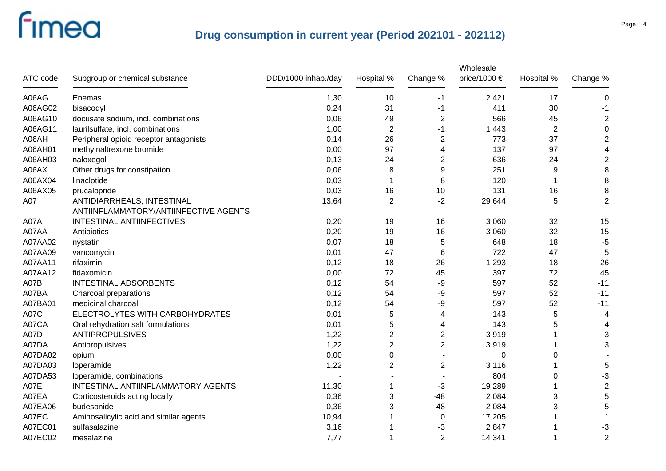|             |                                                                     |                     |                |                | Wholesale    |             |                |
|-------------|---------------------------------------------------------------------|---------------------|----------------|----------------|--------------|-------------|----------------|
| ATC code    | Subgroup or chemical substance                                      | DDD/1000 inhab./day | Hospital %     | Change %       | price/1000 € | Hospital %  | Change %       |
| A06AG       | Enemas                                                              | 1,30                | 10             | -1             | 2 4 21       | 17          | 0              |
| A06AG02     | bisacodyl                                                           | 0,24                | 31             | -1             | 411          | 30          | -1             |
| A06AG10     | docusate sodium, incl. combinations                                 | 0,06                | 49             | $\overline{2}$ | 566          | 45          | $\overline{2}$ |
| A06AG11     | laurilsulfate, incl. combinations                                   | 1,00                | $\overline{2}$ | -1             | 1 4 4 3      | $\mathbf 2$ | $\mathbf 0$    |
| A06AH       | Peripheral opioid receptor antagonists                              | 0,14                | 26             | $\overline{2}$ | 773          | 37          | $\overline{2}$ |
| A06AH01     | methylnaltrexone bromide                                            | 0,00                | 97             | 4              | 137          | 97          | 4              |
| A06AH03     | naloxegol                                                           | 0,13                | 24             | $\overline{2}$ | 636          | 24          | $\overline{2}$ |
| A06AX       | Other drugs for constipation                                        | 0,06                | 8              | 9              | 251          | 9           | 8              |
| A06AX04     | linaclotide                                                         | 0,03                |                | 8              | 120          | 1           | 8              |
| A06AX05     | prucalopride                                                        | 0,03                | 16             | 10             | 131          | 16          | 8              |
| A07         | ANTIDIARRHEALS, INTESTINAL<br>ANTIINFLAMMATORY/ANTIINFECTIVE AGENTS | 13,64               | $\overline{2}$ | $-2$           | 29 644       | 5           | $\overline{2}$ |
| A07A        | INTESTINAL ANTIINFECTIVES                                           | 0,20                | 19             | 16             | 3 0 6 0      | 32          | 15             |
| A07AA       | Antibiotics                                                         | 0,20                | 19             | 16             | 3 0 6 0      | 32          | 15             |
| A07AA02     | nystatin                                                            | 0,07                | 18             | 5              | 648          | 18          | $-5$           |
| A07AA09     | vancomycin                                                          | 0,01                | 47             | 6              | 722          | 47          | 5              |
| A07AA11     | rifaximin                                                           | 0,12                | 18             | 26             | 1 2 9 3      | 18          | 26             |
| A07AA12     | fidaxomicin                                                         | 0,00                | 72             | 45             | 397          | 72          | 45             |
| A07B        | INTESTINAL ADSORBENTS                                               | 0,12                | 54             | -9             | 597          | 52          | $-11$          |
| A07BA       | Charcoal preparations                                               | 0,12                | 54             | -9             | 597          | 52          | $-11$          |
| A07BA01     | medicinal charcoal                                                  | 0,12                | 54             | -9             | 597          | 52          | $-11$          |
| <b>A07C</b> | ELECTROLYTES WITH CARBOHYDRATES                                     | 0,01                | 5              | 4              | 143          | 5           | 4              |
| A07CA       | Oral rehydration salt formulations                                  | 0,01                | 5              | 4              | 143          | 5           | 4              |
| <b>A07D</b> | <b>ANTIPROPULSIVES</b>                                              | 1,22                | 2              | $\overline{2}$ | 3919         | 1           | 3              |
| A07DA       | Antipropulsives                                                     | 1,22                | $\overline{2}$ | $\overline{2}$ | 3919         | 1           | 3              |
| A07DA02     | opium                                                               | 0,00                | 0              | $\overline{a}$ | $\Omega$     | 0           |                |
| A07DA03     | loperamide                                                          | 1,22                | 2              | 2              | 3 1 1 6      |             | 5              |
| A07DA53     | loperamide, combinations                                            |                     |                |                | 804          | 0           | $-3$           |
| A07E        | INTESTINAL ANTIINFLAMMATORY AGENTS                                  | 11,30               |                | $-3$           | 19 289       | 1           | $\overline{2}$ |
| A07EA       | Corticosteroids acting locally                                      | 0,36                | 3              | $-48$          | 2 0 8 4      | 3           | 5              |
| A07EA06     | budesonide                                                          | 0,36                | 3              | $-48$          | 2 0 8 4      | 3           | 5              |
| A07EC       | Aminosalicylic acid and similar agents                              | 10,94               |                | 0              | 17 205       | 1           | -1             |
| A07EC01     | sulfasalazine                                                       | 3,16                |                | -3             | 2847         | 1           | $-3$           |
| A07EC02     | mesalazine                                                          | 7,77                |                | $\overline{2}$ | 14 341       | 1           | $\overline{2}$ |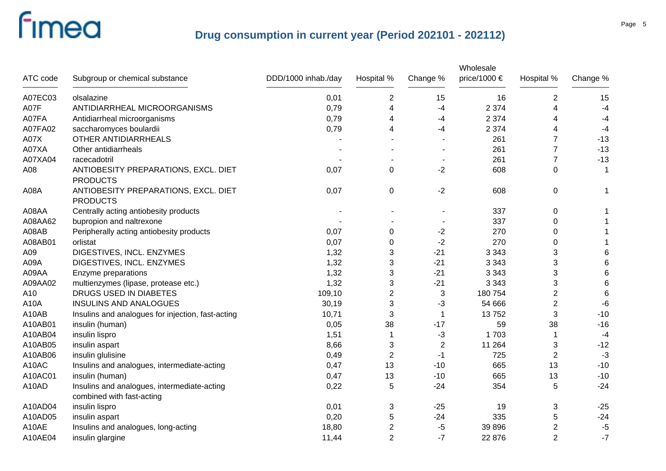|          |                                                                          |                     |                |          | Wholesale    |                |          |
|----------|--------------------------------------------------------------------------|---------------------|----------------|----------|--------------|----------------|----------|
| ATC code | Subgroup or chemical substance                                           | DDD/1000 inhab./day | Hospital %     | Change % | price/1000 € | Hospital %     | Change % |
| A07EC03  | olsalazine                                                               | 0,01                | $\overline{2}$ | 15       | 16           | $\overline{2}$ | 15       |
| A07F     | ANTIDIARRHEAL MICROORGANISMS                                             | 0,79                | 4              | -4       | 2 3 7 4      | 4              | $-4$     |
| A07FA    | Antidiarrheal microorganisms                                             | 0,79                | 4              | -4       | 2 3 7 4      | 4              | $-4$     |
| A07FA02  | saccharomyces boulardii                                                  | 0,79                | 4              | -4       | 2 3 7 4      | 4              | $-4$     |
| A07X     | <b>OTHER ANTIDIARRHEALS</b>                                              |                     |                |          | 261          | $\overline{7}$ | $-13$    |
| A07XA    | Other antidiarrheals                                                     |                     |                |          | 261          | $\overline{7}$ | $-13$    |
| A07XA04  | racecadotril                                                             |                     |                |          | 261          | $\overline{7}$ | $-13$    |
| A08      | ANTIOBESITY PREPARATIONS, EXCL. DIET<br><b>PRODUCTS</b>                  | 0,07                | $\mathbf 0$    | $-2$     | 608          | $\mathbf 0$    | 1        |
| A08A     | ANTIOBESITY PREPARATIONS, EXCL. DIET<br><b>PRODUCTS</b>                  | 0,07                | 0              | $-2$     | 608          | $\pmb{0}$      |          |
| A08AA    | Centrally acting antiobesity products                                    |                     |                |          | 337          | $\pmb{0}$      |          |
| A08AA62  | bupropion and naltrexone                                                 |                     |                |          | 337          | 0              |          |
| A08AB    | Peripherally acting antiobesity products                                 | 0,07                | $\pmb{0}$      | $-2$     | 270          | 0              |          |
| A08AB01  | orlistat                                                                 | 0,07                | 0              | $-2$     | 270          | 0              |          |
| A09      | DIGESTIVES, INCL. ENZYMES                                                | 1,32                | 3              | $-21$    | 3 3 4 3      | 3              | 6        |
| A09A     | DIGESTIVES, INCL. ENZYMES                                                | 1,32                | 3              | $-21$    | 3 3 4 3      | 3              | 6        |
| A09AA    | Enzyme preparations                                                      | 1,32                | 3              | $-21$    | 3 3 4 3      | 3              | 6        |
| A09AA02  | multienzymes (lipase, protease etc.)                                     | 1,32                | 3              | $-21$    | 3 3 4 3      | 3              | 6        |
| A10      | DRUGS USED IN DIABETES                                                   | 109,10              | $\overline{2}$ | 3        | 180 754      | $\overline{2}$ | 6        |
| A10A     | <b>INSULINS AND ANALOGUES</b>                                            | 30,19               | 3              | $-3$     | 54 666       | $\overline{2}$ | $-6$     |
| A10AB    | Insulins and analogues for injection, fast-acting                        | 10,71               | 3              | 1        | 13752        | 3              | $-10$    |
| A10AB01  | insulin (human)                                                          | 0,05                | 38             | $-17$    | 59           | 38             | $-16$    |
| A10AB04  | insulin lispro                                                           | 1,51                | -1             | -3       | 1703         |                | $-4$     |
| A10AB05  | insulin aspart                                                           | 8,66                | 3              | 2        | 11 264       | 3              | $-12$    |
| A10AB06  | insulin glulisine                                                        | 0,49                | $\overline{2}$ | -1       | 725          | $\overline{2}$ | $-3$     |
| A10AC    | Insulins and analogues, intermediate-acting                              | 0,47                | 13             | $-10$    | 665          | 13             | $-10$    |
| A10AC01  | insulin (human)                                                          | 0,47                | 13             | $-10$    | 665          | 13             | $-10$    |
| A10AD    | Insulins and analogues, intermediate-acting<br>combined with fast-acting | 0,22                | 5              | $-24$    | 354          | 5              | $-24$    |
| A10AD04  | insulin lispro                                                           | 0,01                | 3              | $-25$    | 19           | 3              | $-25$    |
| A10AD05  | insulin aspart                                                           | 0,20                | 5              | $-24$    | 335          | 5              | $-24$    |
| A10AE    | Insulins and analogues, long-acting                                      | 18,80               | $\overline{c}$ | -5       | 39 896       | 2              | $-5$     |
| A10AE04  | insulin glargine                                                         | 11,44               | $\overline{2}$ | $-7$     | 22 876       | $\overline{2}$ | $-7$     |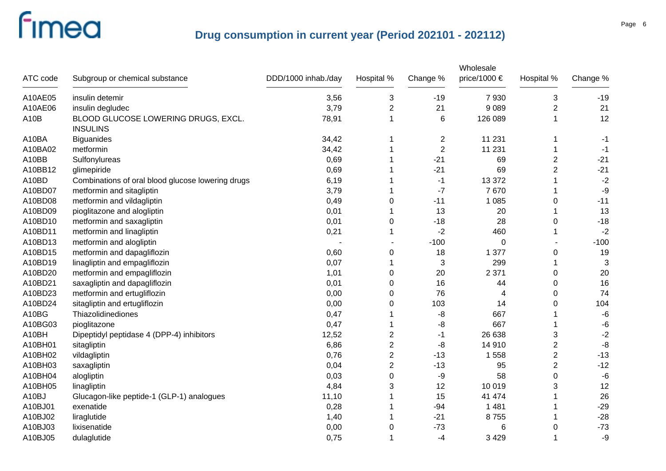|                   |                                                        |                     |                |                | Wholesale    |                |          |
|-------------------|--------------------------------------------------------|---------------------|----------------|----------------|--------------|----------------|----------|
| ATC code          | Subgroup or chemical substance                         | DDD/1000 inhab./day | Hospital %     | Change %       | price/1000 € | Hospital %     | Change % |
| A10AE05           | insulin detemir                                        | 3,56                | 3              | $-19$          | 7930         | 3              | $-19$    |
| A10AE06           | insulin degludec                                       | 3,79                | $\overline{2}$ | 21             | 9 0 8 9      | $\overline{2}$ | 21       |
| A <sub>10</sub> B | BLOOD GLUCOSE LOWERING DRUGS, EXCL.<br><b>INSULINS</b> | 78,91               | 1              | 6              | 126 089      | 1              | 12       |
| A10BA             | <b>Biguanides</b>                                      | 34,42               | 1              | 2              | 11 231       | 1              | -1       |
| A10BA02           | metformin                                              | 34,42               | 1              | $\overline{2}$ | 11 231       | 1              | $-1$     |
| A10BB             | Sulfonylureas                                          | 0,69                |                | $-21$          | 69           | $\overline{2}$ | $-21$    |
| A10BB12           | glimepiride                                            | 0,69                |                | $-21$          | 69           | 2              | $-21$    |
| A10BD             | Combinations of oral blood glucose lowering drugs      | 6,19                |                | -1             | 13 372       |                | $-2$     |
| A10BD07           | metformin and sitagliptin                              | 3,79                |                | $-7$           | 7670         |                | -9       |
| A10BD08           | metformin and vildagliptin                             | 0,49                | 0              | $-11$          | 1 0 8 5      | 0              | $-11$    |
| A10BD09           | pioglitazone and alogliptin                            | 0,01                |                | 13             | 20           |                | 13       |
| A10BD10           | metformin and saxagliptin                              | 0,01                | 0              | $-18$          | 28           | 0              | $-18$    |
| A10BD11           | metformin and linagliptin                              | 0,21                |                | $-2$           | 460          |                | $-2$     |
| A10BD13           | metformin and alogliptin                               |                     |                | $-100$         | $\mathbf 0$  |                | $-100$   |
| A10BD15           | metformin and dapagliflozin                            | 0,60                | 0              | 18             | 1 377        | 0              | 19       |
| A10BD19           | linagliptin and empagliflozin                          | 0,07                | 1              | 3              | 299          |                | 3        |
| A10BD20           | metformin and empagliflozin                            | 1,01                | 0              | 20             | 2 3 7 1      | 0              | 20       |
| A10BD21           | saxagliptin and dapagliflozin                          | 0,01                | 0              | 16             | 44           | 0              | 16       |
| A10BD23           | metformin and ertugliflozin                            | 0,00                | 0              | 76             | 4            | 0              | 74       |
| A10BD24           | sitagliptin and ertugliflozin                          | 0,00                | 0              | 103            | 14           | 0              | 104      |
| A10BG             | Thiazolidinediones                                     | 0,47                | 1              | -8             | 667          |                | $-6$     |
| A10BG03           | pioglitazone                                           | 0,47                | 1              | -8             | 667          |                | $-6$     |
| A10BH             | Dipeptidyl peptidase 4 (DPP-4) inhibitors              | 12,52               | 2              | $-1$           | 26 638       | 3              | $-2$     |
| A10BH01           | sitagliptin                                            | 6,86                | $\overline{2}$ | -8             | 14 910       | 2              | -8       |
| A10BH02           | vildagliptin                                           | 0,76                | 2              | $-13$          | 1558         | $\overline{c}$ | $-13$    |
| A10BH03           | saxagliptin                                            | 0,04                | $\overline{2}$ | $-13$          | 95           | $\overline{2}$ | $-12$    |
| A10BH04           | alogliptin                                             | 0,03                | 0              | -9             | 58           | 0              | $-6$     |
| A10BH05           | linagliptin                                            | 4,84                | 3              | 12             | 10 019       | 3              | 12       |
| A10BJ             | Glucagon-like peptide-1 (GLP-1) analogues              | 11,10               | 1              | 15             | 41 474       |                | 26       |
| A10BJ01           | exenatide                                              | 0,28                | 1              | $-94$          | 1 4 8 1      |                | $-29$    |
| A10BJ02           | liraglutide                                            | 1,40                | 1              | $-21$          | 8755         |                | $-28$    |
| A10BJ03           | lixisenatide                                           | 0,00                | 0              | $-73$          | 6            | 0              | $-73$    |
| A10BJ05           | dulaglutide                                            | 0,75                | 1              | -4             | 3 4 2 9      | 1              | $-9$     |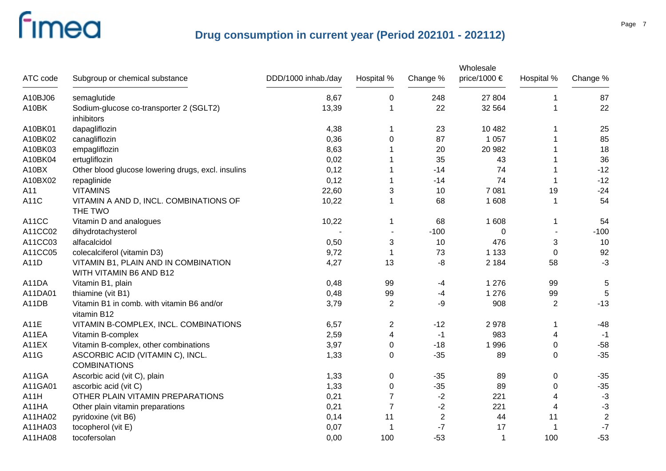| ATC code | Subgroup or chemical substance                                  | DDD/1000 inhab./day | Hospital %     | Change %   | Wholesale<br>price/1000 € | Hospital %     | Change %       |
|----------|-----------------------------------------------------------------|---------------------|----------------|------------|---------------------------|----------------|----------------|
| A10BJ06  | semaglutide                                                     | 8,67                | $\pmb{0}$      | 248        | 27 804                    | 1              | 87             |
| A10BK    | Sodium-glucose co-transporter 2 (SGLT2)<br>inhibitors           | 13,39               | -1             | 22         | 32 564                    |                | 22             |
| A10BK01  | dapagliflozin                                                   | 4,38                | -1             | 23         | 10 482                    |                | 25             |
| A10BK02  | canagliflozin                                                   | 0,36                | 0              | 87         | 1 0 5 7                   |                | 85             |
| A10BK03  | empagliflozin                                                   | 8,63                |                | 20         | 20 982                    |                | 18             |
| A10BK04  | ertugliflozin                                                   | 0,02                |                | 35         | 43                        |                | 36             |
| A10BX    | Other blood glucose lowering drugs, excl. insulins              | 0,12                | 1              | $-14$      | 74                        |                | $-12$          |
| A10BX02  | repaglinide                                                     | 0,12                | -1             | $-14$      | 74                        |                | $-12$          |
| A11      | <b>VITAMINS</b>                                                 | 22,60               | 3              | 10         | 7 0 8 1                   | 19             | $-24$          |
| A11C     | VITAMIN A AND D, INCL. COMBINATIONS OF<br>THE TWO               | 10,22               | -1             | 68         | 1 608                     |                | 54             |
| A11CC    | Vitamin D and analogues                                         | 10,22               | -1             | 68         | 1 608                     | 1              | 54             |
| A11CC02  | dihydrotachysterol                                              |                     |                | $-100$     | $\Omega$                  | $\blacksquare$ | $-100$         |
| A11CC03  | alfacalcidol                                                    | 0,50                | 3              | 10         | 476                       | 3              | 10             |
| A11CC05  | colecalciferol (vitamin D3)                                     | 9,72                | -1             | 73         | 1 1 3 3                   | $\mathbf 0$    | 92             |
| A11D     | VITAMIN B1, PLAIN AND IN COMBINATION<br>WITH VITAMIN B6 AND B12 | 4,27                | 13             | -8         | 2 1 8 4                   | 58             | $-3$           |
| A11DA    | Vitamin B1, plain                                               | 0,48                | 99             | $-4$       | 1 2 7 6                   | 99             | $\sqrt{5}$     |
| A11DA01  | thiamine (vit B1)                                               | 0,48                | 99             | $-4$       | 1 2 7 6                   | 99             | 5              |
| A11DB    | Vitamin B1 in comb. with vitamin B6 and/or<br>vitamin B12       | 3,79                | $\overline{2}$ | -9         | 908                       | $\overline{2}$ | $-13$          |
| A11E     | VITAMIN B-COMPLEX, INCL. COMBINATIONS                           | 6,57                | $\overline{2}$ | $-12$      | 2978                      | 1              | $-48$          |
| A11EA    | Vitamin B-complex                                               | 2,59                | 4              | $-1$       | 983                       | 4              | $-1$           |
| A11EX    | Vitamin B-complex, other combinations                           | 3,97                | 0              | $-18$      | 1996                      | 0              | $-58$          |
| A11G     | ASCORBIC ACID (VITAMIN C), INCL.<br><b>COMBINATIONS</b>         | 1,33                | 0              | $-35$      | 89                        | 0              | $-35$          |
| A11GA    | Ascorbic acid (vit C), plain                                    | 1,33                | $\overline{0}$ | $-35$      | 89                        | 0              | $-35$          |
| A11GA01  | ascorbic acid (vit C)                                           | 1,33                | 0              | $-35$      | 89                        | 0              | $-35$          |
| A11H     | OTHER PLAIN VITAMIN PREPARATIONS                                | 0,21                | $\overline{7}$ | $-2$       | 221                       | 4              | $-3$           |
| A11HA    | Other plain vitamin preparations                                | 0,21                | 7              | $-2$       | 221                       | 4              | $-3$           |
| A11HA02  | pyridoxine (vit B6)                                             | 0,14                | 11             | $\sqrt{2}$ | 44                        | 11             | $\overline{c}$ |
| A11HA03  | tocopherol (vit E)                                              | 0,07                | -1             | $-7$       | 17                        |                | $\mathbf{-7}$  |
| A11HA08  | tocofersolan                                                    | 0,00                | 100            | $-53$      | 1                         | 100            | $-53$          |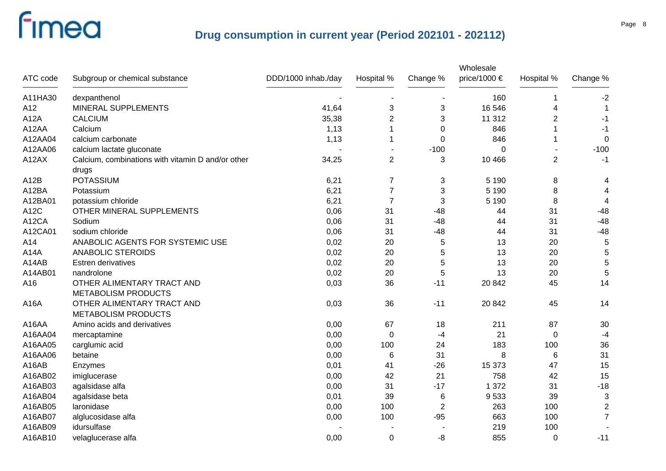|          |                                                            |                     |                |                | Wholesale    |                |                         |
|----------|------------------------------------------------------------|---------------------|----------------|----------------|--------------|----------------|-------------------------|
| ATC code | Subgroup or chemical substance                             | DDD/1000 inhab./day | Hospital %     | Change %       | price/1000 € | Hospital %     | Change %                |
| A11HA30  | dexpanthenol                                               |                     |                |                | 160          | 1              | $-2$                    |
| A12      | MINERAL SUPPLEMENTS                                        | 41,64               | 3              | 3              | 16 546       | 4              |                         |
| A12A     | <b>CALCIUM</b>                                             | 35,38               | 2              | 3              | 11 312       | $\overline{2}$ | -1                      |
| A12AA    | Calcium                                                    | 1,13                |                | $\Omega$       | 846          | 1              | $-1$                    |
| A12AA04  | calcium carbonate                                          | 1,13                |                | 0              | 846          | 1              | 0                       |
| A12AA06  | calcium lactate gluconate                                  |                     |                | $-100$         | $\Omega$     |                | $-100$                  |
| A12AX    | Calcium, combinations with vitamin D and/or other<br>drugs | 34,25               | $\overline{2}$ | 3              | 10 4 66      | $\overline{2}$ | $-1$                    |
| A12B     | <b>POTASSIUM</b>                                           | 6,21                | $\overline{7}$ | 3              | 5 1 9 0      | 8              | 4                       |
| A12BA    | Potassium                                                  | 6,21                | $\overline{7}$ | 3              | 5 1 9 0      | 8              | 4                       |
| A12BA01  | potassium chloride                                         | 6,21                | $\overline{7}$ | 3              | 5 1 9 0      | 8              | $\overline{4}$          |
| A12C     | OTHER MINERAL SUPPLEMENTS                                  | 0,06                | 31             | $-48$          | 44           | 31             | $-48$                   |
| A12CA    | Sodium                                                     | 0,06                | 31             | $-48$          | 44           | 31             | $-48$                   |
| A12CA01  | sodium chloride                                            | 0,06                | 31             | $-48$          | 44           | 31             | $-48$                   |
| A14      | ANABOLIC AGENTS FOR SYSTEMIC USE                           | 0,02                | 20             | 5              | 13           | 20             | 5                       |
| A14A     | <b>ANABOLIC STEROIDS</b>                                   | 0,02                | 20             | 5              | 13           | 20             | 5                       |
| A14AB    | Estren derivatives                                         | 0,02                | 20             | 5              | 13           | 20             | 5                       |
| A14AB01  | nandrolone                                                 | 0,02                | 20             | 5              | 13           | 20             | $\overline{5}$          |
| A16      | OTHER ALIMENTARY TRACT AND<br><b>METABOLISM PRODUCTS</b>   | 0,03                | 36             | $-11$          | 20 842       | 45             | 14                      |
| A16A     | OTHER ALIMENTARY TRACT AND<br><b>METABOLISM PRODUCTS</b>   | 0,03                | 36             | $-11$          | 20 842       | 45             | 14                      |
| A16AA    | Amino acids and derivatives                                | 0,00                | 67             | 18             | 211          | 87             | 30                      |
| A16AA04  | mercaptamine                                               | 0,00                | 0              | $-4$           | 21           | 0              | $-4$                    |
| A16AA05  | carglumic acid                                             | 0,00                | 100            | 24             | 183          | 100            | 36                      |
| A16AA06  | betaine                                                    | 0,00                | 6              | 31             | 8            | 6              | 31                      |
| A16AB    | Enzymes                                                    | 0,01                | 41             | $-26$          | 15 373       | 47             | 15                      |
| A16AB02  | imiglucerase                                               | 0,00                | 42             | 21             | 758          | 42             | 15                      |
| A16AB03  | agalsidase alfa                                            | 0,00                | 31             | $-17$          | 1 372        | 31             | $-18$                   |
| A16AB04  | agalsidase beta                                            | 0,01                | 39             | 6              | 9533         | 39             | 3                       |
| A16AB05  | laronidase                                                 | 0,00                | 100            | $\overline{2}$ | 263          | 100            | $\overline{\mathbf{c}}$ |
| A16AB07  | alglucosidase alfa                                         | 0,00                | 100            | $-95$          | 663          | 100            | $\overline{7}$          |
| A16AB09  | idursulfase                                                |                     |                |                | 219          | 100            |                         |
| A16AB10  | velaglucerase alfa                                         | 0,00                | 0              | -8             | 855          | 0              | $-11$                   |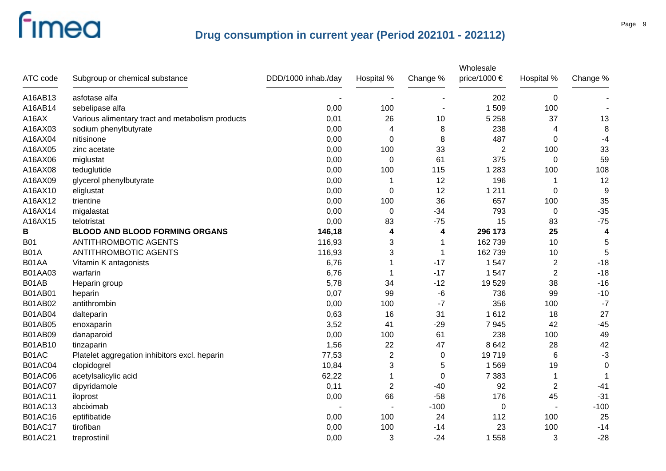| ATC code       | Subgroup or chemical substance                   | DDD/1000 inhab./day | Hospital %     | Change % | Wholesale<br>price/1000 € | Hospital %     | Change %    |
|----------------|--------------------------------------------------|---------------------|----------------|----------|---------------------------|----------------|-------------|
| A16AB13        | asfotase alfa                                    |                     |                |          | 202                       | $\mathbf 0$    |             |
| A16AB14        | sebelipase alfa                                  | 0,00                | 100            |          | 1509                      | 100            |             |
| A16AX          | Various alimentary tract and metabolism products | 0,01                | 26             | 10       | 5 2 5 8                   | 37             | 13          |
| A16AX03        | sodium phenylbutyrate                            | 0,00                | $\overline{4}$ | 8        | 238                       | 4              | 8           |
| A16AX04        | nitisinone                                       | 0,00                | $\mathbf 0$    | 8        | 487                       | $\mathbf 0$    | $-4$        |
| A16AX05        | zinc acetate                                     | 0,00                | 100            | 33       | 2                         | 100            | 33          |
| A16AX06        | miglustat                                        | 0,00                | 0              | 61       | 375                       | $\mathbf 0$    | 59          |
| A16AX08        | teduglutide                                      | 0,00                | 100            | 115      | 1 2 8 3                   | 100            | 108         |
| A16AX09        | glycerol phenylbutyrate                          | 0,00                | 1              | 12       | 196                       |                | 12          |
| A16AX10        | eliglustat                                       | 0,00                | 0              | 12       | 1 2 1 1                   | $\mathbf 0$    | 9           |
| A16AX12        | trientine                                        | 0,00                | 100            | 36       | 657                       | 100            | 35          |
| A16AX14        | migalastat                                       | 0,00                | 0              | $-34$    | 793                       | $\mathbf 0$    | $-35$       |
| A16AX15        | telotristat                                      | 0,00                | 83             | $-75$    | 15                        | 83             | $-75$       |
| В              | <b>BLOOD AND BLOOD FORMING ORGANS</b>            | 146,18              | 4              | 4        | 296 173                   | 25             | 4           |
| <b>B01</b>     | <b>ANTITHROMBOTIC AGENTS</b>                     | 116,93              | 3              | -1       | 162 739                   | 10             | 5           |
| <b>B01A</b>    | <b>ANTITHROMBOTIC AGENTS</b>                     | 116,93              | 3              | -1       | 162 739                   | 10             | 5           |
| B01AA          | Vitamin K antagonists                            | 6,76                | 1              | $-17$    | 1 5 4 7                   | $\overline{2}$ | $-18$       |
| B01AA03        | warfarin                                         | 6,76                | -1             | $-17$    | 1 5 4 7                   | $\overline{2}$ | $-18$       |
| B01AB          | Heparin group                                    | 5,78                | 34             | $-12$    | 19529                     | 38             | $-16$       |
| B01AB01        | heparin                                          | 0,07                | 99             | -6       | 736                       | 99             | $-10$       |
| B01AB02        | antithrombin                                     | 0,00                | 100            | $-7$     | 356                       | 100            | $-7$        |
| <b>B01AB04</b> | dalteparin                                       | 0,63                | 16             | 31       | 1612                      | 18             | 27          |
| <b>B01AB05</b> | enoxaparin                                       | 3,52                | 41             | $-29$    | 7945                      | 42             | $-45$       |
| B01AB09        | danaparoid                                       | 0,00                | 100            | 61       | 238                       | 100            | 49          |
| <b>B01AB10</b> | tinzaparin                                       | 1,56                | 22             | 47       | 8642                      | 28             | 42          |
| B01AC          | Platelet aggregation inhibitors excl. heparin    | 77,53               | $\overline{c}$ | 0        | 19719                     | 6              | $-3$        |
| <b>B01AC04</b> | clopidogrel                                      | 10,84               | 3              | 5        | 1 5 6 9                   | 19             | $\mathbf 0$ |
| <b>B01AC06</b> | acetylsalicylic acid                             | 62,22               | 1              | 0        | 7 3 8 3                   | 1              |             |
| <b>B01AC07</b> | dipyridamole                                     | 0,11                | $\overline{2}$ | $-40$    | 92                        | $\overline{2}$ | $-41$       |
| <b>B01AC11</b> | iloprost                                         | 0,00                | 66             | $-58$    | 176                       | 45             | $-31$       |
| <b>B01AC13</b> | abciximab                                        |                     |                | $-100$   | 0                         |                | $-100$      |
| <b>B01AC16</b> | eptifibatide                                     | 0,00                | 100            | 24       | 112                       | 100            | 25          |
| <b>B01AC17</b> | tirofiban                                        | 0,00                | 100            | $-14$    | 23                        | 100            | $-14$       |
| <b>B01AC21</b> | treprostinil                                     | 0,00                | 3              | $-24$    | 1 5 5 8                   | 3              | $-28$       |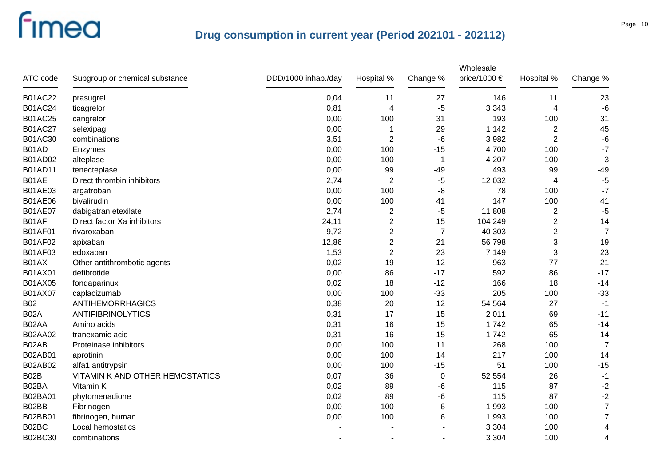| ATC code       | Subgroup or chemical substance  | DDD/1000 inhab./day | Hospital %     | Change %       | Wholesale<br>price/1000 € | Hospital %     | Change %       |
|----------------|---------------------------------|---------------------|----------------|----------------|---------------------------|----------------|----------------|
| <b>B01AC22</b> | prasugrel                       | 0,04                | 11             | 27             | 146                       | 11             | 23             |
| <b>B01AC24</b> | ticagrelor                      | 0,81                | $\overline{4}$ | $-5$           | 3 3 4 3                   | 4              | $-6$           |
| <b>B01AC25</b> | cangrelor                       | 0,00                | 100            | 31             | 193                       | 100            | 31             |
| <b>B01AC27</b> | selexipag                       | 0,00                | 1              | 29             | 1 1 4 2                   | $\overline{2}$ | 45             |
| B01AC30        | combinations                    | 3,51                | $\overline{2}$ | $-6$           | 3 9 8 2                   | $\overline{2}$ | $-6$           |
| B01AD          | Enzymes                         | 0,00                | 100            | $-15$          | 4700                      | 100            | $-7$           |
| <b>B01AD02</b> | alteplase                       | 0,00                | 100            | -1             | 4 207                     | 100            | 3              |
| <b>B01AD11</b> | tenecteplase                    | 0,00                | 99             | $-49$          | 493                       | 99             | $-49$          |
| B01AE          | Direct thrombin inhibitors      | 2,74                | $\overline{2}$ | $-5$           | 12 032                    | 4              | $-5$           |
| B01AE03        | argatroban                      | 0,00                | 100            | -8             | 78                        | 100            | $-7$           |
| <b>B01AE06</b> | bivalirudin                     | 0,00                | 100            | 41             | 147                       | 100            | 41             |
| <b>B01AE07</b> | dabigatran etexilate            | 2,74                | $\overline{2}$ | $-5$           | 11 808                    | $\overline{c}$ | $-5$           |
| B01AF          | Direct factor Xa inhibitors     | 24,11               | $\overline{c}$ | 15             | 104 249                   | $\overline{2}$ | 14             |
| <b>B01AF01</b> | rivaroxaban                     | 9,72                | $\overline{2}$ | $\overline{7}$ | 40 30 3                   | $\overline{2}$ | $\overline{7}$ |
| <b>B01AF02</b> | apixaban                        | 12,86               | $\overline{c}$ | 21             | 56 798                    | 3              | 19             |
| B01AF03        | edoxaban                        | 1,53                | $\overline{2}$ | 23             | 7 1 4 9                   | 3              | 23             |
| B01AX          | Other antithrombotic agents     | 0,02                | 19             | $-12$          | 963                       | 77             | $-21$          |
| B01AX01        | defibrotide                     | 0,00                | 86             | $-17$          | 592                       | 86             | $-17$          |
| B01AX05        | fondaparinux                    | 0,02                | 18             | $-12$          | 166                       | 18             | $-14$          |
| B01AX07        | caplacizumab                    | 0,00                | 100            | $-33$          | 205                       | 100            | $-33$          |
| <b>B02</b>     | <b>ANTIHEMORRHAGICS</b>         | 0,38                | 20             | 12             | 54 564                    | 27             | $-1$           |
| <b>B02A</b>    | <b>ANTIFIBRINOLYTICS</b>        | 0,31                | 17             | 15             | 2 0 1 1                   | 69             | $-11$          |
| B02AA          | Amino acids                     | 0,31                | 16             | 15             | 1742                      | 65             | $-14$          |
| B02AA02        | tranexamic acid                 | 0,31                | 16             | 15             | 1742                      | 65             | $-14$          |
| B02AB          | Proteinase inhibitors           | 0,00                | 100            | 11             | 268                       | 100            | $\overline{7}$ |
| B02AB01        | aprotinin                       | 0,00                | 100            | 14             | 217                       | 100            | 14             |
| B02AB02        | alfa1 antitrypsin               | 0,00                | 100            | $-15$          | 51                        | 100            | $-15$          |
| B02B           | VITAMIN K AND OTHER HEMOSTATICS | 0,07                | 36             | $\mathbf 0$    | 52 554                    | 26             | $-1$           |
| B02BA          | Vitamin K                       | 0,02                | 89             | -6             | 115                       | 87             | $-2$           |
| B02BA01        | phytomenadione                  | 0,02                | 89             | -6             | 115                       | 87             | $-2$           |
| B02BB          | Fibrinogen                      | 0,00                | 100            | 6              | 1993                      | 100            | $\overline{7}$ |
| B02BB01        | fibrinogen, human               | 0,00                | 100            | 6              | 1993                      | 100            | $\overline{7}$ |
| B02BC          | Local hemostatics               |                     |                |                | 3 3 0 4                   | 100            | 4              |
| B02BC30        | combinations                    |                     |                |                | 3 3 0 4                   | 100            | 4              |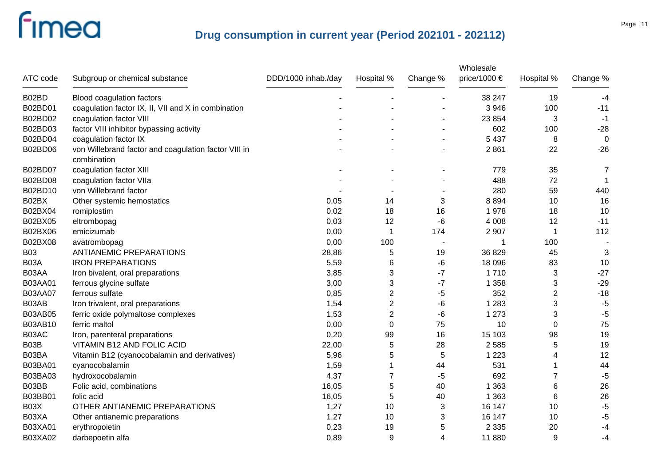| ATC code       | Subgroup or chemical substance                                      | DDD/1000 inhab./day | Hospital %     | Change %                 | Wholesale<br>price/1000 € | Hospital %     | Change %       |
|----------------|---------------------------------------------------------------------|---------------------|----------------|--------------------------|---------------------------|----------------|----------------|
| B02BD          | Blood coagulation factors                                           |                     |                |                          | 38 247                    | 19             | $-4$           |
| B02BD01        | coagulation factor IX, II, VII and X in combination                 |                     |                |                          | 3 9 4 6                   | 100            | $-11$          |
| B02BD02        | coagulation factor VIII                                             |                     |                |                          | 23 854                    | 3              | $-1$           |
| B02BD03        | factor VIII inhibitor bypassing activity                            |                     |                |                          | 602                       | 100            | $-28$          |
| B02BD04        | coagulation factor IX                                               |                     |                |                          | 5 4 3 7                   | 8              | $\overline{0}$ |
| B02BD06        | von Willebrand factor and coagulation factor VIII in<br>combination |                     |                |                          | 2861                      | 22             | $-26$          |
| B02BD07        | coagulation factor XIII                                             |                     |                |                          | 779                       | 35             | $\overline{7}$ |
| B02BD08        | coagulation factor VIIa                                             |                     |                |                          | 488                       | 72             |                |
| B02BD10        | von Willebrand factor                                               |                     |                |                          | 280                       | 59             | 440            |
| B02BX          | Other systemic hemostatics                                          | 0,05                | 14             | 3                        | 8894                      | 10             | 16             |
| B02BX04        | romiplostim                                                         | 0,02                | 18             | 16                       | 1978                      | 18             | 10             |
| B02BX05        | eltrombopag                                                         | 0,03                | 12             | -6                       | 4 0 0 8                   | 12             | $-11$          |
| B02BX06        | emicizumab                                                          | 0,00                | $\mathbf 1$    | 174                      | 2 9 0 7                   | $\mathbf 1$    | 112            |
| B02BX08        | avatrombopag                                                        | 0,00                | 100            | $\overline{\phantom{a}}$ |                           | 100            |                |
| <b>B03</b>     | <b>ANTIANEMIC PREPARATIONS</b>                                      | 28,86               | 5              | 19                       | 36 829                    | 45             | 3              |
| B03A           | <b>IRON PREPARATIONS</b>                                            | 5,59                | 6              | -6                       | 18 096                    | 83             | 10             |
| B03AA          | Iron bivalent, oral preparations                                    | 3,85                | 3              | $-7$                     | 1710                      | 3              | $-27$          |
| B03AA01        | ferrous glycine sulfate                                             | 3,00                | 3              | $-7$                     | 1 3 5 8                   | 3              | $-29$          |
| <b>B03AA07</b> | ferrous sulfate                                                     | 0,85                | $\overline{2}$ | -5                       | 352                       | $\overline{2}$ | $-18$          |
| B03AB          | Iron trivalent, oral preparations                                   | 1,54                | $\overline{2}$ | -6                       | 1 2 8 3                   | 3              | $-5$           |
| B03AB05        | ferric oxide polymaltose complexes                                  | 1,53                | $\overline{2}$ | -6                       | 1 2 7 3                   | 3              | $-5$           |
| B03AB10        | ferric maltol                                                       | 0,00                | $\mathbf 0$    | 75                       | 10                        | $\mathbf 0$    | 75             |
| B03AC          | Iron, parenteral preparations                                       | 0,20                | 99             | 16                       | 15 103                    | 98             | 19             |
| B03B           | VITAMIN B12 AND FOLIC ACID                                          | 22,00               | $\,$ 5 $\,$    | 28                       | 2 5 8 5                   | 5              | 19             |
| B03BA          | Vitamin B12 (cyanocobalamin and derivatives)                        | 5,96                | 5              | 5                        | 1 2 2 3                   | 4              | 12             |
| B03BA01        | cyanocobalamin                                                      | 1,59                | 1              | 44                       | 531                       | 1              | 44             |
| B03BA03        | hydroxocobalamin                                                    | 4,37                | 7              | -5                       | 692                       | 7              | $-5$           |
| B03BB          | Folic acid, combinations                                            | 16,05               | $\,$ 5 $\,$    | 40                       | 1 3 6 3                   | 6              | 26             |
| B03BB01        | folic acid                                                          | 16,05               | 5              | 40                       | 1 3 6 3                   | 6              | 26             |
| B03X           | OTHER ANTIANEMIC PREPARATIONS                                       | 1,27                | 10             | 3                        | 16 147                    | 10             | $-5$           |
| B03XA          | Other antianemic preparations                                       | 1,27                | 10             | 3                        | 16 147                    | 10             | $-5$           |
| B03XA01        | erythropoietin                                                      | 0,23                | 19             | 5                        | 2 3 3 5                   | 20             | $-4$           |
| B03XA02        | darbepoetin alfa                                                    | 0,89                | 9              | $\overline{4}$           | 11880                     | 9              | $-4$           |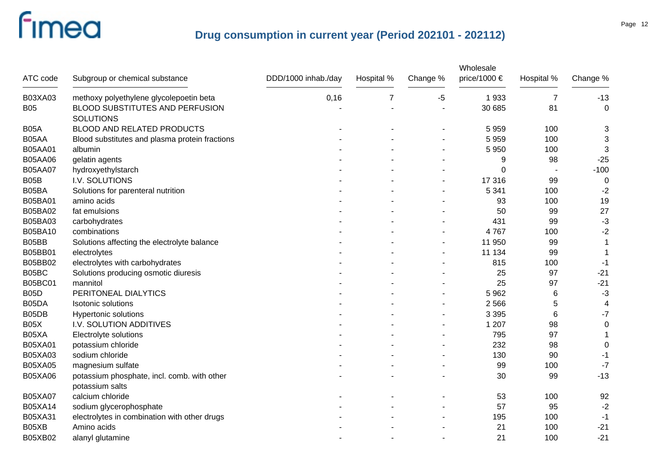|                |                                                |                     |            |          | Wholesale    |                 |                  |
|----------------|------------------------------------------------|---------------------|------------|----------|--------------|-----------------|------------------|
| ATC code       | Subgroup or chemical substance                 | DDD/1000 inhab./day | Hospital % | Change % | price/1000 € | Hospital %      | Change %         |
| B03XA03        | methoxy polyethylene glycolepoetin beta        | 0,16                | 7          | $-5$     | 1933         | $\overline{7}$  | $-13$            |
| <b>B05</b>     | BLOOD SUBSTITUTES AND PERFUSION                |                     |            |          | 30 685       | 81              | $\mathbf 0$      |
|                | <b>SOLUTIONS</b>                               |                     |            |          |              |                 |                  |
| <b>B05A</b>    | BLOOD AND RELATED PRODUCTS                     |                     |            |          | 5959         | 100             | 3                |
| B05AA          | Blood substitutes and plasma protein fractions |                     |            |          | 5959         | 100             | 3                |
| B05AA01        | albumin                                        |                     |            |          | 5 9 5 0      | 100             | 3                |
| <b>B05AA06</b> | gelatin agents                                 |                     |            |          | 9            | 98              | $-25$            |
| <b>B05AA07</b> | hydroxyethylstarch                             |                     |            |          | 0            |                 | $-100$           |
| B05B           | I.V. SOLUTIONS                                 |                     |            |          | 17 316       | 99              | 0                |
| B05BA          | Solutions for parenteral nutrition             |                     |            |          | 5 3 4 1      | 100             | $-2$             |
| B05BA01        | amino acids                                    |                     |            |          | 93           | 100             | 19               |
| B05BA02        | fat emulsions                                  |                     |            |          | 50           | 99              | 27               |
| B05BA03        | carbohydrates                                  |                     |            |          | 431          | 99              | $-3$             |
| B05BA10        | combinations                                   |                     |            |          | 4767         | 100             | $-2$             |
| B05BB          | Solutions affecting the electrolyte balance    |                     |            |          | 11 950       | 99              |                  |
| B05BB01        | electrolytes                                   |                     |            |          | 11 134       | 99              | 1                |
| B05BB02        | electrolytes with carbohydrates                |                     |            |          | 815          | 100             | -1               |
| B05BC          | Solutions producing osmotic diuresis           |                     |            |          | 25           | 97              | $-21$            |
| B05BC01        | mannitol                                       |                     |            |          | 25           | 97              | $-21$            |
| <b>B05D</b>    | PERITONEAL DIALYTICS                           |                     |            |          | 5 9 6 2      | $6\phantom{1}6$ | $-3$             |
| B05DA          | <b>Isotonic solutions</b>                      |                     |            |          | 2 5 6 6      | 5               | 4                |
| B05DB          | <b>Hypertonic solutions</b>                    |                     |            |          | 3 3 9 5      | 6               | $-7$             |
| <b>B05X</b>    | I.V. SOLUTION ADDITIVES                        |                     |            |          | 1 207        | 98              | $\boldsymbol{0}$ |
| B05XA          | Electrolyte solutions                          |                     |            |          | 795          | 97              |                  |
| <b>B05XA01</b> | potassium chloride                             |                     |            |          | 232          | 98              | $\boldsymbol{0}$ |
| B05XA03        | sodium chloride                                |                     |            |          | 130          | 90              | -1               |
| <b>B05XA05</b> | magnesium sulfate                              |                     |            |          | 99           | 100             | $-7$             |
| B05XA06        | potassium phosphate, incl. comb. with other    |                     |            |          | 30           | 99              | $-13$            |
|                | potassium salts                                |                     |            |          |              |                 |                  |
| <b>B05XA07</b> | calcium chloride                               |                     |            |          | 53           | 100             | 92               |
| B05XA14        | sodium glycerophosphate                        |                     |            |          | 57           | 95              | $-2$             |
| B05XA31        | electrolytes in combination with other drugs   |                     |            |          | 195          | 100             | $-1$             |
| B05XB          | Amino acids                                    |                     |            |          | 21           | 100             | $-21$            |
| B05XB02        | alanyl glutamine                               |                     |            |          | 21           | 100             | $-21$            |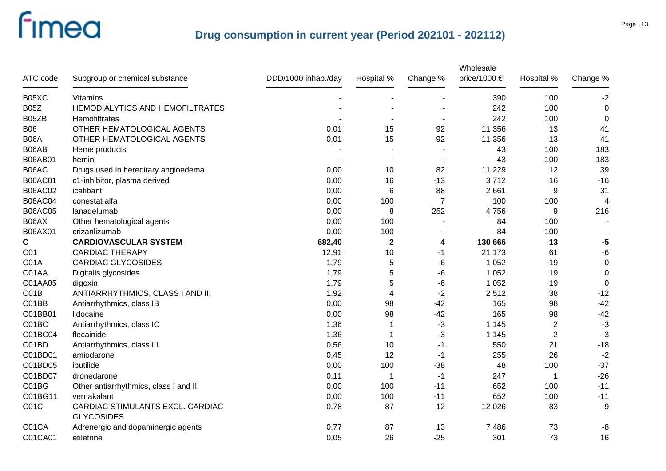|                |                                                       |                     |             |                | Wholesale    |                |             |
|----------------|-------------------------------------------------------|---------------------|-------------|----------------|--------------|----------------|-------------|
| ATC code       | Subgroup or chemical substance                        | DDD/1000 inhab./day | Hospital %  | Change %       | price/1000 € | Hospital %     | Change %    |
| B05XC          | <b>Vitamins</b>                                       |                     |             |                | 390          | 100            | $-2$        |
| <b>B05Z</b>    | HEMODIALYTICS AND HEMOFILTRATES                       |                     |             |                | 242          | 100            | $\mathbf 0$ |
| B05ZB          | Hemofiltrates                                         |                     |             |                | 242          | 100            | 0           |
| <b>B06</b>     | OTHER HEMATOLOGICAL AGENTS                            | 0,01                | 15          | 92             | 11 356       | 13             | 41          |
| <b>B06A</b>    | OTHER HEMATOLOGICAL AGENTS                            | 0,01                | 15          | 92             | 11 356       | 13             | 41          |
| B06AB          | Heme products                                         |                     |             |                | 43           | 100            | 183         |
| B06AB01        | hemin                                                 |                     |             |                | 43           | 100            | 183         |
| B06AC          | Drugs used in hereditary angioedema                   | 0,00                | 10          | 82             | 11 2 29      | 12             | 39          |
| <b>B06AC01</b> | c1-inhibitor, plasma derived                          | 0,00                | 16          | $-13$          | 3712         | 16             | $-16$       |
| <b>B06AC02</b> | icatibant                                             | 0,00                | 6           | 88             | 2 6 6 1      | 9              | 31          |
| <b>B06AC04</b> | conestat alfa                                         | 0,00                | 100         | $\overline{7}$ | 100          | 100            | 4           |
| <b>B06AC05</b> | lanadelumab                                           | 0,00                | 8           | 252            | 4756         | 9              | 216         |
| B06AX          | Other hematological agents                            | 0,00                | 100         |                | 84           | 100            |             |
| B06AX01        | crizanlizumab                                         | 0,00                | 100         |                | 84           | 100            |             |
| $\mathbf C$    | <b>CARDIOVASCULAR SYSTEM</b>                          | 682,40              | $\mathbf 2$ | 4              | 130 666      | 13             | $-5$        |
| C01            | <b>CARDIAC THERAPY</b>                                | 12,91               | 10          | -1             | 21 173       | 61             | $-6$        |
| C01A           | <b>CARDIAC GLYCOSIDES</b>                             | 1,79                | 5           | -6             | 1 0 5 2      | 19             | $\pmb{0}$   |
| C01AA          | Digitalis glycosides                                  | 1,79                | 5           | -6             | 1 0 5 2      | 19             | $\mathbf 0$ |
| C01AA05        | digoxin                                               | 1,79                | 5           | -6             | 1 0 5 2      | 19             | 0           |
| CO1B           | ANTIARRHYTHMICS, CLASS I AND III                      | 1,92                | 4           | $-2$           | 2512         | 38             | $-12$       |
| C01BB          | Antiarrhythmics, class IB                             | 0,00                | 98          | $-42$          | 165          | 98             | $-42$       |
| C01BB01        | lidocaine                                             | 0,00                | 98          | $-42$          | 165          | 98             | $-42$       |
| C01BC          | Antiarrhythmics, class IC                             | 1,36                | 1           | $-3$           | 1 1 4 5      | $\overline{2}$ | $-3$        |
| C01BC04        | flecainide                                            | 1,36                | 1           | $-3$           | 1 1 4 5      | $\overline{2}$ | $-3$        |
| C01BD          | Antiarrhythmics, class III                            | 0,56                | 10          | -1             | 550          | 21             | $-18$       |
| C01BD01        | amiodarone                                            | 0,45                | 12          | -1             | 255          | 26             | $-2$        |
| C01BD05        | ibutilide                                             | 0,00                | 100         | $-38$          | 48           | 100            | $-37$       |
| C01BD07        | dronedarone                                           | 0,11                | -1          | $-1$           | 247          | $\mathbf 1$    | $-26$       |
| C01BG          | Other antiarrhythmics, class I and III                | 0,00                | 100         | $-11$          | 652          | 100            | $-11$       |
| C01BG11        | vernakalant                                           | 0,00                | 100         | $-11$          | 652          | 100            | $-11$       |
| C01C           | CARDIAC STIMULANTS EXCL. CARDIAC<br><b>GLYCOSIDES</b> | 0,78                | 87          | 12             | 12 0 26      | 83             | -9          |
| C01CA          | Adrenergic and dopaminergic agents                    | 0,77                | 87          | 13             | 7486         | 73             | -8          |
| C01CA01        | etilefrine                                            | 0,05                | 26          | $-25$          | 301          | 73             | 16          |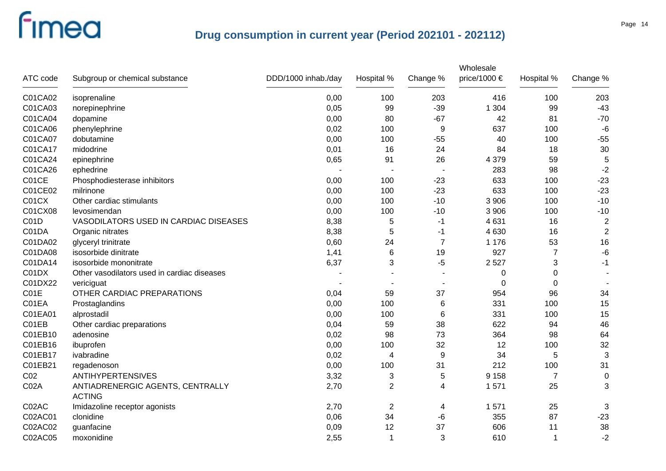| ATC code          | Subgroup or chemical substance                    | DDD/1000 inhab./day | Hospital %     | Change %                 | Wholesale<br>price/1000 € | Hospital %     | Change %       |
|-------------------|---------------------------------------------------|---------------------|----------------|--------------------------|---------------------------|----------------|----------------|
| C01CA02           | isoprenaline                                      | 0,00                | 100            | 203                      | 416                       | 100            | 203            |
| C01CA03           | norepinephrine                                    | 0,05                | 99             | $-39$                    | 1 3 0 4                   | 99             | $-43$          |
| C01CA04           | dopamine                                          | 0,00                | 80             | $-67$                    | 42                        | 81             | $-70$          |
| C01CA06           | phenylephrine                                     | 0,02                | 100            | 9                        | 637                       | 100            | $-6$           |
| C01CA07           | dobutamine                                        | 0,00                | 100            | $-55$                    | 40                        | 100            | $-55$          |
| C01CA17           | midodrine                                         | 0,01                | 16             | 24                       | 84                        | 18             | 30             |
| C01CA24           | epinephrine                                       | 0,65                | 91             | 26                       | 4 3 7 9                   | 59             | 5              |
| C01CA26           | ephedrine                                         |                     |                |                          | 283                       | 98             | $-2$           |
| C01CE             | Phosphodiesterase inhibitors                      | 0,00                | 100            | $-23$                    | 633                       | 100            | $-23$          |
| C01CE02           | milrinone                                         | 0,00                | 100            | $-23$                    | 633                       | 100            | $-23$          |
| C01CX             | Other cardiac stimulants                          | 0,00                | 100            | $-10$                    | 3 9 0 6                   | 100            | $-10$          |
| C01CX08           | levosimendan                                      | 0,00                | 100            | $-10$                    | 3 9 0 6                   | 100            | $-10$          |
| C <sub>0</sub> 1D | VASODILATORS USED IN CARDIAC DISEASES             | 8,38                | 5              | -1                       | 4 6 31                    | 16             | $\overline{2}$ |
| C01DA             | Organic nitrates                                  | 8,38                | 5              | $-1$                     | 4 6 3 0                   | 16             | $\overline{2}$ |
| C01DA02           | glyceryl trinitrate                               | 0,60                | 24             | $\overline{7}$           | 1 1 7 6                   | 53             | 16             |
| C01DA08           | isosorbide dinitrate                              | 1,41                | 6              | 19                       | 927                       | $\overline{7}$ | $-6$           |
| C01DA14           | isosorbide mononitrate                            | 6,37                | 3              | $-5$                     | 2527                      | 3              | $-1$           |
| C01DX             | Other vasodilators used in cardiac diseases       |                     |                |                          | 0                         | 0              |                |
| C01DX22           | vericiguat                                        |                     |                | $\overline{\phantom{a}}$ | $\Omega$                  | $\Omega$       |                |
| C01E              | OTHER CARDIAC PREPARATIONS                        | 0,04                | 59             | 37                       | 954                       | 96             | 34             |
| C01EA             | Prostaglandins                                    | 0,00                | 100            | 6                        | 331                       | 100            | 15             |
| C01EA01           | alprostadil                                       | 0,00                | 100            | 6                        | 331                       | 100            | 15             |
| C01EB             | Other cardiac preparations                        | 0,04                | 59             | 38                       | 622                       | 94             | 46             |
| C01EB10           | adenosine                                         | 0,02                | 98             | 73                       | 364                       | 98             | 64             |
| C01EB16           | ibuprofen                                         | 0,00                | 100            | 32                       | 12                        | 100            | 32             |
| C01EB17           | ivabradine                                        | 0,02                | $\overline{4}$ | 9                        | 34                        | 5              | 3              |
| C01EB21           | regadenoson                                       | 0,00                | 100            | 31                       | 212                       | 100            | 31             |
| CO <sub>2</sub>   | ANTIHYPERTENSIVES                                 | 3,32                | 3              | 5                        | 9 1 5 8                   | $\overline{7}$ | $\pmb{0}$      |
| C02A              | ANTIADRENERGIC AGENTS, CENTRALLY<br><b>ACTING</b> | 2,70                | 2              | 4                        | 1571                      | 25             | 3              |
| C02AC             | Imidazoline receptor agonists                     | 2,70                | $\mathbf{2}$   | 4                        | 1571                      | 25             | 3              |
| C02AC01           | clonidine                                         | 0,06                | 34             | -6                       | 355                       | 87             | $-23$          |
| C02AC02           | guanfacine                                        | 0,09                | 12             | 37                       | 606                       | 11             | 38             |
| C02AC05           | moxonidine                                        | 2,55                | $\overline{1}$ | 3                        | 610                       | 1              | $-2$           |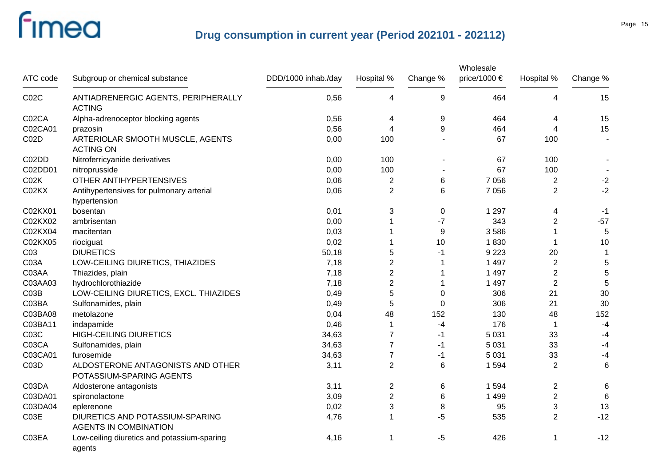| ATC code        | Subgroup or chemical substance                                  | DDD/1000 inhab./day | Hospital %     | Change %       | Wholesale<br>price/1000 € | Hospital %     | Change %        |
|-----------------|-----------------------------------------------------------------|---------------------|----------------|----------------|---------------------------|----------------|-----------------|
| CO2C            | ANTIADRENERGIC AGENTS, PERIPHERALLY<br><b>ACTING</b>            | 0,56                | 4              | 9              | 464                       | 4              | 15              |
| C02CA           | Alpha-adrenoceptor blocking agents                              | 0,56                | 4              | 9              | 464                       | 4              | 15              |
| C02CA01         | prazosin                                                        | 0,56                | 4              | 9              | 464                       | 4              | 15              |
| C02D            | ARTERIOLAR SMOOTH MUSCLE, AGENTS<br><b>ACTING ON</b>            | 0,00                | 100            | $\blacksquare$ | 67                        | 100            |                 |
| C02DD           | Nitroferricyanide derivatives                                   | 0,00                | 100            |                | 67                        | 100            |                 |
| C02DD01         | nitroprusside                                                   | 0,00                | 100            |                | 67                        | 100            |                 |
| CO2K            | OTHER ANTIHYPERTENSIVES                                         | 0,06                | $\overline{c}$ | 6              | 7 0 5 6                   | $\overline{c}$ | $-2$            |
| C02KX           | Antihypertensives for pulmonary arterial<br>hypertension        | 0,06                | $\overline{2}$ | 6              | 7 0 5 6                   | $\overline{2}$ | $-2$            |
| C02KX01         | bosentan                                                        | 0,01                | 3              | 0              | 1 2 9 7                   | 4              | $-1$            |
| C02KX02         | ambrisentan                                                     | 0,00                |                | $-7$           | 343                       | $\overline{2}$ | $-57$           |
| C02KX04         | macitentan                                                      | 0,03                |                | 9              | 3586                      | 1              | 5               |
| C02KX05         | riociguat                                                       | 0,02                |                | 10             | 1830                      | 1              | 10              |
| C <sub>03</sub> | <b>DIURETICS</b>                                                | 50,18               | 5              | -1             | 9 2 2 3                   | 20             | $\mathbf{1}$    |
| C03A            | LOW-CEILING DIURETICS, THIAZIDES                                | 7,18                | $\overline{2}$ | 1              | 1 4 9 7                   | $\overline{2}$ | $\sqrt{5}$      |
| C03AA           | Thiazides, plain                                                | 7,18                | $\overline{2}$ | 1              | 1 4 9 7                   | $\overline{2}$ | $\sqrt{5}$      |
| C03AA03         | hydrochlorothiazide                                             | 7,18                | $\overline{2}$ | 1              | 1 4 9 7                   | $\overline{2}$ | 5               |
| C03B            | LOW-CEILING DIURETICS, EXCL. THIAZIDES                          | 0,49                | 5              | $\mathbf 0$    | 306                       | 21             | 30              |
| C03BA           | Sulfonamides, plain                                             | 0,49                | 5              | $\mathbf 0$    | 306                       | 21             | 30              |
| C03BA08         | metolazone                                                      | 0,04                | 48             | 152            | 130                       | 48             | 152             |
| C03BA11         | indapamide                                                      | 0,46                | 1              | -4             | 176                       | 1              | $-4$            |
| C03C            | <b>HIGH-CEILING DIURETICS</b>                                   | 34,63               | $\overline{7}$ | -1             | 5 0 31                    | 33             | $-4$            |
| C03CA           | Sulfonamides, plain                                             | 34,63               | $\overline{7}$ | -1             | 5 0 31                    | 33             | $-4$            |
| C03CA01         | furosemide                                                      | 34,63               | $\overline{7}$ | -1             | 5 0 31                    | 33             | $-4$            |
| C03D            | ALDOSTERONE ANTAGONISTS AND OTHER<br>POTASSIUM-SPARING AGENTS   | 3,11                | $\overline{2}$ | 6              | 1 5 9 4                   | $\overline{2}$ | $6\phantom{1}6$ |
| C03DA           | Aldosterone antagonists                                         | 3,11                | $\overline{2}$ | 6              | 1 5 9 4                   | $\overline{2}$ | 6               |
| C03DA01         | spironolactone                                                  | 3,09                | $\overline{2}$ | 6              | 1 4 9 9                   | $\overline{2}$ | 6               |
| C03DA04         | eplerenone                                                      | 0,02                | 3              | 8              | 95                        | 3              | 13              |
| C03E            | DIURETICS AND POTASSIUM-SPARING<br><b>AGENTS IN COMBINATION</b> | 4,76                | 1              | $-5$           | 535                       | $\overline{2}$ | $-12$           |
| C03EA           | Low-ceiling diuretics and potassium-sparing<br>agents           | 4,16                | -1             | -5             | 426                       | 1              | $-12$           |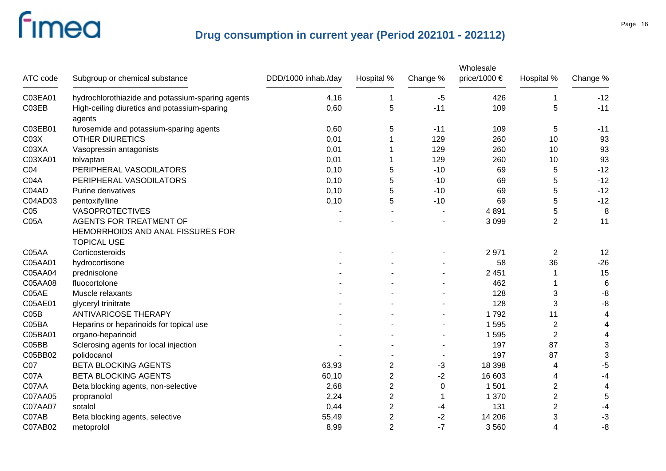|                  |                                                  |                     |                |          | Wholesale    |                |                 |
|------------------|--------------------------------------------------|---------------------|----------------|----------|--------------|----------------|-----------------|
| ATC code         | Subgroup or chemical substance                   | DDD/1000 inhab./day | Hospital %     | Change % | price/1000 € | Hospital %     | Change %        |
| C03EA01          | hydrochlorothiazide and potassium-sparing agents | 4,16                |                | -5       | 426          | 1              | $-12$           |
| C03EB            | High-ceiling diuretics and potassium-sparing     | 0,60                | 5              | $-11$    | 109          | 5              | $-11$           |
|                  | agents                                           |                     |                |          |              |                |                 |
| C03EB01          | furosemide and potassium-sparing agents          | 0,60                | 5              | $-11$    | 109          | 5              | $-11$           |
| CO <sub>3X</sub> | <b>OTHER DIURETICS</b>                           | 0,01                |                | 129      | 260          | 10             | 93              |
| C03XA            | Vasopressin antagonists                          | 0,01                |                | 129      | 260          | 10             | 93              |
| C03XA01          | tolvaptan                                        | 0,01                |                | 129      | 260          | 10             | 93              |
| CO <sub>4</sub>  | PERIPHERAL VASODILATORS                          | 0,10                | 5              | $-10$    | 69           | 5              | $-12$           |
| C04A             | PERIPHERAL VASODILATORS                          | 0,10                | 5              | $-10$    | 69           | 5              | $-12$           |
| C04AD            | Purine derivatives                               | 0,10                | 5              | $-10$    | 69           | 5              | $-12$           |
| C04AD03          | pentoxifylline                                   | 0,10                | 5              | $-10$    | 69           | 5              | $-12$           |
| C <sub>05</sub>  | <b>VASOPROTECTIVES</b>                           |                     |                |          | 4891         | 5              | 8               |
| <b>C05A</b>      | <b>AGENTS FOR TREATMENT OF</b>                   |                     |                |          | 3 0 9 9      | $\overline{2}$ | 11              |
|                  | HEMORRHOIDS AND ANAL FISSURES FOR                |                     |                |          |              |                |                 |
|                  | <b>TOPICAL USE</b>                               |                     |                |          |              |                |                 |
| C05AA            | Corticosteroids                                  |                     |                |          | 2971         | $\overline{2}$ | 12              |
| C05AA01          | hydrocortisone                                   |                     |                |          | 58           | 36             | $-26$           |
| C05AA04          | prednisolone                                     |                     |                |          | 2 4 5 1      |                | 15              |
| C05AA08          | fluocortolone                                    |                     |                |          | 462          |                | $6\phantom{1}6$ |
| C05AE            | Muscle relaxants                                 |                     |                |          | 128          | 3              | -8              |
| C05AE01          | glyceryl trinitrate                              |                     |                |          | 128          | 3              | -8              |
| CO5B             | <b>ANTIVARICOSE THERAPY</b>                      |                     |                |          | 1792         | 11             | 4               |
| C05BA            | Heparins or heparinoids for topical use          |                     |                |          | 1 5 9 5      | $\overline{c}$ | 4               |
| C05BA01          | organo-heparinoid                                |                     |                |          | 1 5 9 5      | $\overline{2}$ | 4               |
| C05BB            | Sclerosing agents for local injection            |                     |                |          | 197          | 87             | 3               |
| C05BB02          | polidocanol                                      |                     |                |          | 197          | 87             | 3               |
| C07              | <b>BETA BLOCKING AGENTS</b>                      | 63,93               | 2              | -3       | 18 3 98      | 4              | $-5$            |
| C07A             | <b>BETA BLOCKING AGENTS</b>                      | 60,10               | $\overline{2}$ | $-2$     | 16 603       | 4              | -4              |
| C07AA            | Beta blocking agents, non-selective              | 2,68                | 2              | 0        | 1 501        | 2              | 4               |
| C07AA05          | propranolol                                      | 2,24                | $\overline{2}$ | 1        | 1 370        | $\overline{2}$ | 5               |
| C07AA07          | sotalol                                          | 0,44                | 2              | -4       | 131          | 2              | -4              |
| C07AB            | Beta blocking agents, selective                  | 55,49               | 2              | -2       | 14 20 6      | 3              | $-3$            |
| C07AB02          | metoprolol                                       | 8,99                | $\overline{2}$ | $-7$     | 3560         | 4              | -8              |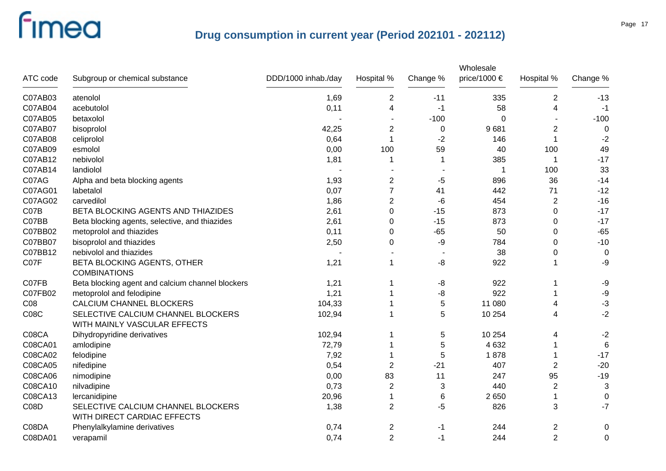| ATC code        | Subgroup or chemical substance                                     | DDD/1000 inhab./day | Hospital %     | Change % | Wholesale<br>price/1000 $\in$ | Hospital %     | Change %     |
|-----------------|--------------------------------------------------------------------|---------------------|----------------|----------|-------------------------------|----------------|--------------|
| C07AB03         | atenolol                                                           | 1,69                | $\overline{2}$ | $-11$    | 335                           | $\overline{2}$ | $-13$        |
| C07AB04         | acebutolol                                                         | 0,11                | 4              | -1       | 58                            | 4              | $-1$         |
| C07AB05         | betaxolol                                                          |                     |                | $-100$   | $\Omega$                      |                | $-100$       |
| C07AB07         | bisoprolol                                                         | 42,25               | $\overline{2}$ | 0        | 9681                          | 2              | $\mathbf 0$  |
| <b>C07AB08</b>  | celiprolol                                                         | 0,64                | 1              | $-2$     | 146                           | 1              | $-2$         |
| C07AB09         | esmolol                                                            | 0,00                | 100            | 59       | 40                            | 100            | 49           |
| C07AB12         | nebivolol                                                          | 1,81                | 1              | 1        | 385                           | $\mathbf 1$    | $-17$        |
| C07AB14         | landiolol                                                          |                     |                |          | 1                             | 100            | 33           |
| C07AG           | Alpha and beta blocking agents                                     | 1,93                | $\overline{2}$ | $-5$     | 896                           | 36             | $-14$        |
| C07AG01         | labetalol                                                          | 0,07                | $\overline{7}$ | 41       | 442                           | 71             | $-12$        |
| C07AG02         | carvedilol                                                         | 1,86                | 2              | -6       | 454                           | 2              | $-16$        |
| C07B            | BETA BLOCKING AGENTS AND THIAZIDES                                 | 2,61                | $\mathbf{0}$   | $-15$    | 873                           | $\Omega$       | $-17$        |
| C07BB           | Beta blocking agents, selective, and thiazides                     | 2,61                | 0              | $-15$    | 873                           | $\Omega$       | $-17$        |
| C07BB02         | metoprolol and thiazides                                           | 0,11                | $\Omega$       | $-65$    | 50                            | $\Omega$       | $-65$        |
| C07BB07         | bisoprolol and thiazides                                           | 2,50                | 0              | -9       | 784                           | $\Omega$       | $-10$        |
| C07BB12         | nebivolol and thiazides                                            |                     |                |          | 38                            | 0              | $\mathbf 0$  |
| C07F            | BETA BLOCKING AGENTS, OTHER<br><b>COMBINATIONS</b>                 | 1,21                | $\mathbf 1$    | -8       | 922                           |                | -9           |
| C07FB           | Beta blocking agent and calcium channel blockers                   | 1,21                |                | -8       | 922                           |                | -9           |
| C07FB02         | metoprolol and felodipine                                          | 1,21                |                | -8       | 922                           |                | $-9$         |
| C <sub>08</sub> | CALCIUM CHANNEL BLOCKERS                                           | 104,33              | -1             | 5        | 11 080                        | 4              | $-3$         |
| <b>C08C</b>     | SELECTIVE CALCIUM CHANNEL BLOCKERS<br>WITH MAINLY VASCULAR EFFECTS | 102,94              |                | 5        | 10 254                        | 4              | $-2$         |
| C08CA           | Dihydropyridine derivatives                                        | 102,94              |                | 5        | 10 254                        | 4              | $-2$         |
| C08CA01         | amlodipine                                                         | 72,79               |                | 5        | 4 6 3 2                       |                | $\,6$        |
| C08CA02         | felodipine                                                         | 7,92                |                | 5        | 1878                          |                | $-17$        |
| C08CA05         | nifedipine                                                         | 0,54                | $\overline{2}$ | $-21$    | 407                           | $\overline{2}$ | $-20$        |
| C08CA06         | nimodipine                                                         | 0,00                | 83             | 11       | 247                           | 95             | $-19$        |
| C08CA10         | nilvadipine                                                        | 0,73                | $\overline{2}$ | 3        | 440                           | $\overline{c}$ | $\mathbf{3}$ |
| C08CA13         | lercanidipine                                                      | 20,96               | 1              | 6        | 2650                          | 1              | $\mathbf 0$  |
| C08D            | SELECTIVE CALCIUM CHANNEL BLOCKERS<br>WITH DIRECT CARDIAC EFFECTS  | 1,38                | $\overline{2}$ | -5       | 826                           | 3              | $-7$         |
| C08DA           | Phenylalkylamine derivatives                                       | 0,74                | 2              | -1       | 244                           | $\overline{2}$ | 0            |
| C08DA01         | verapamil                                                          | 0,74                | $\overline{2}$ | -1       | 244                           | $\overline{2}$ | $\pmb{0}$    |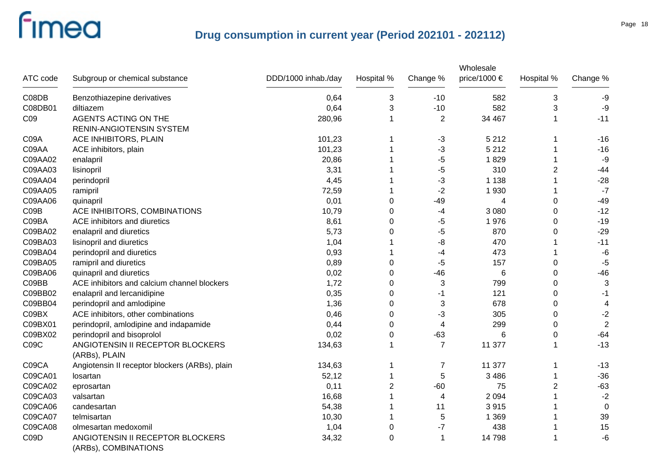| ATC code        | Subgroup or chemical substance                           | DDD/1000 inhab./day | Hospital %     | Change %       | Wholesale<br>price/1000 € | Hospital %     | Change %                 |
|-----------------|----------------------------------------------------------|---------------------|----------------|----------------|---------------------------|----------------|--------------------------|
|                 |                                                          |                     |                |                |                           |                |                          |
| C08DB           | Benzothiazepine derivatives                              | 0,64                | 3              | $-10$          | 582                       | 3              | -9                       |
| C08DB01         | diltiazem                                                | 0,64                | 3              | $-10$          | 582                       | 3              | -9                       |
| C <sub>09</sub> | <b>AGENTS ACTING ON THE</b>                              | 280,96              | -1             | $\overline{2}$ | 34 467                    |                | $-11$                    |
|                 | RENIN-ANGIOTENSIN SYSTEM                                 |                     |                |                |                           |                |                          |
| C09A            | ACE INHIBITORS, PLAIN                                    | 101,23              |                | $-3$           | 5 2 1 2                   | 1              | $-16$                    |
| C09AA           | ACE inhibitors, plain                                    | 101,23              |                | $-3$           | 5 2 1 2                   |                | $-16$                    |
| C09AA02         | enalapril                                                | 20,86               |                | -5             | 1829                      |                | $-9$                     |
| C09AA03         | lisinopril                                               | 3,31                |                | -5             | 310                       | $\overline{2}$ | $-44$                    |
| C09AA04         | perindopril                                              | 4,45                |                | -3             | 1 1 3 8                   |                | $-28$                    |
| C09AA05         | ramipril                                                 | 72,59               |                | $-2$           | 1930                      |                | $-7$                     |
| C09AA06         | quinapril                                                | 0,01                | 0              | $-49$          | 4                         | $\mathbf 0$    | $-49$                    |
| CO9B            | ACE INHIBITORS, COMBINATIONS                             | 10,79               | 0              | -4             | 3 0 8 0                   | 0              | $-12$                    |
| C09BA           | ACE inhibitors and diuretics                             | 8,61                | 0              | -5             | 1976                      | 0              | $-19$                    |
| C09BA02         | enalapril and diuretics                                  | 5,73                | 0              | -5             | 870                       | 0              | $-29$                    |
| C09BA03         | lisinopril and diuretics                                 | 1,04                |                | -8             | 470                       |                | $-11$                    |
| C09BA04         | perindopril and diuretics                                | 0,93                |                | -4             | 473                       |                | -6                       |
| C09BA05         | ramipril and diuretics                                   | 0,89                | 0              | -5             | 157                       | 0              | $-5$                     |
| C09BA06         | quinapril and diuretics                                  | 0,02                | 0              | $-46$          | 6                         | $\mathbf 0$    | $-46$                    |
| C09BB           | ACE inhibitors and calcium channel blockers              | 1,72                | 0              | 3              | 799                       | 0              | 3                        |
| C09BB02         | enalapril and lercanidipine                              | 0,35                | 0              | $-1$           | 121                       | $\pmb{0}$      | $-1$                     |
| C09BB04         | perindopril and amlodipine                               | 1,36                | $\mathbf 0$    | 3              | 678                       | 0              | $\overline{\mathcal{A}}$ |
| C09BX           | ACE inhibitors, other combinations                       | 0,46                | $\mathbf 0$    | -3             | 305                       | 0              | $-2$                     |
| C09BX01         | perindopril, amlodipine and indapamide                   | 0,44                | 0              | 4              | 299                       | $\mathbf 0$    | $\overline{2}$           |
| C09BX02         | perindopril and bisoprolol                               | 0,02                | 0              | -63            | 6                         | 0              | $-64$                    |
| C09C            | ANGIOTENSIN II RECEPTOR BLOCKERS                         | 134,63              | 1              | $\overline{7}$ | 11 377                    |                | $-13$                    |
|                 | (ARBs), PLAIN                                            |                     |                |                |                           |                |                          |
| C09CA           | Angiotensin II receptor blockers (ARBs), plain           | 134,63              |                | 7              | 11 377                    |                | $-13$                    |
| C09CA01         | losartan                                                 | 52,12               |                | 5              | 3 4 8 6                   |                | $-36$                    |
| C09CA02         | eprosartan                                               | 0,11                | $\overline{2}$ | $-60$          | 75                        | $\overline{c}$ | $-63$                    |
| C09CA03         | valsartan                                                | 16,68               |                | 4              | 2 0 9 4                   |                | $-2$                     |
| C09CA06         | candesartan                                              | 54,38               |                | 11             | 3915                      |                | $\mathbf 0$              |
| C09CA07         | telmisartan                                              | 10,30               |                | 5              | 1 3 6 9                   |                | 39                       |
| C09CA08         | olmesartan medoxomil                                     | 1,04                | $\mathbf 0$    | $-7$           | 438                       |                | 15                       |
| C09D            | ANGIOTENSIN II RECEPTOR BLOCKERS<br>(ARBs), COMBINATIONS | 34,32               | 0              | $\mathbf 1$    | 14798                     |                | $-6$                     |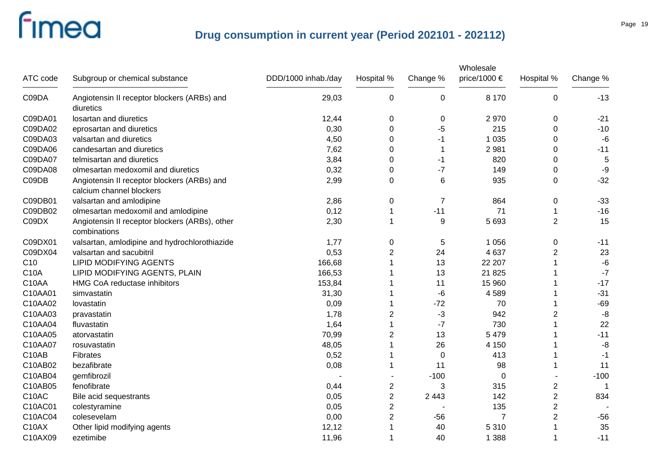| ATC code           | Subgroup or chemical substance                                          | DDD/1000 inhab./day | Hospital %     | Change %       | Wholesale<br>price/1000 € | Hospital %     | Change % |
|--------------------|-------------------------------------------------------------------------|---------------------|----------------|----------------|---------------------------|----------------|----------|
| C09DA              | Angiotensin II receptor blockers (ARBs) and<br>diuretics                | 29,03               | $\mathbf 0$    | 0              | 8 1 7 0                   | 0              | $-13$    |
| C09DA01            | losartan and diuretics                                                  | 12,44               | 0              | 0              | 2970                      | 0              | $-21$    |
| C09DA02            | eprosartan and diuretics                                                | 0,30                | 0              | $-5$           | 215                       | 0              | $-10$    |
| C09DA03            | valsartan and diuretics                                                 | 4,50                | 0              | $-1$           | 1 0 3 5                   | 0              | $-6$     |
| C09DA06            | candesartan and diuretics                                               | 7,62                | 0              | -1             | 2 9 8 1                   | 0              | $-11$    |
| C09DA07            | telmisartan and diuretics                                               | 3,84                | 0              | -1             | 820                       | 0              | 5        |
| C09DA08            | olmesartan medoxomil and diuretics                                      | 0,32                | $\Omega$       | $-7$           | 149                       | $\Omega$       | -9       |
| C09DB              | Angiotensin II receptor blockers (ARBs) and<br>calcium channel blockers | 2,99                | $\Omega$       | $\,6$          | 935                       | 0              | $-32$    |
| C09DB01            | valsartan and amlodipine                                                | 2,86                | 0              | $\overline{7}$ | 864                       | 0              | $-33$    |
| C09DB02            | olmesartan medoxomil and amlodipine                                     | 0,12                | 1              | $-11$          | 71                        | 1              | $-16$    |
| C09DX              | Angiotensin II receptor blockers (ARBs), other<br>combinations          | 2,30                | 1              | 9              | 5 6 9 3                   | $\overline{2}$ | 15       |
| C09DX01            | valsartan, amlodipine and hydrochlorothiazide                           | 1,77                | 0              | 5              | 1 0 5 6                   | 0              | $-11$    |
| C09DX04            | valsartan and sacubitril                                                | 0,53                | $\overline{2}$ | 24             | 4 6 3 7                   | $\overline{c}$ | 23       |
| C10                | <b>LIPID MODIFYING AGENTS</b>                                           | 166,68              |                | 13             | 22 207                    |                | $-6$     |
| <b>C10A</b>        | LIPID MODIFYING AGENTS, PLAIN                                           | 166,53              |                | 13             | 21 8 25                   | 1              | $-7$     |
| C10AA              | HMG CoA reductase inhibitors                                            | 153,84              |                | 11             | 15 960                    | 1              | $-17$    |
| C10AA01            | simvastatin                                                             | 31,30               | 1              | -6             | 4589                      | 1              | $-31$    |
| C10AA02            | lovastatin                                                              | 0,09                | 1              | $-72$          | 70                        | 1              | $-69$    |
| C10AA03            | pravastatin                                                             | 1,78                | 2              | $-3$           | 942                       | $\overline{2}$ | $-8$     |
| C10AA04            | fluvastatin                                                             | 1,64                | 1              | $-7$           | 730                       |                | 22       |
| C10AA05            | atorvastatin                                                            | 70,99               | 2              | 13             | 5 4 7 9                   |                | $-11$    |
| C10AA07            | rosuvastatin                                                            | 48,05               |                | 26             | 4 1 5 0                   |                | $-8$     |
| C10AB              | Fibrates                                                                | 0,52                | 1              | $\mathbf 0$    | 413                       | 1              | $-1$     |
| C10AB02            | bezafibrate                                                             | 0,08                | 1              | 11             | 98                        | 1              | 11       |
| C10AB04            | gemfibrozil                                                             |                     |                | $-100$         | 0                         |                | $-100$   |
| C10AB05            | fenofibrate                                                             | 0,44                | 2              | 3              | 315                       | 2              |          |
| C10AC              | Bile acid sequestrants                                                  | 0,05                | $\mathbf 2$    | 2 4 4 3        | 142                       | $\overline{c}$ | 834      |
| C10AC01            | colestyramine                                                           | 0,05                | 2              |                | 135                       | $\overline{c}$ |          |
| C10AC04            | colesevelam                                                             | 0,00                | 2              | $-56$          | 7                         | $\overline{c}$ | $-56$    |
| C <sub>10</sub> AX | Other lipid modifying agents                                            | 12,12               |                | 40             | 5 3 1 0                   |                | 35       |
| C10AX09            | ezetimibe                                                               | 11,96               | 1              | 40             | 1 3 8 8                   | 1              | $-11$    |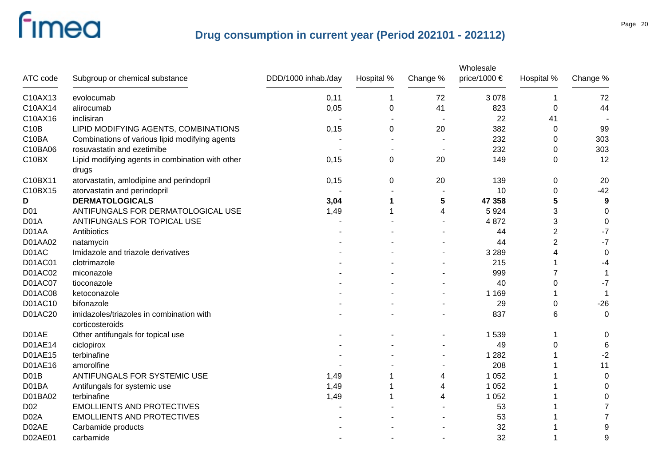|                   |                                                             |                     |            |          | Wholesale    |                |                  |
|-------------------|-------------------------------------------------------------|---------------------|------------|----------|--------------|----------------|------------------|
| ATC code          | Subgroup or chemical substance                              | DDD/1000 inhab./day | Hospital % | Change % | price/1000 € | Hospital %     | Change %         |
| C10AX13           | evolocumab                                                  | 0,11                | 1          | 72       | 3 0 7 8      | 1              | 72               |
| C10AX14           | alirocumab                                                  | 0,05                | 0          | 41       | 823          | 0              | 44               |
| C10AX16           | inclisiran                                                  |                     |            |          | 22           | 41             |                  |
| C10B              | LIPID MODIFYING AGENTS, COMBINATIONS                        | 0,15                | 0          | 20       | 382          | 0              | 99               |
| C10BA             | Combinations of various lipid modifying agents              |                     |            |          | 232          | 0              | 303              |
| C10BA06           | rosuvastatin and ezetimibe                                  |                     |            |          | 232          | 0              | 303              |
| C10BX             | Lipid modifying agents in combination with other<br>drugs   | 0,15                | 0          | 20       | 149          | 0              | 12               |
| C10BX11           | atorvastatin, amlodipine and perindopril                    | 0,15                | 0          | 20       | 139          | 0              | 20               |
| C10BX15           | atorvastatin and perindopril                                |                     |            |          | 10           | 0              | $-42$            |
| D                 | <b>DERMATOLOGICALS</b>                                      | 3,04                |            | 5        | 47 358       | 5              | $\boldsymbol{9}$ |
| D <sub>01</sub>   | ANTIFUNGALS FOR DERMATOLOGICAL USE                          | 1,49                |            | 4        | 5924         | 3              | $\mathbf 0$      |
| D <sub>0</sub> 1A | ANTIFUNGALS FOR TOPICAL USE                                 |                     |            |          | 4872         | 3              | $\mathbf 0$      |
| D01AA             | Antibiotics                                                 |                     |            |          | 44           | $\overline{2}$ | $-7$             |
| D01AA02           | natamycin                                                   |                     |            |          | 44           | $\overline{2}$ | $-7$             |
| D01AC             | Imidazole and triazole derivatives                          |                     |            |          | 3 2 8 9      | 4              | 0                |
| D01AC01           | clotrimazole                                                |                     |            |          | 215          |                | -4               |
| D01AC02           | miconazole                                                  |                     |            |          | 999          | 7              |                  |
| D01AC07           | tioconazole                                                 |                     |            |          | 40           | 0              | $-7$             |
| D01AC08           | ketoconazole                                                |                     |            |          | 1 1 6 9      |                |                  |
| D01AC10           | bifonazole                                                  |                     |            |          | 29           | 0              | $-26$            |
| D01AC20           | imidazoles/triazoles in combination with<br>corticosteroids |                     |            |          | 837          | 6              | 0                |
| D01AE             | Other antifungals for topical use                           |                     |            |          | 1 5 3 9      | 1              | 0                |
| D01AE14           | ciclopirox                                                  |                     |            |          | 49           | 0              | 6                |
| D01AE15           | terbinafine                                                 |                     |            |          | 1 2 8 2      |                | $-2$             |
| D01AE16           | amorolfine                                                  |                     |            |          | 208          |                | 11               |
| D <sub>0</sub> 1B | ANTIFUNGALS FOR SYSTEMIC USE                                | 1,49                |            | 4        | 1 0 5 2      |                | $\mathbf 0$      |
| D01BA             | Antifungals for systemic use                                | 1,49                |            | 4        | 1 0 5 2      |                | 0                |
| D01BA02           | terbinafine                                                 | 1,49                |            | 4        | 1 0 5 2      |                | 0                |
| D <sub>02</sub>   | <b>EMOLLIENTS AND PROTECTIVES</b>                           |                     |            |          | 53           |                | $\overline{7}$   |
| D <sub>02</sub> A | <b>EMOLLIENTS AND PROTECTIVES</b>                           |                     |            |          | 53           |                | $\overline{7}$   |
| D02AE             | Carbamide products                                          |                     |            |          | 32           |                | 9                |
| D02AE01           | carbamide                                                   |                     |            |          | 32           |                | 9                |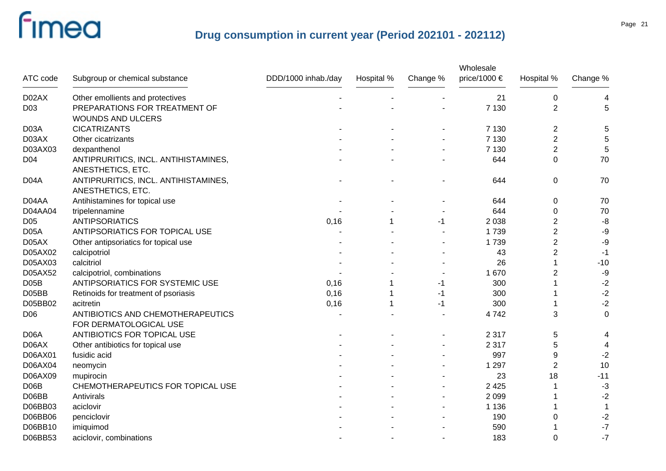|                   |                                      |                     |            |          | Wholesale<br>price/1000 € |                  |           |
|-------------------|--------------------------------------|---------------------|------------|----------|---------------------------|------------------|-----------|
| ATC code          | Subgroup or chemical substance       | DDD/1000 inhab./day | Hospital % | Change % |                           | Hospital %       | Change %  |
| D02AX             | Other emollients and protectives     |                     |            |          | 21                        | $\mathbf 0$      | 4         |
| D <sub>03</sub>   | PREPARATIONS FOR TREATMENT OF        |                     |            |          | 7 1 3 0                   | $\overline{2}$   | 5         |
|                   | <b>WOUNDS AND ULCERS</b>             |                     |            |          |                           |                  |           |
| D <sub>03</sub> A | <b>CICATRIZANTS</b>                  |                     |            |          | 7 1 3 0                   | 2                | 5         |
| D03AX             | Other cicatrizants                   |                     |            |          | 7 1 3 0                   | $\overline{c}$   | 5         |
| D03AX03           | dexpanthenol                         |                     |            |          | 7 1 3 0                   | $\overline{c}$   | 5         |
| D <sub>04</sub>   | ANTIPRURITICS, INCL. ANTIHISTAMINES, |                     |            |          | 644                       | 0                | 70        |
|                   | ANESTHETICS, ETC.                    |                     |            |          |                           |                  |           |
| D <sub>04</sub> A | ANTIPRURITICS, INCL. ANTIHISTAMINES, |                     |            |          | 644                       | $\boldsymbol{0}$ | 70        |
|                   | ANESTHETICS, ETC.                    |                     |            |          |                           |                  |           |
| D04AA             | Antihistamines for topical use       |                     |            |          | 644                       | 0                | 70        |
| D04AA04           | tripelennamine                       |                     |            |          | 644                       | 0                | 70        |
| D <sub>05</sub>   | <b>ANTIPSORIATICS</b>                | 0,16                |            | -1       | 2 0 38                    | 2                | -8        |
| D <sub>05</sub> A | ANTIPSORIATICS FOR TOPICAL USE       |                     |            |          | 1739                      | $\overline{2}$   | $-9$      |
| D05AX             | Other antipsoriatics for topical use |                     |            |          | 1739                      | $\overline{2}$   | $-9$      |
| D05AX02           | calcipotriol                         |                     |            |          | 43                        | $\overline{2}$   | $-1$      |
| D05AX03           | calcitriol                           |                     |            |          | 26                        | 1                | $-10$     |
| D05AX52           | calcipotriol, combinations           |                     |            |          | 1 670                     | $\overline{2}$   | $-9$      |
| D <sub>05</sub> B | ANTIPSORIATICS FOR SYSTEMIC USE      | 0,16                |            | -1       | 300                       |                  | $-2$      |
| D05BB             | Retinoids for treatment of psoriasis | 0,16                |            | -1       | 300                       |                  | $-2$      |
| D05BB02           | acitretin                            | 0,16                |            | -1       | 300                       |                  | $-2$      |
| D <sub>06</sub>   | ANTIBIOTICS AND CHEMOTHERAPEUTICS    |                     |            |          | 4742                      | 3                | $\pmb{0}$ |
|                   | FOR DERMATOLOGICAL USE               |                     |            |          |                           |                  |           |
| D <sub>06</sub> A | ANTIBIOTICS FOR TOPICAL USE          |                     |            |          | 2 3 1 7                   | 5                | 4         |
| D06AX             | Other antibiotics for topical use    |                     |            |          | 2 3 1 7                   | 5                | 4         |
| D06AX01           | fusidic acid                         |                     |            |          | 997                       | 9                | $-2$      |
| D06AX04           | neomycin                             |                     |            |          | 1 2 9 7                   | $\overline{2}$   | 10        |
| D06AX09           | mupirocin                            |                     |            |          | 23                        | 18               | $-11$     |
| D <sub>06</sub> B | CHEMOTHERAPEUTICS FOR TOPICAL USE    |                     |            |          | 2 4 2 5                   |                  | $-3$      |
| D06BB             | Antivirals                           |                     |            |          | 2 0 9 9                   |                  | $-2$      |
| D06BB03           | aciclovir                            |                     |            |          | 1 1 3 6                   |                  | -1        |
| D06BB06           | penciclovir                          |                     |            |          | 190                       | 0                | $-2$      |
| D06BB10           | imiquimod                            |                     |            |          | 590                       |                  | $-7$      |
| D06BB53           | aciclovir, combinations              |                     |            |          | 183                       | $\Omega$         | $-7$      |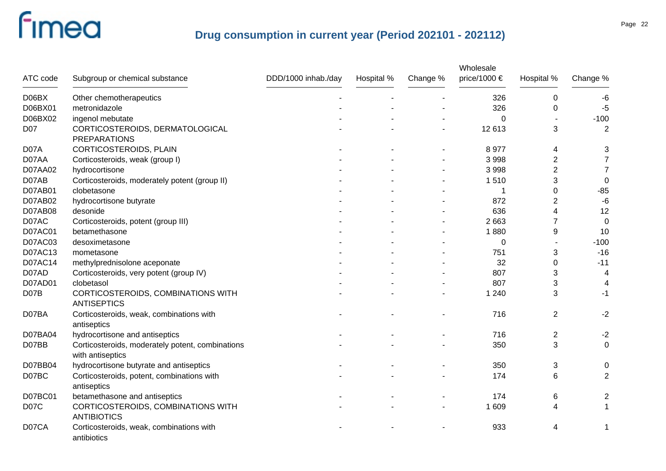|          |                                                                      |                     |            |          | Wholesale    |                |                         |
|----------|----------------------------------------------------------------------|---------------------|------------|----------|--------------|----------------|-------------------------|
| ATC code | Subgroup or chemical substance                                       | DDD/1000 inhab./day | Hospital % | Change % | price/1000 € | Hospital %     | Change %                |
| D06BX    | Other chemotherapeutics                                              |                     |            |          | 326          | 0              | -6                      |
| D06BX01  | metronidazole                                                        |                     |            |          | 326          | 0              | $-5$                    |
| D06BX02  | ingenol mebutate                                                     |                     |            |          | 0            |                | $-100$                  |
| D07      | CORTICOSTEROIDS, DERMATOLOGICAL<br><b>PREPARATIONS</b>               |                     |            |          | 12 613       | 3              | $\overline{2}$          |
| D07A     | CORTICOSTEROIDS, PLAIN                                               |                     |            |          | 8977         | 4              | 3                       |
| D07AA    | Corticosteroids, weak (group I)                                      |                     |            |          | 3 9 9 8      | $\overline{2}$ | $\overline{7}$          |
| D07AA02  | hydrocortisone                                                       |                     |            |          | 3 9 9 8      | $\overline{2}$ | $\overline{7}$          |
| D07AB    | Corticosteroids, moderately potent (group II)                        |                     |            |          | 1510         | 3              | 0                       |
| D07AB01  | clobetasone                                                          |                     |            |          |              | $\mathbf 0$    | $-85$                   |
| D07AB02  | hydrocortisone butyrate                                              |                     |            |          | 872          | $\overline{2}$ | $-6$                    |
| D07AB08  | desonide                                                             |                     |            |          | 636          | 4              | 12                      |
| D07AC    | Corticosteroids, potent (group III)                                  |                     |            |          | 2 6 6 3      | $\overline{7}$ | $\mathbf 0$             |
| D07AC01  | betamethasone                                                        |                     |            |          | 1880         | 9              | 10                      |
| D07AC03  | desoximetasone                                                       |                     |            |          | 0            |                | $-100$                  |
| D07AC13  | mometasone                                                           |                     |            |          | 751          | 3              | $-16$                   |
| D07AC14  | methylprednisolone aceponate                                         |                     |            |          | 32           | $\Omega$       | $-11$                   |
| D07AD    | Corticosteroids, very potent (group IV)                              |                     |            |          | 807          | 3              | $\overline{4}$          |
| D07AD01  | clobetasol                                                           |                     |            |          | 807          | 3              | 4                       |
| D07B     | CORTICOSTEROIDS, COMBINATIONS WITH<br><b>ANTISEPTICS</b>             |                     |            |          | 1 2 4 0      | 3              | -1                      |
| D07BA    | Corticosteroids, weak, combinations with<br>antiseptics              |                     |            |          | 716          | $\overline{2}$ | $-2$                    |
| D07BA04  | hydrocortisone and antiseptics                                       |                     |            |          | 716          | 2              | $-2$                    |
| D07BB    | Corticosteroids, moderately potent, combinations<br>with antiseptics |                     |            |          | 350          | 3              | $\pmb{0}$               |
| D07BB04  | hydrocortisone butyrate and antiseptics                              |                     |            |          | 350          | 3              | 0                       |
| D07BC    | Corticosteroids, potent, combinations with<br>antiseptics            |                     |            |          | 174          | 6              | $\overline{2}$          |
| D07BC01  | betamethasone and antiseptics                                        |                     |            |          | 174          | 6              | $\overline{\mathbf{c}}$ |
| D07C     | CORTICOSTEROIDS, COMBINATIONS WITH<br><b>ANTIBIOTICS</b>             |                     |            |          | 1 609        | 4              | 1                       |
| D07CA    | Corticosteroids, weak, combinations with<br>antibiotics              |                     |            |          | 933          | 4              | 1                       |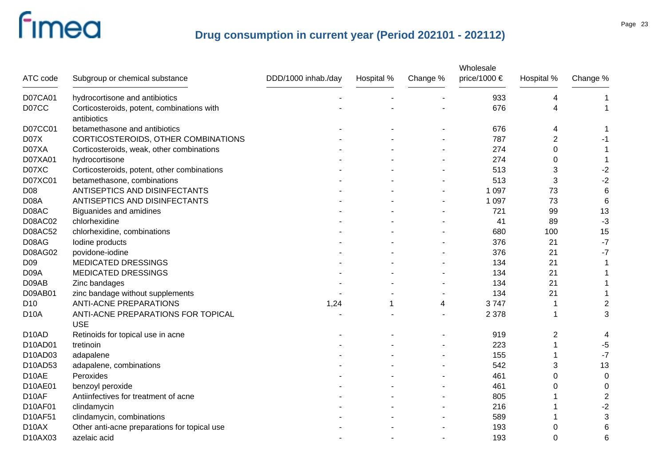|                    |                                                           |                     |            |          | Wholesale    |            |                           |
|--------------------|-----------------------------------------------------------|---------------------|------------|----------|--------------|------------|---------------------------|
| ATC code           | Subgroup or chemical substance                            | DDD/1000 inhab./day | Hospital % | Change % | price/1000 € | Hospital % | Change %                  |
| D07CA01            | hydrocortisone and antibiotics                            |                     |            |          | 933          | 4          |                           |
| D07CC              | Corticosteroids, potent, combinations with<br>antibiotics |                     |            |          | 676          | 4          |                           |
| D07CC01            | betamethasone and antibiotics                             |                     |            |          | 676          | 4          |                           |
| D07X               | CORTICOSTEROIDS, OTHER COMBINATIONS                       |                     |            |          | 787          | 2          | -1                        |
| D07XA              | Corticosteroids, weak, other combinations                 |                     |            |          | 274          | 0          | 1                         |
| D07XA01            | hydrocortisone                                            |                     |            |          | 274          | 0          | 1                         |
| D07XC              | Corticosteroids, potent, other combinations               |                     |            |          | 513          | 3          | $-2$                      |
| D07XC01            | betamethasone, combinations                               |                     |            |          | 513          | 3          | $-2$                      |
| D08                | ANTISEPTICS AND DISINFECTANTS                             |                     |            |          | 1 0 9 7      | 73         | 6                         |
| D08A               | ANTISEPTICS AND DISINFECTANTS                             |                     |            |          | 1 0 9 7      | 73         | 6                         |
| D08AC              | <b>Biguanides and amidines</b>                            |                     |            |          | 721          | 99         | 13                        |
| <b>D08AC02</b>     | chlorhexidine                                             |                     |            |          | 41           | 89         | $-3$                      |
| <b>D08AC52</b>     | chlorhexidine, combinations                               |                     |            |          | 680          | 100        | 15                        |
| D08AG              | lodine products                                           |                     |            |          | 376          | 21         | $-7$                      |
| D08AG02            | povidone-iodine                                           |                     |            |          | 376          | 21         | $-7$                      |
| D <sub>09</sub>    | <b>MEDICATED DRESSINGS</b>                                |                     |            |          | 134          | 21         |                           |
| D <sub>09</sub> A  | <b>MEDICATED DRESSINGS</b>                                |                     |            |          | 134          | 21         |                           |
| D09AB              | Zinc bandages                                             |                     |            |          | 134          | 21         |                           |
| D09AB01            | zinc bandage without supplements                          |                     |            |          | 134          | 21         |                           |
| D <sub>10</sub>    | <b>ANTI-ACNE PREPARATIONS</b>                             | 1,24                | 1          | 4        | 3747         |            | $\overline{\mathbf{c}}$   |
| D <sub>10</sub> A  | ANTI-ACNE PREPARATIONS FOR TOPICAL<br><b>USE</b>          |                     |            |          | 2 3 7 8      |            | $\ensuremath{\mathsf{3}}$ |
| D <sub>10</sub> AD | Retinoids for topical use in acne                         |                     |            |          | 919          | 2          | 4                         |
| D10AD01            | tretinoin                                                 |                     |            |          | 223          |            | $-5$                      |
| D10AD03            | adapalene                                                 |                     |            |          | 155          |            | $-7$                      |
| D10AD53            | adapalene, combinations                                   |                     |            |          | 542          | 3          | 13                        |
| D <sub>10</sub> AE | Peroxides                                                 |                     |            |          | 461          | 0          | 0                         |
| D10AE01            | benzoyl peroxide                                          |                     |            |          | 461          | 0          | 0                         |
| D10AF              | Antiinfectives for treatment of acne                      |                     |            |          | 805          |            | $\overline{\mathbf{c}}$   |
| D10AF01            | clindamycin                                               |                     |            |          | 216          |            | $-2$                      |
| D10AF51            | clindamycin, combinations                                 |                     |            |          | 589          |            | $\sqrt{3}$                |
| D <sub>10</sub> AX | Other anti-acne preparations for topical use              |                     |            |          | 193          | 0          | 6                         |
| D10AX03            | azelaic acid                                              |                     |            |          | 193          | 0          | 6                         |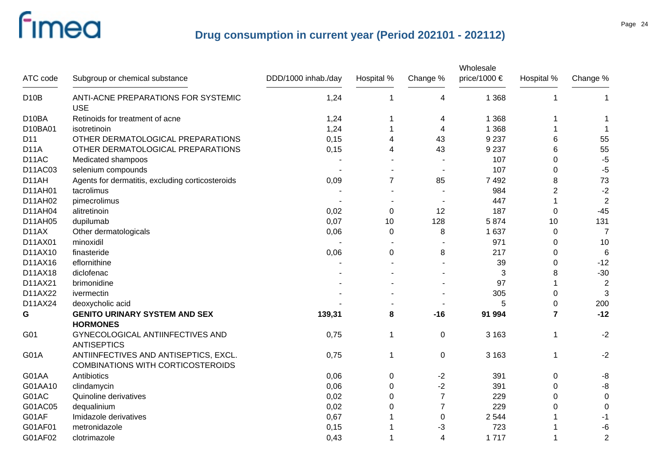| ATC code           | Subgroup or chemical substance                                                    | DDD/1000 inhab./day | Hospital %     | Change %       | Wholesale<br>price/1000 € | Hospital %     | Change %         |
|--------------------|-----------------------------------------------------------------------------------|---------------------|----------------|----------------|---------------------------|----------------|------------------|
| <b>D10B</b>        | ANTI-ACNE PREPARATIONS FOR SYSTEMIC<br><b>USE</b>                                 | 1,24                | $\overline{1}$ | 4              | 1 3 6 8                   | 1              | $\mathbf 1$      |
| D <sub>10</sub> BA | Retinoids for treatment of acne                                                   | 1,24                |                | 4              | 1 3 6 8                   | 1              |                  |
| D10BA01            | isotretinoin                                                                      | 1,24                |                | 4              | 1 3 6 8                   | 1              |                  |
| D11                | OTHER DERMATOLOGICAL PREPARATIONS                                                 | 0,15                | 4              | 43             | 9 2 3 7                   | 6              | 55               |
| <b>D11A</b>        | OTHER DERMATOLOGICAL PREPARATIONS                                                 | 0,15                | 4              | 43             | 9 2 3 7                   | 6              | 55               |
| D <sub>14</sub> C  | Medicated shampoos                                                                |                     |                |                | 107                       | $\Omega$       | $-5$             |
| D11AC03            | selenium compounds                                                                |                     |                |                | 107                       | $\Omega$       | $-5$             |
| D11AH              | Agents for dermatitis, excluding corticosteroids                                  | 0,09                | $\overline{7}$ | 85             | 7492                      | 8              | 73               |
| D11AH01            | tacrolimus                                                                        |                     |                |                | 984                       | $\overline{2}$ | $-2$             |
| D11AH02            | pimecrolimus                                                                      |                     |                |                | 447                       | 1              | $\overline{2}$   |
| D11AH04            | alitretinoin                                                                      | 0,02                | 0              | 12             | 187                       | 0              | $-45$            |
| D11AH05            | dupilumab                                                                         | 0,07                | 10             | 128            | 5874                      | 10             | 131              |
| D11AX              | Other dermatologicals                                                             | 0,06                | 0              | 8              | 1 6 3 7                   | 0              | $\overline{7}$   |
| D11AX01            | minoxidil                                                                         |                     |                |                | 971                       | 0              | 10               |
| D11AX10            | finasteride                                                                       | 0,06                | 0              | 8              | 217                       | 0              | $6\phantom{1}6$  |
| D11AX16            | eflornithine                                                                      |                     |                |                | 39                        | 0              | $-12$            |
| D11AX18            | diclofenac                                                                        |                     |                |                | 3                         | 8              | $-30$            |
| D11AX21            | brimonidine                                                                       |                     |                |                | 97                        | 1              | $\overline{2}$   |
| D11AX22            | ivermectin                                                                        |                     |                |                | 305                       | 0              | 3                |
| D11AX24            | deoxycholic acid                                                                  |                     |                |                | 5                         | 0              | 200              |
| G                  | <b>GENITO URINARY SYSTEM AND SEX</b><br><b>HORMONES</b>                           | 139,31              | 8              | $-16$          | 91 994                    | $\overline{7}$ | $-12$            |
| G01                | GYNECOLOGICAL ANTIINFECTIVES AND<br><b>ANTISEPTICS</b>                            | 0,75                | $\mathbf 1$    | $\mathbf 0$    | 3 1 6 3                   | 1              | $-2$             |
| <b>G01A</b>        | ANTIINFECTIVES AND ANTISEPTICS, EXCL.<br><b>COMBINATIONS WITH CORTICOSTEROIDS</b> | 0,75                | 1              | 0              | 3 1 6 3                   | 1              | $-2$             |
| G01AA              | Antibiotics                                                                       | 0,06                | 0              | $-2$           | 391                       | 0              | -8               |
| G01AA10            | clindamycin                                                                       | 0,06                | 0              | $-2$           | 391                       | 0              | $-8$             |
| G01AC              | Quinoline derivatives                                                             | 0,02                | $\mathbf 0$    | $\overline{7}$ | 229                       | 0              | $\boldsymbol{0}$ |
| G01AC05            | dequalinium                                                                       | 0,02                | 0              | $\overline{7}$ | 229                       | 0              | $\mathbf 0$      |
| G01AF              | Imidazole derivatives                                                             | 0,67                |                | 0              | 2 5 4 4                   |                | -1               |
| G01AF01            | metronidazole                                                                     | 0,15                |                | -3             | 723                       |                | $-6$             |
| G01AF02            | clotrimazole                                                                      | 0,43                | 1              | 4              | 1717                      | 1              | $\overline{2}$   |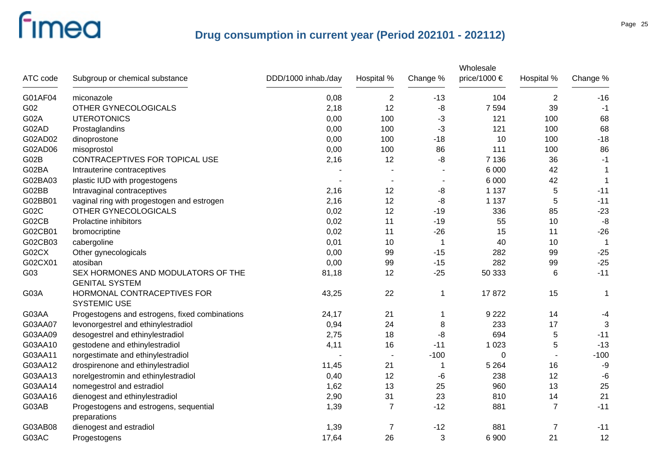|          |                                                             |                     |                |             | Wholesale    |                |                |
|----------|-------------------------------------------------------------|---------------------|----------------|-------------|--------------|----------------|----------------|
| ATC code | Subgroup or chemical substance                              | DDD/1000 inhab./day | Hospital %     | Change %    | price/1000 € | Hospital %     | Change %       |
| G01AF04  | miconazole                                                  | 0,08                | $\overline{2}$ | $-13$       | 104          | $\overline{2}$ | $-16$          |
| G02      | OTHER GYNECOLOGICALS                                        | 2,18                | 12             | -8          | 7 5 9 4      | 39             | $-1$           |
| G02A     | <b>UTEROTONICS</b>                                          | 0,00                | 100            | -3          | 121          | 100            | 68             |
| G02AD    | Prostaglandins                                              | 0,00                | 100            | $-3$        | 121          | 100            | 68             |
| G02AD02  | dinoprostone                                                | 0,00                | 100            | $-18$       | 10           | 100            | $-18$          |
| G02AD06  | misoprostol                                                 | 0,00                | 100            | 86          | 111          | 100            | 86             |
| G02B     | CONTRACEPTIVES FOR TOPICAL USE                              | 2,16                | 12             | -8          | 7 1 3 6      | 36             | $-1$           |
| G02BA    | Intrauterine contraceptives                                 |                     |                |             | 6 0 0 0      | 42             | -1             |
| G02BA03  | plastic IUD with progestogens                               |                     |                |             | 6 0 0 0      | 42             | $\mathbf 1$    |
| G02BB    | Intravaginal contraceptives                                 | 2,16                | 12             | -8          | 1 1 3 7      | $\mathbf 5$    | $-11$          |
| G02BB01  | vaginal ring with progestogen and estrogen                  | 2,16                | 12             | -8          | 1 1 3 7      | 5              | $-11$          |
| G02C     | OTHER GYNECOLOGICALS                                        | 0,02                | 12             | $-19$       | 336          | 85             | $-23$          |
| G02CB    | Prolactine inhibitors                                       | 0,02                | 11             | $-19$       | 55           | 10             | $-8$           |
| G02CB01  | bromocriptine                                               | 0,02                | 11             | $-26$       | 15           | 11             | $-26$          |
| G02CB03  | cabergoline                                                 | 0,01                | 10             | $\mathbf 1$ | 40           | 10             | $\overline{1}$ |
| G02CX    | Other gynecologicals                                        | 0,00                | 99             | $-15$       | 282          | 99             | $-25$          |
| G02CX01  | atosiban                                                    | 0,00                | 99             | $-15$       | 282          | 99             | $-25$          |
| G03      | SEX HORMONES AND MODULATORS OF THE<br><b>GENITAL SYSTEM</b> | 81,18               | 12             | $-25$       | 50 333       | 6              | $-11$          |
| G03A     | HORMONAL CONTRACEPTIVES FOR<br><b>SYSTEMIC USE</b>          | 43,25               | 22             | 1           | 17872        | 15             | 1              |
| G03AA    | Progestogens and estrogens, fixed combinations              | 24,17               | 21             | 1           | 9 2 2 2      | 14             | $-4$           |
| G03AA07  | levonorgestrel and ethinylestradiol                         | 0,94                | 24             | 8           | 233          | 17             | 3              |
| G03AA09  | desogestrel and ethinylestradiol                            | 2,75                | 18             | -8          | 694          | 5              | $-11$          |
| G03AA10  | gestodene and ethinylestradiol                              | 4,11                | 16             | $-11$       | 1 0 2 3      | 5              | $-13$          |
| G03AA11  | norgestimate and ethinylestradiol                           |                     |                | $-100$      | 0            |                | $-100$         |
| G03AA12  | drospirenone and ethinylestradiol                           | 11,45               | 21             | 1           | 5 2 6 4      | 16             | -9             |
| G03AA13  | norelgestromin and ethinylestradiol                         | 0,40                | 12             | -6          | 238          | 12             | $-6$           |
| G03AA14  | nomegestrol and estradiol                                   | 1,62                | 13             | 25          | 960          | 13             | 25             |
| G03AA16  | dienogest and ethinylestradiol                              | 2,90                | 31             | 23          | 810          | 14             | 21             |
| G03AB    | Progestogens and estrogens, sequential<br>preparations      | 1,39                | $\overline{7}$ | $-12$       | 881          | $\overline{7}$ | $-11$          |
| G03AB08  | dienogest and estradiol                                     | 1,39                | 7              | $-12$       | 881          | $\overline{7}$ | $-11$          |
| G03AC    | Progestogens                                                | 17,64               | 26             | 3           | 6 9 0 0      | 21             | 12             |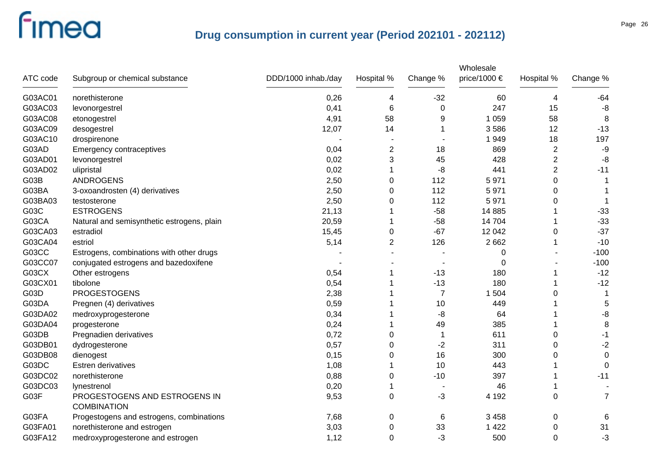|          |                                            |                     |                |                | Wholesale             |                         |                |
|----------|--------------------------------------------|---------------------|----------------|----------------|-----------------------|-------------------------|----------------|
| ATC code | Subgroup or chemical substance             | DDD/1000 inhab./day | Hospital %     | Change %       | price/1000 $\epsilon$ | Hospital %              | Change %       |
| G03AC01  | norethisterone                             | 0,26                | 4              | $-32$          | 60                    | 4                       | -64            |
| G03AC03  | levonorgestrel                             | 0,41                | 6              | 0              | 247                   | 15                      | -8             |
| G03AC08  | etonogestrel                               | 4,91                | 58             | 9              | 1 0 5 9               | 58                      | 8              |
| G03AC09  | desogestrel                                | 12,07               | 14             |                | 3586                  | 12                      | $-13$          |
| G03AC10  | drospirenone                               |                     |                |                | 1949                  | 18                      | 197            |
| G03AD    | Emergency contraceptives                   | 0,04                | 2              | 18             | 869                   | $\overline{\mathbf{c}}$ | $-9$           |
| G03AD01  | levonorgestrel                             | 0,02                | 3              | 45             | 428                   | $\overline{c}$          | -8             |
| G03AD02  | ulipristal                                 | 0,02                | 1              | -8             | 441                   | $\overline{2}$          | $-11$          |
| G03B     | <b>ANDROGENS</b>                           | 2,50                | 0              | 112            | 5971                  | 0                       |                |
| G03BA    | 3-oxoandrosten (4) derivatives             | 2,50                | 0              | 112            | 5971                  | 0                       |                |
| G03BA03  | testosterone                               | 2,50                | 0              | 112            | 5971                  | 0                       | 1              |
| G03C     | <b>ESTROGENS</b>                           | 21,13               |                | $-58$          | 14 8 85               |                         | $-33$          |
| G03CA    | Natural and semisynthetic estrogens, plain | 20,59               | 1              | $-58$          | 14 704                |                         | $-33$          |
| G03CA03  | estradiol                                  | 15,45               | 0              | $-67$          | 12 042                | 0                       | $-37$          |
| G03CA04  | estriol                                    | 5,14                | $\overline{2}$ | 126            | 2 6 6 2               |                         | $-10$          |
| G03CC    | Estrogens, combinations with other drugs   |                     |                |                | 0                     |                         | $-100$         |
| G03CC07  | conjugated estrogens and bazedoxifene      |                     |                |                | 0                     |                         | $-100$         |
| G03CX    | Other estrogens                            | 0,54                |                | $-13$          | 180                   |                         | $-12$          |
| G03CX01  | tibolone                                   | 0,54                |                | $-13$          | 180                   |                         | $-12$          |
| G03D     | <b>PROGESTOGENS</b>                        | 2,38                |                | $\overline{7}$ | 1 504                 | 0                       | 1              |
| G03DA    | Pregnen (4) derivatives                    | 0,59                |                | 10             | 449                   |                         | 5              |
| G03DA02  | medroxyprogesterone                        | 0,34                |                | -8             | 64                    |                         | -8             |
| G03DA04  | progesterone                               | 0,24                | 1              | 49             | 385                   |                         | 8              |
| G03DB    | Pregnadien derivatives                     | 0,72                | 0              | 1              | 611                   | 0                       | $-1$           |
| G03DB01  | dydrogesterone                             | 0,57                | 0              | $-2$           | 311                   | 0                       | $-2$           |
| G03DB08  | dienogest                                  | 0,15                | 0              | 16             | 300                   | 0                       | $\mathbf 0$    |
| G03DC    | <b>Estren derivatives</b>                  | 1,08                |                | 10             | 443                   |                         | $\Omega$       |
| G03DC02  | norethisterone                             | 0,88                | 0              | $-10$          | 397                   |                         | $-11$          |
| G03DC03  | lynestrenol                                | 0,20                | 1              |                | 46                    |                         |                |
| G03F     | PROGESTOGENS AND ESTROGENS IN              | 9,53                | 0              | $-3$           | 4 1 9 2               | 0                       | $\overline{7}$ |
|          | <b>COMBINATION</b>                         |                     |                |                |                       |                         |                |
| G03FA    | Progestogens and estrogens, combinations   | 7,68                | 0              | 6              | 3 4 5 8               | 0                       | 6              |
| G03FA01  | norethisterone and estrogen                | 3,03                | 0              | 33             | 1 4 2 2               | 0                       | 31             |
| G03FA12  | medroxyprogesterone and estrogen           | 1,12                | 0              | $-3$           | 500                   | 0                       | $-3$           |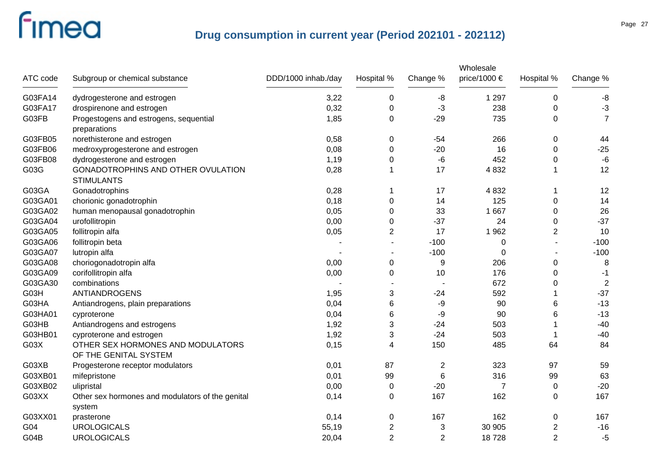|          |                                                            |                     |                |                | Wholesale    |                  |                |
|----------|------------------------------------------------------------|---------------------|----------------|----------------|--------------|------------------|----------------|
| ATC code | Subgroup or chemical substance                             | DDD/1000 inhab./day | Hospital %     | Change %       | price/1000 € | Hospital %       | Change %       |
| G03FA14  | dydrogesterone and estrogen                                | 3,22                | $\mathbf 0$    | -8             | 1 2 9 7      | 0                | -8             |
| G03FA17  | drospirenone and estrogen                                  | 0,32                | $\mathbf 0$    | $-3$           | 238          | 0                | $-3$           |
| G03FB    | Progestogens and estrogens, sequential<br>preparations     | 1,85                | $\mathbf 0$    | $-29$          | 735          | $\boldsymbol{0}$ | $\overline{7}$ |
| G03FB05  | norethisterone and estrogen                                | 0,58                | $\pmb{0}$      | $-54$          | 266          | 0                | 44             |
| G03FB06  | medroxyprogesterone and estrogen                           | 0,08                | 0              | $-20$          | 16           | 0                | $-25$          |
| G03FB08  | dydrogesterone and estrogen                                | 1,19                | 0              | -6             | 452          | 0                | $-6$           |
| G03G     | GONADOTROPHINS AND OTHER OVULATION<br><b>STIMULANTS</b>    | 0,28                | -1             | 17             | 4 8 3 2      | 1                | 12             |
| G03GA    | Gonadotrophins                                             | 0,28                |                | 17             | 4 8 3 2      |                  | 12             |
| G03GA01  | chorionic gonadotrophin                                    | 0,18                | 0              | 14             | 125          | $\pmb{0}$        | 14             |
| G03GA02  | human menopausal gonadotrophin                             | 0,05                | 0              | 33             | 1 6 6 7      | $\pmb{0}$        | 26             |
| G03GA04  | urofollitropin                                             | 0,00                | 0              | $-37$          | 24           | $\pmb{0}$        | $-37$          |
| G03GA05  | follitropin alfa                                           | 0,05                | $\overline{2}$ | 17             | 1962         | 2                | 10             |
| G03GA06  | follitropin beta                                           |                     |                | $-100$         | 0            |                  | $-100$         |
| G03GA07  | lutropin alfa                                              |                     |                | $-100$         | 0            |                  | $-100$         |
| G03GA08  | choriogonadotropin alfa                                    | 0,00                | 0              | 9              | 206          | 0                | 8              |
| G03GA09  | corifollitropin alfa                                       | 0,00                | 0              | 10             | 176          | 0                | $-1$           |
| G03GA30  | combinations                                               |                     |                |                | 672          | 0                | $\overline{2}$ |
| G03H     | ANTIANDROGENS                                              | 1,95                | 3              | $-24$          | 592          |                  | $-37$          |
| G03HA    | Antiandrogens, plain preparations                          | 0,04                | 6              | -9             | 90           | 6                | $-13$          |
| G03HA01  | cyproterone                                                | 0,04                | 6              | -9             | 90           | 6                | $-13$          |
| G03HB    | Antiandrogens and estrogens                                | 1,92                | 3              | -24            | 503          |                  | $-40$          |
| G03HB01  | cyproterone and estrogen                                   | 1,92                | 3              | $-24$          | 503          |                  | $-40$          |
| G03X     | OTHER SEX HORMONES AND MODULATORS<br>OF THE GENITAL SYSTEM | 0,15                | 4              | 150            | 485          | 64               | 84             |
| G03XB    | Progesterone receptor modulators                           | 0,01                | 87             | 2              | 323          | 97               | 59             |
| G03XB01  | mifepristone                                               | 0,01                | 99             | 6              | 316          | 99               | 63             |
| G03XB02  | ulipristal                                                 | 0,00                | 0              | $-20$          | 7            | 0                | $-20$          |
| G03XX    | Other sex hormones and modulators of the genital<br>system | 0,14                | $\mathbf 0$    | 167            | 162          | 0                | 167            |
| G03XX01  | prasterone                                                 | 0,14                | 0              | 167            | 162          | 0                | 167            |
| G04      | <b>UROLOGICALS</b>                                         | 55,19               | $\overline{c}$ | 3              | 30 905       | 2                | $-16$          |
| G04B     | <b>UROLOGICALS</b>                                         | 20,04               | $\overline{2}$ | $\overline{2}$ | 18728        | $\overline{2}$   | $-5$           |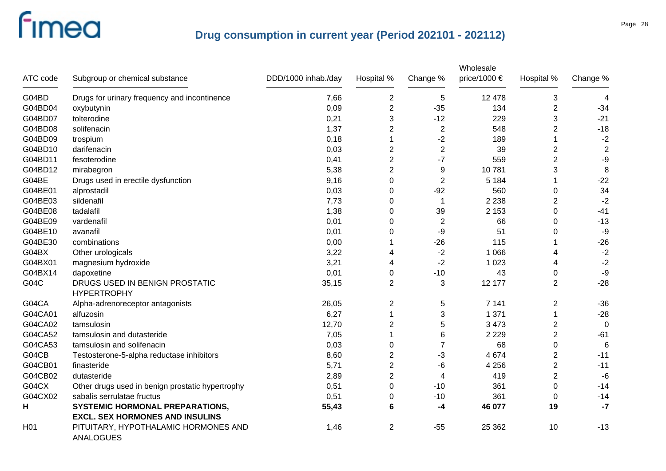|                  |                                                                                  |                     |                  |                | Wholesale    |                |              |
|------------------|----------------------------------------------------------------------------------|---------------------|------------------|----------------|--------------|----------------|--------------|
| ATC code         | Subgroup or chemical substance                                                   | DDD/1000 inhab./day | Hospital %       | Change %       | price/1000 € | Hospital %     | Change %     |
| G04BD            | Drugs for urinary frequency and incontinence                                     | 7,66                | $\overline{2}$   | 5              | 12 478       | 3              | 4            |
| G04BD04          | oxybutynin                                                                       | 0,09                | $\overline{2}$   | $-35$          | 134          | 2              | $-34$        |
| G04BD07          | tolterodine                                                                      | 0,21                | 3                | $-12$          | 229          | 3              | $-21$        |
| G04BD08          | solifenacin                                                                      | 1,37                | 2                | $\sqrt{2}$     | 548          | $\overline{c}$ | $-18$        |
| G04BD09          | trospium                                                                         | 0,18                | 1                | $-2$           | 189          |                | $-2$         |
| G04BD10          | darifenacin                                                                      | 0,03                | $\boldsymbol{2}$ | $\sqrt{2}$     | 39           | 2              | 2            |
| G04BD11          | fesoterodine                                                                     | 0,41                | $\mathbf 2$      | $-7$           | 559          | $\overline{c}$ | -9           |
| G04BD12          | mirabegron                                                                       | 5,38                | $\mathbf 2$      | 9              | 10781        | 3              | 8            |
| G04BE            | Drugs used in erectile dysfunction                                               | 9,16                | $\mathbf 0$      | $\overline{2}$ | 5 1 8 4      |                | $-22$        |
| G04BE01          | alprostadil                                                                      | 0,03                | $\mathbf 0$      | $-92$          | 560          | 0              | 34           |
| G04BE03          | sildenafil                                                                       | 7,73                | 0                | 1              | 2 2 3 8      | $\overline{2}$ | $-2$         |
| G04BE08          | tadalafil                                                                        | 1,38                | $\Omega$         | 39             | 2 1 5 3      | 0              | $-41$        |
| G04BE09          | vardenafil                                                                       | 0,01                | $\Omega$         | $\overline{2}$ | 66           | $\Omega$       | $-13$        |
| G04BE10          | avanafil                                                                         | 0,01                | $\Omega$         | $-9$           | 51           | 0              | $-9$         |
| G04BE30          | combinations                                                                     | 0,00                |                  | $-26$          | 115          |                | $-26$        |
| G04BX            | Other urologicals                                                                | 3,22                | 4                | $-2$           | 1 0 6 6      | 4              | $-2$         |
| G04BX01          | magnesium hydroxide                                                              | 3,21                | 4                | $-2$           | 1 0 2 3      | 4              | $-2$         |
| G04BX14          | dapoxetine                                                                       | 0,01                | 0                | $-10$          | 43           | 0              | -9           |
| G04C             | DRUGS USED IN BENIGN PROSTATIC<br><b>HYPERTROPHY</b>                             | 35,15               | $\overline{2}$   | 3              | 12 177       | $\overline{2}$ | $-28$        |
| G04CA            | Alpha-adrenoreceptor antagonists                                                 | 26,05               | 2                | 5              | 7 1 4 1      | 2              | $-36$        |
| G04CA01          | alfuzosin                                                                        | 6,27                | $\overline{1}$   | 3              | 1 3 7 1      |                | $-28$        |
| G04CA02          | tamsulosin                                                                       | 12,70               | $\overline{2}$   | 5              | 3 4 7 3      | $\overline{2}$ | $\mathbf{0}$ |
| G04CA52          | tamsulosin and dutasteride                                                       | 7,05                | 1                | $\,6$          | 2 2 2 9      | $\overline{2}$ | $-61$        |
| G04CA53          | tamsulosin and solifenacin                                                       | 0,03                | $\mathbf 0$      | $\overline{7}$ | 68           | 0              | 6            |
| G04CB            | Testosterone-5-alpha reductase inhibitors                                        | 8,60                | $\boldsymbol{2}$ | -3             | 4 6 7 4      | 2              | $-11$        |
| G04CB01          | finasteride                                                                      | 5,71                | $\mathbf 2$      | -6             | 4 2 5 6      | 2              | $-11$        |
| G04CB02          | dutasteride                                                                      | 2,89                | $\mathbf 2$      | 4              | 419          | $\overline{c}$ | $-6$         |
| G04CX            | Other drugs used in benign prostatic hypertrophy                                 | 0,51                | 0                | $-10$          | 361          | 0              | $-14$        |
| G04CX02          | sabalis serrulatae fructus                                                       | 0,51                | 0                | $-10$          | 361          | 0              | $-14$        |
| н                | <b>SYSTEMIC HORMONAL PREPARATIONS,</b><br><b>EXCL. SEX HORMONES AND INSULINS</b> | 55,43               | 6                | -4             | 46 077       | 19             | $-7$         |
| H <sub>0</sub> 1 | PITUITARY, HYPOTHALAMIC HORMONES AND<br><b>ANALOGUES</b>                         | 1,46                | $\overline{2}$   | $-55$          | 25 362       | 10             | $-13$        |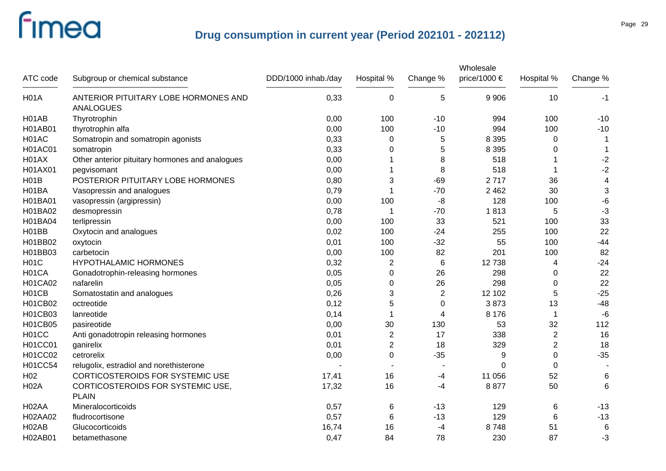| ATC code           | Subgroup or chemical substance                           | DDD/1000 inhab./day | Hospital %       | Change %       | Wholesale<br>price/1000 $\epsilon$ | Hospital %     | Change %                |
|--------------------|----------------------------------------------------------|---------------------|------------------|----------------|------------------------------------|----------------|-------------------------|
| <b>H01A</b>        | ANTERIOR PITUITARY LOBE HORMONES AND<br><b>ANALOGUES</b> | 0,33                | $\boldsymbol{0}$ | 5              | 9 9 0 6                            | 10             | $-1$                    |
| H <sub>01</sub> AB | Thyrotrophin                                             | 0,00                | 100              | $-10$          | 994                                | 100            | $-10$                   |
| <b>H01AB01</b>     | thyrotrophin alfa                                        | 0,00                | 100              | $-10$          | 994                                | 100            | $-10$                   |
| H01AC              | Somatropin and somatropin agonists                       | 0,33                | 0                | 5              | 8 3 9 5                            | 0              | -1                      |
| <b>H01AC01</b>     | somatropin                                               | 0,33                | 0                | 5              | 8 3 9 5                            | 0              | $\mathbf 1$             |
| H01AX              | Other anterior pituitary hormones and analogues          | 0,00                |                  | 8              | 518                                |                | $-2$                    |
| H01AX01            | pegvisomant                                              | 0,00                | 1                | 8              | 518                                |                | $-2$                    |
| H01B               | POSTERIOR PITUITARY LOBE HORMONES                        | 0,80                | 3                | $-69$          | 2717                               | 36             | $\overline{\mathbf{4}}$ |
| H01BA              | Vasopressin and analogues                                | 0,79                | -1               | $-70$          | 2 4 6 2                            | 30             | 3                       |
| H01BA01            | vasopressin (argipressin)                                | 0,00                | 100              | -8             | 128                                | 100            | $-6$                    |
| H01BA02            | desmopressin                                             | 0,78                | $\overline{1}$   | $-70$          | 1813                               | 5              | $-3$                    |
| H01BA04            | terlipressin                                             | 0,00                | 100              | 33             | 521                                | 100            | 33                      |
| H01BB              | Oxytocin and analogues                                   | 0,02                | 100              | $-24$          | 255                                | 100            | 22                      |
| H01BB02            | oxytocin                                                 | 0,01                | 100              | $-32$          | 55                                 | 100            | $-44$                   |
| H01BB03            | carbetocin                                               | 0,00                | 100              | 82             | 201                                | 100            | 82                      |
| <b>H01C</b>        | <b>HYPOTHALAMIC HORMONES</b>                             | 0,32                | $\overline{2}$   | $\,6$          | 12738                              | 4              | $-24$                   |
| H01CA              | Gonadotrophin-releasing hormones                         | 0,05                | 0                | 26             | 298                                | 0              | 22                      |
| <b>H01CA02</b>     | nafarelin                                                | 0,05                | 0                | 26             | 298                                | 0              | 22                      |
| H01CB              | Somatostatin and analogues                               | 0,26                | 3                | $\overline{2}$ | 12 102                             | 5              | $-25$                   |
| H01CB02            | octreotide                                               | 0,12                | 5                | $\mathbf 0$    | 3873                               | 13             | $-48$                   |
| H01CB03            | lanreotide                                               | 0,14                | -1               | $\overline{4}$ | 8 1 7 6                            | -1             | $-6$                    |
| <b>H01CB05</b>     | pasireotide                                              | 0,00                | 30               | 130            | 53                                 | 32             | 112                     |
| H01CC              | Anti gonadotropin releasing hormones                     | 0,01                | $\overline{2}$   | 17             | 338                                | $\overline{2}$ | 16                      |
| H01CC01            | ganirelix                                                | 0,01                | $\overline{2}$   | 18             | 329                                | $\overline{c}$ | 18                      |
| H01CC02            | cetrorelix                                               | 0,00                | 0                | $-35$          | 9                                  | 0              | $-35$                   |
| <b>H01CC54</b>     | relugolix, estradiol and norethisterone                  |                     |                  |                | 0                                  | 0              |                         |
| H <sub>02</sub>    | CORTICOSTEROIDS FOR SYSTEMIC USE                         | 17,41               | 16               | -4             | 11 056                             | 52             | 6                       |
| <b>H02A</b>        | CORTICOSTEROIDS FOR SYSTEMIC USE,<br><b>PLAIN</b>        | 17,32               | 16               | -4             | 8877                               | 50             | 6                       |
| H <sub>02</sub> AA | Mineralocorticoids                                       | 0,57                |                  | $-13$          | 129                                | 6              | $-13$                   |
| H02AA02            | fludrocortisone                                          | 0,57                | 6<br>6           | $-13$          | 129                                | 6              | $-13$                   |
| H <sub>02</sub> AB | Glucocorticoids                                          | 16,74               | 16               | $-4$           | 8748                               | 51             | 6                       |
| H02AB01            | betamethasone                                            | 0,47                | 84               | 78             | 230                                | 87             | $-3$                    |
|                    |                                                          |                     |                  |                |                                    |                |                         |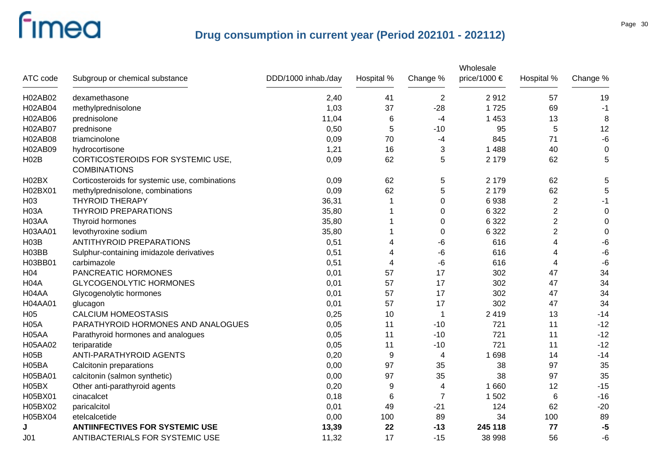|                   |                                                          |                     |            |                | Wholesale    |                |          |
|-------------------|----------------------------------------------------------|---------------------|------------|----------------|--------------|----------------|----------|
| ATC code          | Subgroup or chemical substance                           | DDD/1000 inhab./day | Hospital % | Change %       | price/1000 € | Hospital %     | Change % |
| H02AB02           | dexamethasone                                            | 2,40                | 41         | $\overline{2}$ | 2912         | 57             | 19       |
| H02AB04           | methylprednisolone                                       | 1,03                | 37         | $-28$          | 1725         | 69             | -1       |
| H02AB06           | prednisolone                                             | 11,04               | 6          | -4             | 1 4 5 3      | 13             | 8        |
| H02AB07           | prednisone                                               | 0,50                | 5          | $-10$          | 95           | 5              | 12       |
| H02AB08           | triamcinolone                                            | 0,09                | 70         | $-4$           | 845          | 71             | $-6$     |
| H02AB09           | hydrocortisone                                           | 1,21                | 16         | 3              | 1 4 8 8      | 40             | 0        |
| <b>H02B</b>       | CORTICOSTEROIDS FOR SYSTEMIC USE,<br><b>COMBINATIONS</b> | 0,09                | 62         | 5              | 2 1 7 9      | 62             | 5        |
| H02BX             | Corticosteroids for systemic use, combinations           | 0,09                | 62         | 5              | 2 1 7 9      | 62             | 5        |
| H02BX01           | methylprednisolone, combinations                         | 0,09                | 62         | 5              | 2 1 7 9      | 62             | 5        |
| H <sub>03</sub>   | <b>THYROID THERAPY</b>                                   | 36,31               |            | $\Omega$       | 6938         | $\overline{2}$ | $-1$     |
| <b>H03A</b>       | <b>THYROID PREPARATIONS</b>                              | 35,80               |            | 0              | 6 3 2 2      | $\overline{2}$ | $\Omega$ |
| H03AA             | Thyroid hormones                                         | 35,80               |            | 0              | 6 3 2 2      | $\overline{2}$ | 0        |
| H03AA01           | levothyroxine sodium                                     | 35,80               |            | 0              | 6 3 2 2      | $\overline{2}$ | 0        |
| <b>H03B</b>       | ANTITHYROID PREPARATIONS                                 | 0,51                | 4          | -6             | 616          | 4              | -6       |
| H03BB             | Sulphur-containing imidazole derivatives                 | 0,51                | 4          | -6             | 616          | 4              | $-6$     |
| H03BB01           | carbimazole                                              | 0,51                | 4          | -6             | 616          | 4              | $-6$     |
| H <sub>04</sub>   | PANCREATIC HORMONES                                      | 0,01                | 57         | 17             | 302          | 47             | 34       |
| H <sub>04</sub> A | <b>GLYCOGENOLYTIC HORMONES</b>                           | 0,01                | 57         | 17             | 302          | 47             | 34       |
| H04AA             | Glycogenolytic hormones                                  | 0,01                | 57         | 17             | 302          | 47             | 34       |
| <b>H04AA01</b>    | glucagon                                                 | 0,01                | 57         | 17             | 302          | 47             | 34       |
| H <sub>05</sub>   | <b>CALCIUM HOMEOSTASIS</b>                               | 0,25                | 10         | -1             | 2 4 1 9      | 13             | $-14$    |
| <b>H05A</b>       | PARATHYROID HORMONES AND ANALOGUES                       | 0,05                | 11         | $-10$          | 721          | 11             | $-12$    |
| H05AA             | Parathyroid hormones and analogues                       | 0,05                | 11         | $-10$          | 721          | 11             | $-12$    |
| H05AA02           | teriparatide                                             | 0,05                | 11         | $-10$          | 721          | 11             | $-12$    |
| <b>H05B</b>       | <b>ANTI-PARATHYROID AGENTS</b>                           | 0,20                | 9          | 4              | 1698         | 14             | $-14$    |
| H05BA             | Calcitonin preparations                                  | 0,00                | 97         | 35             | 38           | 97             | 35       |
| H05BA01           | calcitonin (salmon synthetic)                            | 0,00                | 97         | 35             | 38           | 97             | 35       |
| H05BX             | Other anti-parathyroid agents                            | 0,20                | 9          | 4              | 1 6 6 0      | 12             | $-15$    |
| H05BX01           | cinacalcet                                               | 0,18                | 6          | $\overline{7}$ | 1 502        | 6              | $-16$    |
| H05BX02           | paricalcitol                                             | 0,01                | 49         | $-21$          | 124          | 62             | $-20$    |
| H05BX04           | etelcalcetide                                            | 0,00                | 100        | 89             | 34           | 100            | 89       |
| J                 | <b>ANTIINFECTIVES FOR SYSTEMIC USE</b>                   | 13,39               | 22         | $-13$          | 245 118      | 77             | $-5$     |
| J <sub>01</sub>   | ANTIBACTERIALS FOR SYSTEMIC USE                          | 11,32               | 17         | $-15$          | 38 998       | 56             | -6       |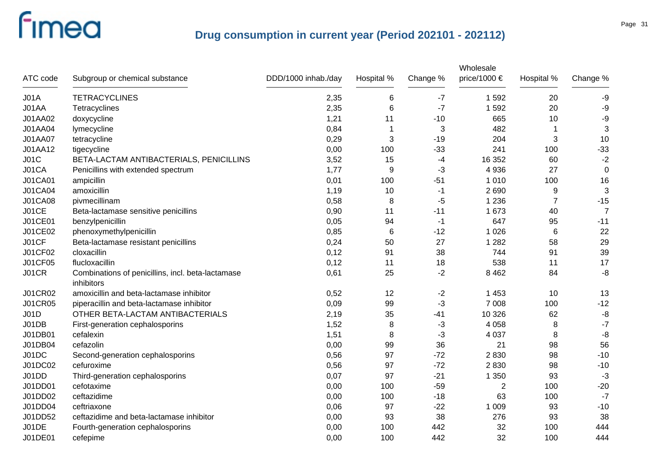| ATC code       | Subgroup or chemical substance                                  | DDD/1000 inhab./day | Hospital % | Change % | Wholesale<br>price/1000 € | Hospital %     | Change %       |
|----------------|-----------------------------------------------------------------|---------------------|------------|----------|---------------------------|----------------|----------------|
| JO1A           | <b>TETRACYCLINES</b>                                            | 2,35                | 6          | $-7$     | 1 5 9 2                   | 20             | -9             |
| J01AA          | Tetracyclines                                                   | 2,35                | 6          | $-7$     | 1592                      | 20             | -9             |
| J01AA02        | doxycycline                                                     | 1,21                | 11         | $-10$    | 665                       | 10             | $-9$           |
| J01AA04        | lymecycline                                                     | 0,84                | 1          | 3        | 482                       | $\mathbf 1$    | $\mathbf{3}$   |
| J01AA07        | tetracycline                                                    | 0,29                | 3          | $-19$    | 204                       | 3              | 10             |
| J01AA12        | tigecycline                                                     | 0,00                | 100        | $-33$    | 241                       | 100            | $-33$          |
| J01C           | BETA-LACTAM ANTIBACTERIALS, PENICILLINS                         | 3,52                | 15         | $-4$     | 16 352                    | 60             | $-2$           |
| J01CA          | Penicillins with extended spectrum                              | 1,77                | 9          | $-3$     | 4 9 3 6                   | 27             | $\mathbf 0$    |
| <b>J01CA01</b> | ampicillin                                                      | 0,01                | 100        | $-51$    | 1 0 1 0                   | 100            | 16             |
| J01CA04        | amoxicillin                                                     | 1,19                | 10         | -1       | 2690                      | 9              | 3              |
| <b>J01CA08</b> | pivmecillinam                                                   | 0,58                | 8          | $-5$     | 1 2 3 6                   | $\overline{7}$ | $-15$          |
| J01CE          | Beta-lactamase sensitive penicillins                            | 0,90                | 11         | $-11$    | 1 673                     | 40             | $\overline{7}$ |
| J01CE01        | benzylpenicillin                                                | 0,05                | 94         | $-1$     | 647                       | 95             | $-11$          |
| J01CE02        | phenoxymethylpenicillin                                         | 0,85                | 6          | $-12$    | 1 0 2 6                   | 6              | 22             |
| J01CF          | Beta-lactamase resistant penicillins                            | 0,24                | 50         | 27       | 1 2 8 2                   | 58             | 29             |
| J01CF02        | cloxacillin                                                     | 0,12                | 91         | 38       | 744                       | 91             | 39             |
| <b>J01CF05</b> | flucloxacillin                                                  | 0,12                | 11         | 18       | 538                       | 11             | 17             |
| <b>J01CR</b>   | Combinations of penicillins, incl. beta-lactamase<br>inhibitors | 0,61                | 25         | $-2$     | 8 4 6 2                   | 84             | $-8$           |
| <b>J01CR02</b> | amoxicillin and beta-lactamase inhibitor                        | 0,52                | 12         | $-2$     | 1 4 5 3                   | 10             | 13             |
| <b>J01CR05</b> | piperacillin and beta-lactamase inhibitor                       | 0,09                | 99         | $-3$     | 7 0 0 8                   | 100            | $-12$          |
| JO1D           | OTHER BETA-LACTAM ANTIBACTERIALS                                | 2,19                | 35         | -41      | 10 3 26                   | 62             | -8             |
| J01DB          | First-generation cephalosporins                                 | 1,52                | 8          | $-3$     | 4 0 5 8                   | 8              | $-7$           |
| J01DB01        | cefalexin                                                       | 1,51                | 8          | $-3$     | 4 0 3 7                   | 8              | -8             |
| J01DB04        | cefazolin                                                       | 0,00                | 99         | 36       | 21                        | 98             | 56             |
| J01DC          | Second-generation cephalosporins                                | 0,56                | 97         | $-72$    | 2830                      | 98             | $-10$          |
| J01DC02        | cefuroxime                                                      | 0,56                | 97         | $-72$    | 2830                      | 98             | $-10$          |
| J01DD          | Third-generation cephalosporins                                 | 0,07                | 97         | $-21$    | 1 3 5 0                   | 93             | $-3$           |
| J01DD01        | cefotaxime                                                      | 0,00                | 100        | $-59$    | 2                         | 100            | $-20$          |
| J01DD02        | ceftazidime                                                     | 0,00                | 100        | $-18$    | 63                        | 100            | $-7$           |
| J01DD04        | ceftriaxone                                                     | 0,06                | 97         | $-22$    | 1 0 0 9                   | 93             | $-10$          |
| J01DD52        | ceftazidime and beta-lactamase inhibitor                        | 0,00                | 93         | 38       | 276                       | 93             | 38             |
| J01DE          | Fourth-generation cephalosporins                                | 0,00                | 100        | 442      | 32                        | 100            | 444            |
| J01DE01        | cefepime                                                        | 0,00                | 100        | 442      | 32                        | 100            | 444            |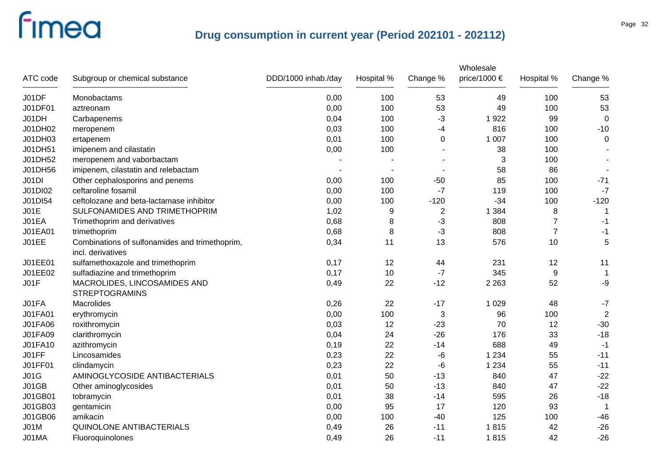|                |                                                                     |                     |            |              | Wholesale    |                |                |
|----------------|---------------------------------------------------------------------|---------------------|------------|--------------|--------------|----------------|----------------|
| ATC code       | Subgroup or chemical substance                                      | DDD/1000 inhab./day | Hospital % | Change %     | price/1000 € | Hospital %     | Change %       |
| J01DF          | Monobactams                                                         | 0,00                | 100        | 53           | 49           | 100            | 53             |
| J01DF01        | aztreonam                                                           | 0,00                | 100        | 53           | 49           | 100            | 53             |
| J01DH          | Carbapenems                                                         | 0,04                | 100        | -3           | 1922         | 99             | $\mathbf 0$    |
| J01DH02        | meropenem                                                           | 0,03                | 100        | -4           | 816          | 100            | $-10$          |
| J01DH03        | ertapenem                                                           | 0,01                | 100        | 0            | 1 0 0 7      | 100            | 0              |
| J01DH51        | imipenem and cilastatin                                             | 0,00                | 100        |              | 38           | 100            |                |
| J01DH52        | meropenem and vaborbactam                                           |                     |            |              | 3            | 100            |                |
| J01DH56        | imipenem, cilastatin and relebactam                                 |                     |            |              | 58           | 86             |                |
| J01DI          | Other cephalosporins and penems                                     | 0,00                | 100        | $-50$        | 85           | 100            | $-71$          |
| J01DI02        | ceftaroline fosamil                                                 | 0,00                | 100        | $-7$         | 119          | 100            | $-7$           |
| J01DI54        | ceftolozane and beta-lactamase inhibitor                            | 0,00                | 100        | $-120$       | $-34$        | 100            | $-120$         |
| JO1E           | SULFONAMIDES AND TRIMETHOPRIM                                       | 1,02                | 9          | $\mathbf{2}$ | 1 3 8 4      | 8              |                |
| J01EA          | Trimethoprim and derivatives                                        | 0,68                | 8          | -3           | 808          | $\overline{7}$ | $-1$           |
| J01EA01        | trimethoprim                                                        | 0,68                | 8          | $-3$         | 808          | $\overline{7}$ | $-1$           |
| <b>J01EE</b>   | Combinations of sulfonamides and trimethoprim,<br>incl. derivatives | 0,34                | 11         | 13           | 576          | 10             | 5              |
| J01EE01        | sulfamethoxazole and trimethoprim                                   | 0,17                | 12         | 44           | 231          | 12             | 11             |
| J01EE02        | sulfadiazine and trimethoprim                                       | 0,17                | 10         | $-7$         | 345          | 9              | $\mathbf 1$    |
| JO1F           | MACROLIDES, LINCOSAMIDES AND<br><b>STREPTOGRAMINS</b>               | 0,49                | 22         | $-12$        | 2 2 6 3      | 52             | -9             |
| J01FA          | Macrolides                                                          | 0,26                | 22         | $-17$        | 1 0 2 9      | 48             | $-7$           |
| J01FA01        | erythromycin                                                        | 0,00                | 100        | 3            | 96           | 100            | $\overline{2}$ |
| <b>J01FA06</b> | roxithromycin                                                       | 0,03                | 12         | $-23$        | 70           | 12             | $-30$          |
| J01FA09        | clarithromycin                                                      | 0,04                | 24         | $-26$        | 176          | 33             | $-18$          |
| J01FA10        | azithromycin                                                        | 0,19                | 22         | $-14$        | 688          | 49             | $-1$           |
| J01FF          | Lincosamides                                                        | 0,23                | 22         | -6           | 1 2 3 4      | 55             | $-11$          |
| J01FF01        | clindamycin                                                         | 0,23                | 22         | -6           | 1 2 3 4      | 55             | $-11$          |
| J01G           | AMINOGLYCOSIDE ANTIBACTERIALS                                       | 0,01                | 50         | $-13$        | 840          | 47             | $-22$          |
| J01GB          | Other aminoglycosides                                               | 0,01                | 50         | $-13$        | 840          | 47             | $-22$          |
| J01GB01        | tobramycin                                                          | 0,01                | 38         | $-14$        | 595          | 26             | $-18$          |
| J01GB03        | gentamicin                                                          | 0,00                | 95         | 17           | 120          | 93             | $\mathbf 1$    |
| J01GB06        | amikacin                                                            | 0,00                | 100        | $-40$        | 125          | 100            | $-46$          |
| <b>J01M</b>    | <b>QUINOLONE ANTIBACTERIALS</b>                                     | 0,49                | 26         | $-11$        | 1815         | 42             | $-26$          |
| J01MA          | Fluoroquinolones                                                    | 0,49                | 26         | $-11$        | 1815         | 42             | $-26$          |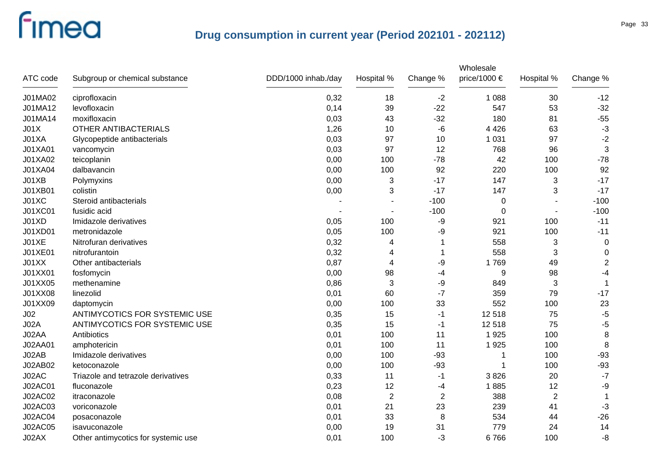| ATC code        | Subgroup or chemical substance      | DDD/1000 inhab./day | Hospital %     | Change %   | Wholesale<br>price/1000 $\epsilon$ | Hospital %  | Change %         |
|-----------------|-------------------------------------|---------------------|----------------|------------|------------------------------------|-------------|------------------|
| J01MA02         | ciprofloxacin                       | 0,32                | 18             | $-2$       | 1 0 8 8                            | 30          | $-12$            |
| J01MA12         | levofloxacin                        | 0,14                | 39             | $-22$      | 547                                | 53          | $-32$            |
| J01MA14         | moxifloxacin                        | 0,03                | 43             | $-32$      | 180                                | 81          | $-55$            |
| JO1X            | <b>OTHER ANTIBACTERIALS</b>         | 1,26                | 10             | -6         | 4 4 2 6                            | 63          | $-3$             |
| J01XA           | Glycopeptide antibacterials         | 0,03                | 97             | 10         | 1 0 3 1                            | 97          | $-2$             |
| J01XA01         | vancomycin                          | 0,03                | 97             | 12         | 768                                | 96          | 3                |
| J01XA02         | teicoplanin                         | 0,00                | 100            | $-78$      | 42                                 | 100         | $-78$            |
| J01XA04         | dalbavancin                         | 0,00                | 100            | 92         | 220                                | 100         | 92               |
| J01XB           | Polymyxins                          | 0,00                | 3              | $-17$      | 147                                | 3           | $-17$            |
| J01XB01         | colistin                            | 0,00                | 3              | $-17$      | 147                                | 3           | $-17$            |
| J01XC           | Steroid antibacterials              |                     |                | $-100$     | 0                                  |             | $-100$           |
| J01XC01         | fusidic acid                        |                     |                | $-100$     | 0                                  |             | $-100$           |
| J01XD           | Imidazole derivatives               | 0,05                | 100            | -9         | 921                                | 100         | $-11$            |
| J01XD01         | metronidazole                       | 0,05                | 100            | -9         | 921                                | 100         | $-11$            |
| J01XE           | Nitrofuran derivatives              | 0,32                | 4              |            | 558                                | 3           | $\mathbf 0$      |
| J01XE01         | nitrofurantoin                      | 0,32                | 4              | 1          | 558                                | 3           | 0                |
| J01XX           | Other antibacterials                | 0,87                | 4              | -9         | 1769                               | 49          | $\boldsymbol{2}$ |
| J01XX01         | fosfomycin                          | 0,00                | 98             | -4         | 9                                  | 98          | $-4$             |
| J01XX05         | methenamine                         | 0,86                | 3              | -9         | 849                                | 3           | -1               |
| J01XX08         | linezolid                           | 0,01                | 60             | $-7$       | 359                                | 79          | $-17$            |
| J01XX09         | daptomycin                          | 0,00                | 100            | 33         | 552                                | 100         | 23               |
| J <sub>02</sub> | ANTIMYCOTICS FOR SYSTEMIC USE       | 0,35                | 15             | -1         | 12518                              | 75          | $-5$             |
| <b>J02A</b>     | ANTIMYCOTICS FOR SYSTEMIC USE       | 0,35                | 15             | -1         | 12518                              | 75          | $-5$             |
| J02AA           | Antibiotics                         | 0,01                | 100            | 11         | 1925                               | 100         | $\bf 8$          |
| J02AA01         | amphotericin                        | 0,01                | 100            | 11         | 1925                               | 100         | 8                |
| J02AB           | Imidazole derivatives               | 0,00                | 100            | $-93$      | 1                                  | 100         | $-93$            |
| J02AB02         | ketoconazole                        | 0,00                | 100            | $-93$      | 1                                  | 100         | $-93$            |
| J02AC           | Triazole and tetrazole derivatives  | 0,33                | 11             | $-1$       | 3826                               | 20          | $-7$             |
| J02AC01         | fluconazole                         | 0,23                | 12             | -4         | 1885                               | 12          | -9               |
| J02AC02         | itraconazole                        | 0,08                | $\overline{2}$ | $\sqrt{2}$ | 388                                | $\mathbf 2$ | 1                |
| J02AC03         | voriconazole                        | 0,01                | 21             | 23         | 239                                | 41          | $-3$             |
| <b>J02AC04</b>  | posaconazole                        | 0,01                | 33             | 8          | 534                                | 44          | $-26$            |
| <b>J02AC05</b>  | isavuconazole                       | 0,00                | 19             | 31         | 779                                | 24          | 14               |
| J02AX           | Other antimycotics for systemic use | 0,01                | 100            | -3         | 6766                               | 100         | $-8$             |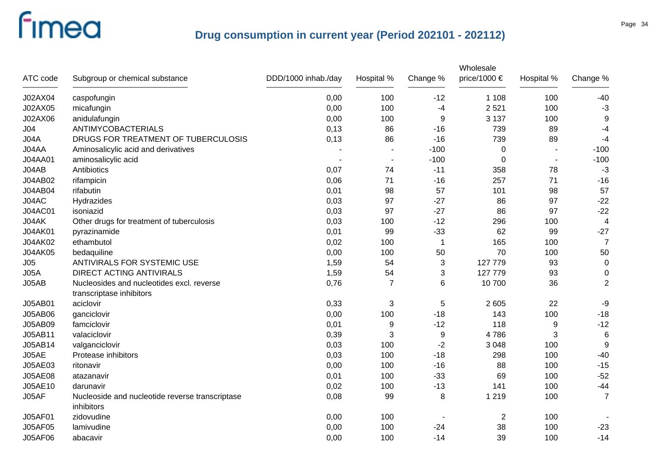|                 |                                                                       |                     |                |             | Wholesale      |            |                |
|-----------------|-----------------------------------------------------------------------|---------------------|----------------|-------------|----------------|------------|----------------|
| ATC code        | Subgroup or chemical substance                                        | DDD/1000 inhab./day | Hospital %     | Change %    | price/1000 €   | Hospital % | Change %       |
| J02AX04         | caspofungin                                                           | 0,00                | 100            | $-12$       | 1 1 0 8        | 100        | $-40$          |
| J02AX05         | micafungin                                                            | 0,00                | 100            | -4          | 2 5 21         | 100        | $-3$           |
| J02AX06         | anidulafungin                                                         | 0,00                | 100            | 9           | 3 1 3 7        | 100        | 9              |
| J <sub>04</sub> | ANTIMYCOBACTERIALS                                                    | 0,13                | 86             | $-16$       | 739            | 89         | $-4$           |
| J04A            | DRUGS FOR TREATMENT OF TUBERCULOSIS                                   | 0,13                | 86             | $-16$       | 739            | 89         | $-4$           |
| J04AA           | Aminosalicylic acid and derivatives                                   |                     |                | $-100$      | $\pmb{0}$      |            | $-100$         |
| J04AA01         | aminosalicylic acid                                                   |                     | $\blacksquare$ | $-100$      | 0              |            | $-100$         |
| J04AB           | Antibiotics                                                           | 0,07                | 74             | $-11$       | 358            | 78         | $-3$           |
| J04AB02         | rifampicin                                                            | 0,06                | 71             | $-16$       | 257            | 71         | $-16$          |
| J04AB04         | rifabutin                                                             | 0,01                | 98             | 57          | 101            | 98         | 57             |
| J04AC           | Hydrazides                                                            | 0,03                | 97             | $-27$       | 86             | 97         | $-22$          |
| <b>J04AC01</b>  | isoniazid                                                             | 0,03                | 97             | $-27$       | 86             | 97         | $-22$          |
| J04AK           | Other drugs for treatment of tuberculosis                             | 0,03                | 100            | $-12$       | 296            | 100        | $\overline{4}$ |
| <b>J04AK01</b>  | pyrazinamide                                                          | 0,01                | 99             | $-33$       | 62             | 99         | $-27$          |
| J04AK02         | ethambutol                                                            | 0,02                | 100            | $\mathbf 1$ | 165            | 100        | $\overline{7}$ |
| J04AK05         | bedaquiline                                                           | 0,00                | 100            | 50          | 70             | 100        | 50             |
| J05             | ANTIVIRALS FOR SYSTEMIC USE                                           | 1,59                | 54             | 3           | 127 779        | 93         | $\overline{0}$ |
| JO5A            | <b>DIRECT ACTING ANTIVIRALS</b>                                       | 1,59                | 54             | 3           | 127 779        | 93         | 0              |
| J05AB           | Nucleosides and nucleotides excl. reverse<br>transcriptase inhibitors | 0,76                | $\overline{7}$ | 6           | 10 700         | 36         | $\sqrt{2}$     |
| J05AB01         | aciclovir                                                             | 0,33                | 3              | $\,$ 5 $\,$ | 2 605          | 22         | -9             |
| J05AB06         | ganciclovir                                                           | 0,00                | 100            | $-18$       | 143            | 100        | $-18$          |
| J05AB09         | famciclovir                                                           | 0,01                | 9              | $-12$       | 118            | 9          | $-12$          |
| J05AB11         | valaciclovir                                                          | 0,39                | 3              | 9           | 4786           | 3          | $\,6$          |
| J05AB14         | valganciclovir                                                        | 0,03                | 100            | $-2$        | 3 0 4 8        | 100        | 9              |
| J05AE           | Protease inhibitors                                                   | 0,03                | 100            | $-18$       | 298            | 100        | $-40$          |
| J05AE03         | ritonavir                                                             | 0,00                | 100            | $-16$       | 88             | 100        | $-15$          |
| J05AE08         | atazanavir                                                            | 0,01                | 100            | $-33$       | 69             | 100        | $-52$          |
| J05AE10         | darunavir                                                             | 0,02                | 100            | $-13$       | 141            | 100        | $-44$          |
| JO5AF           | Nucleoside and nucleotide reverse transcriptase<br>inhibitors         | 0,08                | 99             | 8           | 1 2 1 9        | 100        | $\overline{7}$ |
| <b>J05AF01</b>  | zidovudine                                                            | 0,00                | 100            |             | $\overline{2}$ | 100        |                |
| <b>J05AF05</b>  | lamivudine                                                            | 0,00                | 100            | $-24$       | 38             | 100        | $-23$          |
| <b>J05AF06</b>  | abacavir                                                              | 0,00                | 100            | $-14$       | 39             | 100        | $-14$          |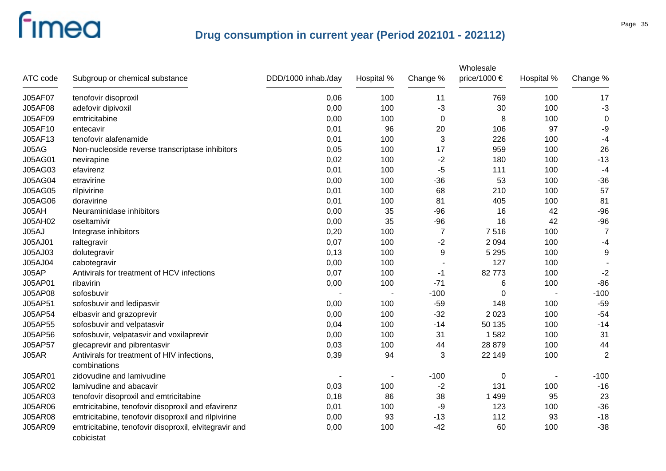| ATC code       | Subgroup or chemical substance                                      | DDD/1000 inhab./day | Hospital % | Change %       | Wholesale<br>price/1000 € | Hospital % | Change %       |
|----------------|---------------------------------------------------------------------|---------------------|------------|----------------|---------------------------|------------|----------------|
| J05AF07        | tenofovir disoproxil                                                | 0,06                | 100        | 11             | 769                       | 100        | 17             |
| <b>J05AF08</b> | adefovir dipivoxil                                                  | 0,00                | 100        | -3             | 30                        | 100        | $-3$           |
| J05AF09        | emtricitabine                                                       | 0,00                | 100        | 0              | 8                         | 100        | $\mathbf 0$    |
| J05AF10        | entecavir                                                           | 0,01                | 96         | 20             | 106                       | 97         | $-9$           |
| J05AF13        | tenofovir alafenamide                                               | 0,01                | 100        | 3              | 226                       | 100        | $-4$           |
| J05AG          | Non-nucleoside reverse transcriptase inhibitors                     | 0,05                | 100        | 17             | 959                       | 100        | 26             |
| <b>J05AG01</b> | nevirapine                                                          | 0,02                | 100        | $-2$           | 180                       | 100        | $-13$          |
| J05AG03        | efavirenz                                                           | 0,01                | 100        | $-5$           | 111                       | 100        | $-4$           |
| <b>J05AG04</b> | etravirine                                                          | 0,00                | 100        | $-36$          | 53                        | 100        | $-36$          |
| <b>J05AG05</b> | rilpivirine                                                         | 0,01                | 100        | 68             | 210                       | 100        | 57             |
| <b>J05AG06</b> | doravirine                                                          | 0,01                | 100        | 81             | 405                       | 100        | 81             |
| J05AH          | Neuraminidase inhibitors                                            | 0,00                | 35         | $-96$          | 16                        | 42         | $-96$          |
| J05AH02        | oseltamivir                                                         | 0,00                | 35         | $-96$          | 16                        | 42         | $-96$          |
| J05AJ          | Integrase inhibitors                                                | 0,20                | 100        | $\overline{7}$ | 7516                      | 100        | $\overline{7}$ |
| J05AJ01        | raltegravir                                                         | 0,07                | 100        | $-2$           | 2 0 9 4                   | 100        | $-4$           |
| J05AJ03        | dolutegravir                                                        | 0,13                | 100        | 9              | 5 2 9 5                   | 100        | 9              |
| J05AJ04        | cabotegravir                                                        | 0,00                | 100        |                | 127                       | 100        |                |
| J05AP          | Antivirals for treatment of HCV infections                          | 0,07                | 100        | -1             | 82773                     | 100        | $-2$           |
| J05AP01        | ribavirin                                                           | 0,00                | 100        | $-71$          | 6                         | 100        | $-86$          |
| J05AP08        | sofosbuvir                                                          |                     |            | $-100$         | $\Omega$                  |            | $-100$         |
| J05AP51        | sofosbuvir and ledipasvir                                           | 0,00                | 100        | $-59$          | 148                       | 100        | $-59$          |
| J05AP54        | elbasvir and grazoprevir                                            | 0,00                | 100        | $-32$          | 2 0 2 3                   | 100        | $-54$          |
| J05AP55        | sofosbuvir and velpatasvir                                          | 0,04                | 100        | $-14$          | 50 135                    | 100        | $-14$          |
| J05AP56        | sofosbuvir, velpatasvir and voxilaprevir                            | 0,00                | 100        | 31             | 1582                      | 100        | 31             |
| J05AP57        | glecaprevir and pibrentasvir                                        | 0,03                | 100        | 44             | 28 879                    | 100        | 44             |
| J05AR          | Antivirals for treatment of HIV infections,<br>combinations         | 0,39                | 94         | 3              | 22 149                    | 100        | $\overline{2}$ |
| J05AR01        | zidovudine and lamivudine                                           |                     |            | $-100$         | 0                         |            | $-100$         |
| J05AR02        | lamivudine and abacavir                                             | 0,03                | 100        | $-2$           | 131                       | 100        | $-16$          |
| <b>J05AR03</b> | tenofovir disoproxil and emtricitabine                              | 0,18                | 86         | 38             | 1 4 9 9                   | 95         | 23             |
| <b>J05AR06</b> | emtricitabine, tenofovir disoproxil and efavirenz                   | 0,01                | 100        | -9             | 123                       | 100        | $-36$          |
| <b>J05AR08</b> | emtricitabine, tenofovir disoproxil and rilpivirine                 | 0,00                | 93         | $-13$          | 112                       | 93         | $-18$          |
| <b>J05AR09</b> | emtricitabine, tenofovir disoproxil, elvitegravir and<br>cobicistat | 0,00                | 100        | $-42$          | 60                        | 100        | $-38$          |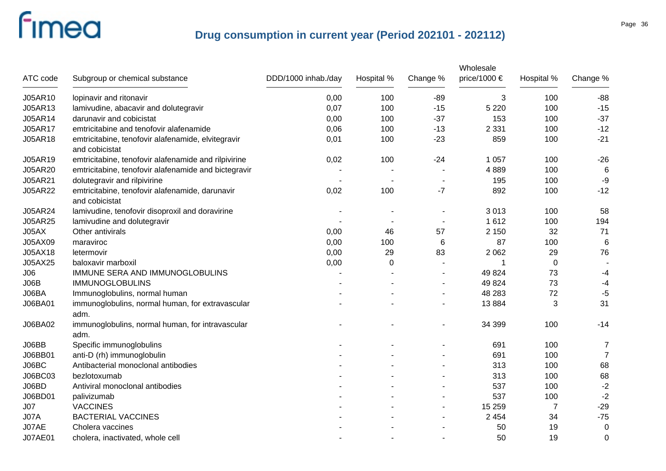|                |                                                                      |                     |            |                | Wholesale    |                |                 |
|----------------|----------------------------------------------------------------------|---------------------|------------|----------------|--------------|----------------|-----------------|
| ATC code       | Subgroup or chemical substance                                       | DDD/1000 inhab./day | Hospital % | Change %       | price/1000 € | Hospital %     | Change %        |
| J05AR10        | lopinavir and ritonavir                                              | 0,00                | 100        | $-89$          | 3            | 100            | $-88$           |
| J05AR13        | lamivudine, abacavir and dolutegravir                                | 0,07                | 100        | $-15$          | 5 2 2 0      | 100            | $-15$           |
| J05AR14        | darunavir and cobicistat                                             | 0,00                | 100        | $-37$          | 153          | 100            | $-37$           |
| J05AR17        | emtricitabine and tenofovir alafenamide                              | 0,06                | 100        | $-13$          | 2 3 3 1      | 100            | $-12$           |
| J05AR18        | emtricitabine, tenofovir alafenamide, elvitegravir<br>and cobicistat | 0,01                | 100        | $-23$          | 859          | 100            | $-21$           |
| J05AR19        | emtricitabine, tenofovir alafenamide and rilpivirine                 | 0,02                | 100        | $-24$          | 1 0 5 7      | 100            | $-26$           |
| J05AR20        | emtricitabine, tenofovir alafenamide and bictegravir                 |                     |            |                | 4889         | 100            | 6               |
| J05AR21        | dolutegravir and rilpivirine                                         |                     |            |                | 195          | 100            | $-9$            |
| <b>J05AR22</b> | emtricitabine, tenofovir alafenamide, darunavir<br>and cobicistat    | 0,02                | 100        | $-7$           | 892          | 100            | $-12$           |
| J05AR24        | lamivudine, tenofovir disoproxil and doravirine                      |                     |            |                | 3013         | 100            | 58              |
| <b>J05AR25</b> | lamivudine and dolutegravir                                          |                     |            |                | 1612         | 100            | 194             |
| J05AX          | Other antivirals                                                     | 0,00                | 46         | 57             | 2 1 5 0      | 32             | 71              |
| J05AX09        | maraviroc                                                            | 0,00                | 100        | 6              | 87           | 100            | $6\phantom{1}6$ |
| J05AX18        | letermovir                                                           | 0,00                | 29         | 83             | 2 0 6 2      | 29             | 76              |
| J05AX25        | baloxavir marboxil                                                   | 0,00                | 0          |                |              | $\mathbf 0$    |                 |
| J06            | IMMUNE SERA AND IMMUNOGLOBULINS                                      |                     |            |                | 49 8 24      | 73             | -4              |
| JO6B           | <b>IMMUNOGLOBULINS</b>                                               |                     |            |                | 49 8 24      | 73             | $-4$            |
| J06BA          | Immunoglobulins, normal human                                        |                     |            |                | 48 283       | 72             | $-5$            |
| J06BA01        | immunoglobulins, normal human, for extravascular<br>adm.             |                     |            | $\blacksquare$ | 13884        | 3              | 31              |
| J06BA02        | immunoglobulins, normal human, for intravascular<br>adm.             |                     |            |                | 34 399       | 100            | $-14$           |
| J06BB          | Specific immunoglobulins                                             |                     |            |                | 691          | 100            | $\overline{7}$  |
| J06BB01        | anti-D (rh) immunoglobulin                                           |                     |            |                | 691          | 100            | $\overline{7}$  |
| J06BC          | Antibacterial monoclonal antibodies                                  |                     |            |                | 313          | 100            | 68              |
| J06BC03        | bezlotoxumab                                                         |                     |            |                | 313          | 100            | 68              |
| J06BD          | Antiviral monoclonal antibodies                                      |                     |            |                | 537          | 100            | $-2$            |
| J06BD01        | palivizumab                                                          |                     |            |                | 537          | 100            | $-2$            |
| J07            | <b>VACCINES</b>                                                      |                     |            |                | 15 25 9      | $\overline{7}$ | $-29$           |
| <b>J07A</b>    | <b>BACTERIAL VACCINES</b>                                            |                     |            |                | 2 4 5 4      | 34             | $-75$           |
| J07AE          | Cholera vaccines                                                     |                     |            |                | 50           | 19             | $\mathbf 0$     |
| <b>J07AE01</b> | cholera, inactivated, whole cell                                     |                     |            |                | 50           | 19             | 0               |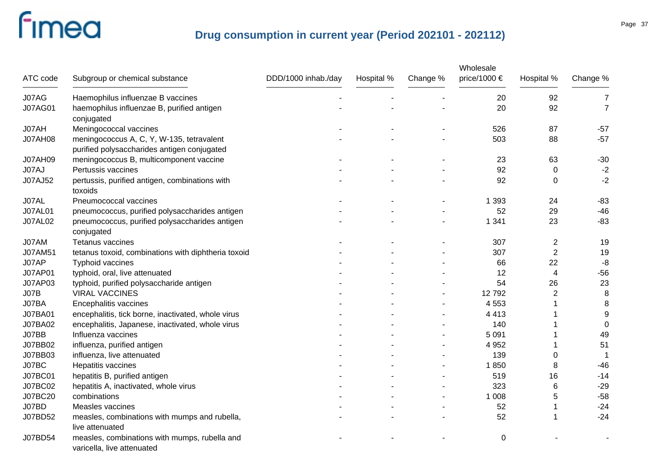| ATC code       | Subgroup or chemical substance                                              | DDD/1000 inhab./day | Hospital % | Change % | Wholesale<br>price/1000 € | Hospital %       | Change %       |
|----------------|-----------------------------------------------------------------------------|---------------------|------------|----------|---------------------------|------------------|----------------|
|                |                                                                             |                     |            |          |                           |                  |                |
| J07AG          | Haemophilus influenzae B vaccines                                           |                     |            |          | 20                        | 92               | 7              |
| <b>J07AG01</b> | haemophilus influenzae B, purified antigen<br>conjugated                    |                     |            |          | 20                        | 92               | $\overline{7}$ |
| J07AH          | Meningococcal vaccines                                                      |                     |            |          | 526                       | 87               | $-57$          |
| <b>J07AH08</b> | meningococcus A, C, Y, W-135, tetravalent                                   |                     |            |          | 503                       | 88               | $-57$          |
|                | purified polysaccharides antigen conjugated                                 |                     |            |          |                           |                  |                |
| <b>J07AH09</b> | meningococcus B, multicomponent vaccine                                     |                     |            |          | 23                        | 63               | $-30$          |
| J07AJ          | Pertussis vaccines                                                          |                     |            |          | 92                        | 0                | $-2$           |
| J07AJ52        | pertussis, purified antigen, combinations with<br>toxoids                   |                     |            |          | 92                        | $\Omega$         | $-2$           |
| J07AL          | Pneumococcal vaccines                                                       |                     |            |          | 1 3 9 3                   | 24               | $-83$          |
| <b>J07AL01</b> | pneumococcus, purified polysaccharides antigen                              |                     |            |          | 52                        | 29               | $-46$          |
| <b>J07AL02</b> | pneumococcus, purified polysaccharides antigen<br>conjugated                |                     |            |          | 1 3 4 1                   | 23               | $-83$          |
| J07AM          | Tetanus vaccines                                                            |                     |            |          | 307                       | $\overline{c}$   | 19             |
| J07AM51        | tetanus toxoid, combinations with diphtheria toxoid                         |                     |            |          | 307                       | $\boldsymbol{2}$ | 19             |
| J07AP          | Typhoid vaccines                                                            |                     |            |          | 66                        | 22               | $-8$           |
| <b>J07AP01</b> | typhoid, oral, live attenuated                                              |                     |            |          | 12                        | 4                | $-56$          |
| J07AP03        | typhoid, purified polysaccharide antigen                                    |                     |            |          | 54                        | 26               | 23             |
| <b>J07B</b>    | <b>VIRAL VACCINES</b>                                                       |                     |            |          | 12792                     | $\overline{2}$   | 8              |
| J07BA          | Encephalitis vaccines                                                       |                     |            |          | 4 5 5 3                   |                  | 8              |
| <b>J07BA01</b> | encephalitis, tick borne, inactivated, whole virus                          |                     |            |          | 4 4 1 3                   |                  | 9              |
| J07BA02        | encephalitis, Japanese, inactivated, whole virus                            |                     |            |          | 140                       |                  | $\mathbf 0$    |
| J07BB          | Influenza vaccines                                                          |                     |            |          | 5 0 9 1                   |                  | 49             |
| J07BB02        | influenza, purified antigen                                                 |                     |            |          | 4 9 5 2                   |                  | 51             |
| J07BB03        | influenza, live attenuated                                                  |                     |            |          | 139                       | 0                | -1             |
| J07BC          | Hepatitis vaccines                                                          |                     |            |          | 1850                      | 8                | $-46$          |
| J07BC01        | hepatitis B, purified antigen                                               |                     |            |          | 519                       | 16               | $-14$          |
| <b>J07BC02</b> | hepatitis A, inactivated, whole virus                                       |                     |            |          | 323                       | 6                | $-29$          |
| J07BC20        | combinations                                                                |                     |            |          | 1 0 0 8                   | 5                | $-58$          |
| J07BD          | Measles vaccines                                                            |                     |            |          | 52                        |                  | $-24$          |
| J07BD52        | measles, combinations with mumps and rubella,<br>live attenuated            |                     |            |          | 52                        |                  | $-24$          |
| J07BD54        | measles, combinations with mumps, rubella and<br>varicella, live attenuated |                     |            |          | 0                         |                  |                |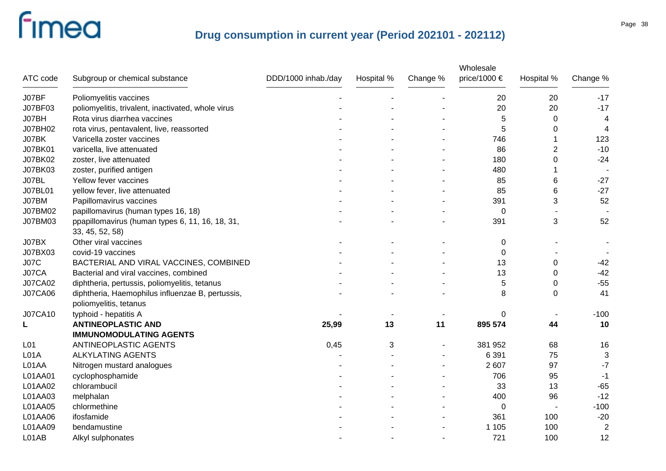| ATC code        | Subgroup or chemical substance                                             | DDD/1000 inhab./day | Hospital % | Change % | Wholesale<br>price/1000 € | Hospital %               | Change %       |
|-----------------|----------------------------------------------------------------------------|---------------------|------------|----------|---------------------------|--------------------------|----------------|
| J07BF           | Poliomyelitis vaccines                                                     |                     |            |          | 20                        | 20                       | $-17$          |
| J07BF03         | poliomyelitis, trivalent, inactivated, whole virus                         |                     |            |          | 20                        | 20                       | $-17$          |
| J07BH           | Rota virus diarrhea vaccines                                               |                     |            |          | 5                         | 0                        | 4              |
| J07BH02         | rota virus, pentavalent, live, reassorted                                  |                     |            |          | 5                         | 0                        | 4              |
| J07BK           | Varicella zoster vaccines                                                  |                     |            |          | 746                       |                          | 123            |
| <b>J07BK01</b>  | varicella, live attenuated                                                 |                     |            |          | 86                        | 2                        | $-10$          |
| J07BK02         | zoster, live attenuated                                                    |                     |            |          | 180                       | 0                        | $-24$          |
| J07BK03         | zoster, purified antigen                                                   |                     |            |          | 480                       |                          |                |
| J07BL           | Yellow fever vaccines                                                      |                     |            |          | 85                        | 6                        | $-27$          |
| <b>J07BL01</b>  | yellow fever, live attenuated                                              |                     |            |          | 85                        | 6                        | $-27$          |
| J07BM           | Papillomavirus vaccines                                                    |                     |            |          | 391                       | 3                        | 52             |
| J07BM02         | papillomavirus (human types 16, 18)                                        |                     |            |          | 0                         |                          |                |
| J07BM03         | ppapillomavirus (human types 6, 11, 16, 18, 31,<br>33, 45, 52, 58)         |                     |            |          | 391                       | 3                        | 52             |
| J07BX           | Other viral vaccines                                                       |                     |            |          | 0                         |                          |                |
| J07BX03         | covid-19 vaccines                                                          |                     |            |          | 0                         |                          |                |
| <b>J07C</b>     | BACTERIAL AND VIRAL VACCINES, COMBINED                                     |                     |            |          | 13                        | 0                        | $-42$          |
| J07CA           | Bacterial and viral vaccines, combined                                     |                     |            |          | 13                        | 0                        | $-42$          |
| <b>J07CA02</b>  | diphtheria, pertussis, poliomyelitis, tetanus                              |                     |            |          | 5                         | 0                        | $-55$          |
| <b>J07CA06</b>  | diphtheria, Haemophilus influenzae B, pertussis,<br>poliomyelitis, tetanus |                     |            |          | 8                         | $\mathbf 0$              | 41             |
| <b>J07CA10</b>  | typhoid - hepatitis A                                                      |                     |            |          | 0                         |                          | $-100$         |
| L               | <b>ANTINEOPLASTIC AND</b>                                                  | 25,99               | 13         | 11       | 895 574                   | 44                       | 10             |
|                 | <b>IMMUNOMODULATING AGENTS</b>                                             |                     |            |          |                           |                          |                |
| L <sub>01</sub> | ANTINEOPLASTIC AGENTS                                                      | 0,45                | 3          |          | 381 952                   | 68                       | 16             |
| L01A            | <b>ALKYLATING AGENTS</b>                                                   |                     |            |          | 6 3 9 1                   | 75                       | 3              |
| L01AA           | Nitrogen mustard analogues                                                 |                     |            |          | 2 607                     | 97                       | $-7$           |
| L01AA01         | cyclophosphamide                                                           |                     |            |          | 706                       | 95                       | $-1$           |
| L01AA02         | chlorambucil                                                               |                     |            |          | 33                        | 13                       | $-65$          |
| L01AA03         | melphalan                                                                  |                     |            |          | 400                       | 96                       | $-12$          |
| L01AA05         | chlormethine                                                               |                     |            |          | 0                         | $\overline{\phantom{a}}$ | $-100$         |
| L01AA06         | ifosfamide                                                                 |                     |            |          | 361                       | 100                      | $-20$          |
| L01AA09         | bendamustine                                                               |                     |            |          | 1 1 0 5                   | 100                      | $\overline{2}$ |
| L01AB           | Alkyl sulphonates                                                          |                     |            |          | 721                       | 100                      | 12             |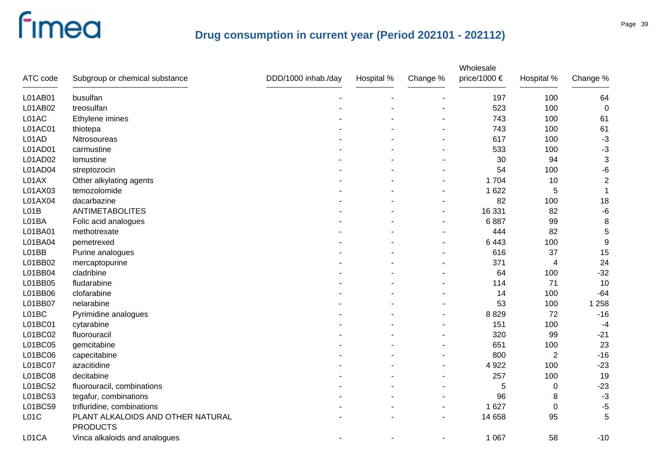| ATC code | Subgroup or chemical substance                       | DDD/1000 inhab./day | Hospital % | Change % | Wholesale<br>price/1000 € | Hospital %              | Change %         |
|----------|------------------------------------------------------|---------------------|------------|----------|---------------------------|-------------------------|------------------|
| L01AB01  | busulfan                                             |                     |            |          | 197                       | 100                     | 64               |
| L01AB02  | treosulfan                                           |                     |            |          | 523                       | 100                     | $\mathbf 0$      |
| L01AC    | Ethylene imines                                      |                     |            |          | 743                       | 100                     | 61               |
| L01AC01  | thiotepa                                             |                     |            |          | 743                       | 100                     | 61               |
| L01AD    | Nitrosoureas                                         |                     |            |          | 617                       | 100                     | $-3$             |
| L01AD01  | carmustine                                           |                     |            |          | 533                       | 100                     | $-3$             |
| L01AD02  | lomustine                                            |                     |            |          | 30                        | 94                      | $\sqrt{3}$       |
| L01AD04  | streptozocin                                         |                     |            |          | 54                        | 100                     | $-6$             |
| L01AX    | Other alkylating agents                              |                     |            |          | 1 704                     | 10                      | $\overline{2}$   |
| L01AX03  | temozolomide                                         |                     |            |          | 1 6 2 2                   | 5                       | 1                |
| L01AX04  | dacarbazine                                          |                     |            |          | 82                        | 100                     | 18               |
| LO1B     | <b>ANTIMETABOLITES</b>                               |                     |            |          | 16 331                    | 82                      | $-6$             |
| L01BA    | Folic acid analogues                                 |                     |            |          | 6887                      | 99                      | $\bf 8$          |
| L01BA01  | methotrexate                                         |                     |            |          | 444                       | 82                      | 5                |
| L01BA04  | pemetrexed                                           |                     |            |          | 6 4 4 3                   | 100                     | $\boldsymbol{9}$ |
| L01BB    | Purine analogues                                     |                     |            |          | 616                       | 37                      | 15               |
| L01BB02  | mercaptopurine                                       |                     |            |          | 371                       | $\overline{\mathbf{4}}$ | 24               |
| L01BB04  | cladribine                                           |                     |            |          | 64                        | 100                     | $-32$            |
| L01BB05  | fludarabine                                          |                     |            |          | 114                       | 71                      | 10               |
| L01BB06  | clofarabine                                          |                     |            |          | 14                        | 100                     | $-64$            |
| L01BB07  | nelarabine                                           |                     |            |          | 53                        | 100                     | 1 2 5 8          |
| L01BC    | Pyrimidine analogues                                 |                     |            |          | 8829                      | 72                      | $-16$            |
| L01BC01  | cytarabine                                           |                     |            |          | 151                       | 100                     | $-4$             |
| L01BC02  | fluorouracil                                         |                     |            |          | 320                       | 99                      | $-21$            |
| L01BC05  | gemcitabine                                          |                     |            |          | 651                       | 100                     | 23               |
| L01BC06  | capecitabine                                         |                     |            |          | 800                       | $\overline{2}$          | $-16$            |
| L01BC07  | azacitidine                                          |                     |            |          | 4 9 2 2                   | 100                     | $-23$            |
| L01BC08  | decitabine                                           |                     |            |          | 257                       | 100                     | 19               |
| L01BC52  | fluorouracil, combinations                           |                     |            |          | 5                         | $\boldsymbol{0}$        | $-23$            |
| L01BC53  | tegafur, combinations                                |                     |            |          | 96                        | 8                       | $-3$             |
| L01BC59  | trifluridine, combinations                           |                     |            |          | 1 6 2 7                   | 0                       | -5               |
| LO1C     | PLANT ALKALOIDS AND OTHER NATURAL<br><b>PRODUCTS</b> |                     |            |          | 14 658                    | 95                      | 5                |
| L01CA    | Vinca alkaloids and analogues                        |                     |            |          | 1 0 6 7                   | 58                      | $-10$            |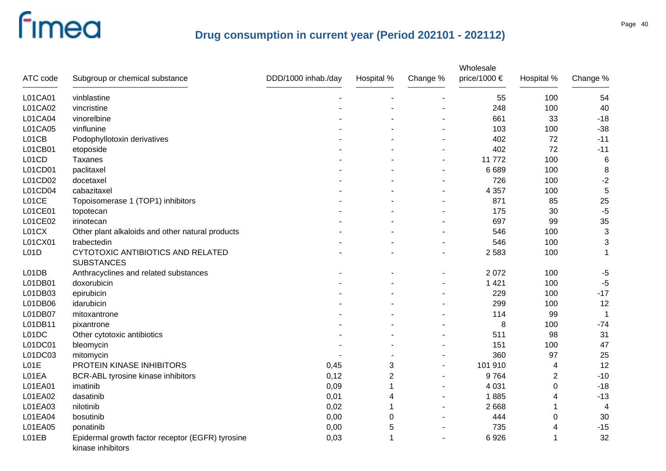| ATC code | Subgroup or chemical substance                                        | DDD/1000 inhab./day | Hospital % | Change % | Wholesale<br>price/1000 € | Hospital % | Change %    |
|----------|-----------------------------------------------------------------------|---------------------|------------|----------|---------------------------|------------|-------------|
| L01CA01  | vinblastine                                                           |                     |            |          | 55                        | 100        | 54          |
| L01CA02  | vincristine                                                           |                     |            |          | 248                       | 100        | 40          |
| L01CA04  | vinorelbine                                                           |                     |            |          | 661                       | 33         | $-18$       |
| L01CA05  | vinflunine                                                            |                     |            |          | 103                       | 100        | $-38$       |
| L01CB    | Podophyllotoxin derivatives                                           |                     |            |          | 402                       | 72         | $-11$       |
| L01CB01  | etoposide                                                             |                     |            |          | 402                       | 72         | $-11$       |
| L01CD    | Taxanes                                                               |                     |            |          | 11772                     | 100        | $\,6$       |
| L01CD01  | paclitaxel                                                            |                     |            |          | 6 6 8 9                   | 100        | $\, 8$      |
| L01CD02  | docetaxel                                                             |                     |            |          | 726                       | 100        | $-2$        |
| L01CD04  | cabazitaxel                                                           |                     |            |          | 4 3 5 7                   | 100        | $\sqrt{5}$  |
| L01CE    | Topoisomerase 1 (TOP1) inhibitors                                     |                     |            |          | 871                       | 85         | 25          |
| L01CE01  | topotecan                                                             |                     |            |          | 175                       | 30         | $-5$        |
| L01CE02  | irinotecan                                                            |                     |            |          | 697                       | 99         | 35          |
| L01CX    | Other plant alkaloids and other natural products                      |                     |            |          | 546                       | 100        | $\sqrt{3}$  |
| L01CX01  | trabectedin                                                           |                     |            |          | 546                       | 100        | 3           |
| L01D     | CYTOTOXIC ANTIBIOTICS AND RELATED<br><b>SUBSTANCES</b>                |                     |            |          | 2 5 8 3                   | 100        | 1           |
| L01DB    | Anthracyclines and related substances                                 |                     |            |          | 2 0 7 2                   | 100        | $-5$        |
| L01DB01  | doxorubicin                                                           |                     |            |          | 1 4 2 1                   | 100        | $-5$        |
| L01DB03  | epirubicin                                                            |                     |            |          | 229                       | 100        | $-17$       |
| L01DB06  | idarubicin                                                            |                     |            |          | 299                       | 100        | 12          |
| L01DB07  | mitoxantrone                                                          |                     |            |          | 114                       | 99         | $\mathbf 1$ |
| L01DB11  | pixantrone                                                            |                     |            |          | 8                         | 100        | $-74$       |
| L01DC    | Other cytotoxic antibiotics                                           |                     |            |          | 511                       | 98         | 31          |
| L01DC01  | bleomycin                                                             |                     |            |          | 151                       | 100        | 47          |
| L01DC03  | mitomycin                                                             |                     |            |          | 360                       | 97         | 25          |
| L01E     | PROTEIN KINASE INHIBITORS                                             | 0,45                | 3          |          | 101 910                   | 4          | 12          |
| L01EA    | BCR-ABL tyrosine kinase inhibitors                                    | 0,12                | 2          |          | 9764                      | 2          | $-10$       |
| L01EA01  | imatinib                                                              | 0,09                | 1          |          | 4 0 31                    | 0          | $-18$       |
| L01EA02  | dasatinib                                                             | 0,01                | 4          |          | 1885                      | 4          | $-13$       |
| L01EA03  | nilotinib                                                             | 0,02                | 1          |          | 2 6 6 8                   |            | 4           |
| L01EA04  | bosutinib                                                             | 0,00                | 0          |          | 444                       | 0          | 30          |
| L01EA05  | ponatinib                                                             | 0,00                | 5          |          | 735                       | 4          | $-15$       |
| L01EB    | Epidermal growth factor receptor (EGFR) tyrosine<br>kinase inhibitors | 0,03                | 1          |          | 6926                      | 1          | 32          |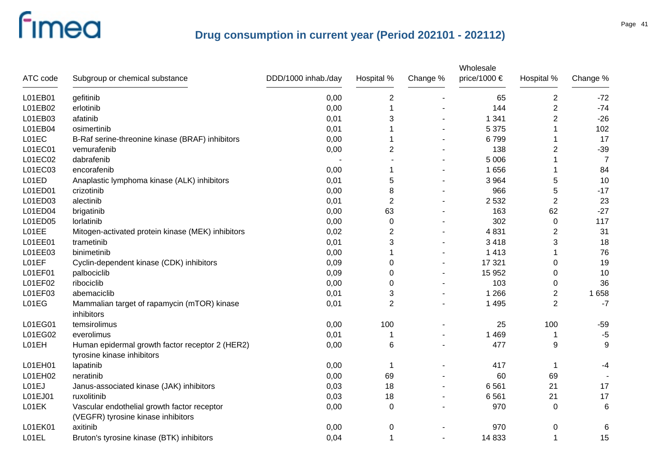|          |                                                                                   |                     |                |          | Wholesale    |                |                 |
|----------|-----------------------------------------------------------------------------------|---------------------|----------------|----------|--------------|----------------|-----------------|
| ATC code | Subgroup or chemical substance                                                    | DDD/1000 inhab./day | Hospital %     | Change % | price/1000 € | Hospital %     | Change %        |
| L01EB01  | gefitinib                                                                         | 0,00                | $\overline{2}$ |          | 65           | $\overline{2}$ | $-72$           |
| L01EB02  | erlotinib                                                                         | 0,00                |                |          | 144          | $\overline{2}$ | $-74$           |
| L01EB03  | afatinib                                                                          | 0,01                | 3              |          | 1 3 4 1      | $\overline{2}$ | $-26$           |
| L01EB04  | osimertinib                                                                       | 0,01                |                |          | 5 3 7 5      |                | 102             |
| L01EC    | B-Raf serine-threonine kinase (BRAF) inhibitors                                   | 0,00                |                |          | 6799         | 1              | 17              |
| L01EC01  | vemurafenib                                                                       | 0,00                | 2              |          | 138          | $\overline{2}$ | $-39$           |
| L01EC02  | dabrafenib                                                                        |                     |                |          | 5 0 0 6      |                | $\overline{7}$  |
| L01EC03  | encorafenib                                                                       | 0,00                |                |          | 1 6 5 6      |                | 84              |
| L01ED    | Anaplastic lymphoma kinase (ALK) inhibitors                                       | 0,01                | $\mathbf 5$    |          | 3 9 6 4      | 5              | 10              |
| L01ED01  | crizotinib                                                                        | 0,00                | 8              |          | 966          | 5              | $-17$           |
| L01ED03  | alectinib                                                                         | 0,01                | $\overline{2}$ |          | 2532         | $\overline{2}$ | 23              |
| L01ED04  | brigatinib                                                                        | 0,00                | 63             |          | 163          | 62             | $-27$           |
| L01ED05  | lorlatinib                                                                        | 0,00                | $\mathbf 0$    |          | 302          | $\pmb{0}$      | 117             |
| L01EE    | Mitogen-activated protein kinase (MEK) inhibitors                                 | 0,02                | $\overline{2}$ |          | 4831         | $\overline{2}$ | 31              |
| L01EE01  | trametinib                                                                        | 0,01                | 3              |          | 3 4 1 8      | 3              | 18              |
| L01EE03  | binimetinib                                                                       | 0,00                |                |          | 1 4 1 3      | 1              | 76              |
| L01EF    | Cyclin-dependent kinase (CDK) inhibitors                                          | 0,09                | 0              |          | 17 321       | 0              | 19              |
| L01EF01  | palbociclib                                                                       | 0,09                | 0              |          | 15 952       | 0              | 10              |
| L01EF02  | ribociclib                                                                        | 0,00                | 0              |          | 103          | 0              | 36              |
| L01EF03  | abemaciclib                                                                       | 0,01                | 3              |          | 1 2 6 6      | 2              | 1658            |
| L01EG    | Mammalian target of rapamycin (mTOR) kinase<br>inhibitors                         | 0,01                | $\overline{2}$ |          | 1 4 9 5      | $\overline{2}$ | $-7$            |
| L01EG01  | temsirolimus                                                                      | 0,00                | 100            |          | 25           | 100            | $-59$           |
| L01EG02  | everolimus                                                                        | 0,01                |                |          | 1 4 6 9      | 1              | $-5$            |
| L01EH    | Human epidermal growth factor receptor 2 (HER2)<br>tyrosine kinase inhibitors     | 0,00                | 6              |          | 477          | 9              | 9               |
| L01EH01  | lapatinib                                                                         | 0,00                |                |          | 417          | -1             | -4              |
| L01EH02  | neratinib                                                                         | 0,00                | 69             |          | 60           | 69             |                 |
| L01EJ    | Janus-associated kinase (JAK) inhibitors                                          | 0,03                | 18             |          | 6561         | 21             | 17              |
| L01EJ01  | ruxolitinib                                                                       | 0,03                | 18             |          | 6561         | 21             | 17              |
| L01EK    | Vascular endothelial growth factor receptor<br>(VEGFR) tyrosine kinase inhibitors | 0,00                | $\mathbf 0$    |          | 970          | 0              | $6\phantom{1}6$ |
| L01EK01  | axitinib                                                                          | 0,00                | 0              |          | 970          | 0              | 6               |
| L01EL    | Bruton's tyrosine kinase (BTK) inhibitors                                         | 0,04                | 1              |          | 14 833       | 1              | 15              |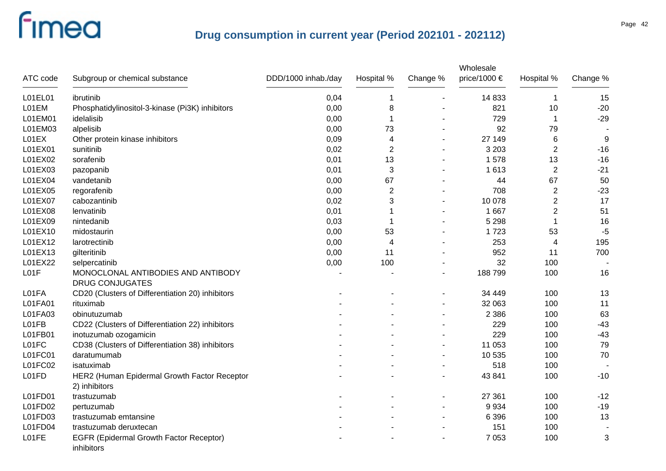|          |                                                              |                     |                |                | Wholesale    |                |          |
|----------|--------------------------------------------------------------|---------------------|----------------|----------------|--------------|----------------|----------|
| ATC code | Subgroup or chemical substance                               | DDD/1000 inhab./day | Hospital %     | Change %       | price/1000 € | Hospital %     | Change % |
| L01EL01  | ibrutinib                                                    | 0,04                |                |                | 14 8 33      | $\mathbf 1$    | 15       |
| L01EM    | Phosphatidylinositol-3-kinase (Pi3K) inhibitors              | 0,00                | 8              |                | 821          | 10             | $-20$    |
| L01EM01  | idelalisib                                                   | 0,00                |                |                | 729          | $\mathbf 1$    | $-29$    |
| L01EM03  | alpelisib                                                    | 0,00                | 73             |                | 92           | 79             |          |
| L01EX    | Other protein kinase inhibitors                              | 0,09                | 4              | ä,             | 27 149       | $\,6$          | 9        |
| L01EX01  | sunitinib                                                    | 0,02                | $\overline{2}$ |                | 3 2 0 3      | $\overline{2}$ | $-16$    |
| L01EX02  | sorafenib                                                    | 0,01                | 13             |                | 1578         | 13             | $-16$    |
| L01EX03  | pazopanib                                                    | 0,01                | 3              |                | 1613         | $\overline{2}$ | $-21$    |
| L01EX04  | vandetanib                                                   | 0,00                | 67             |                | 44           | 67             | 50       |
| L01EX05  | regorafenib                                                  | 0,00                | $\overline{2}$ |                | 708          | $\mathbf 2$    | $-23$    |
| L01EX07  | cabozantinib                                                 | 0,02                | 3              |                | 10 078       | $\overline{c}$ | 17       |
| L01EX08  | lenvatinib                                                   | 0,01                |                |                | 1 6 6 7      | $\overline{2}$ | 51       |
| L01EX09  | nintedanib                                                   | 0,03                |                |                | 5 2 9 8      | 1              | 16       |
| L01EX10  | midostaurin                                                  | 0,00                | 53             |                | 1723         | 53             | $-5$     |
| L01EX12  | larotrectinib                                                | 0,00                | 4              |                | 253          | 4              | 195      |
| L01EX13  | gilteritinib                                                 | 0,00                | 11             |                | 952          | 11             | 700      |
| L01EX22  | selpercatinib                                                | 0,00                | 100            |                | 32           | 100            |          |
| L01F     | MONOCLONAL ANTIBODIES AND ANTIBODY                           |                     |                | $\blacksquare$ | 188799       | 100            | 16       |
|          | <b>DRUG CONJUGATES</b>                                       |                     |                |                |              |                |          |
| L01FA    | CD20 (Clusters of Differentiation 20) inhibitors             |                     |                |                | 34 449       | 100            | 13       |
| L01FA01  | rituximab                                                    |                     |                | $\overline{a}$ | 32 063       | 100            | 11       |
| L01FA03  | obinutuzumab                                                 |                     |                |                | 2 3 8 6      | 100            | 63       |
| L01FB    | CD22 (Clusters of Differentiation 22) inhibitors             |                     |                |                | 229          | 100            | $-43$    |
| L01FB01  | inotuzumab ozogamicin                                        |                     |                |                | 229          | 100            | $-43$    |
| L01FC    | CD38 (Clusters of Differentiation 38) inhibitors             |                     |                | -              | 11 053       | 100            | 79       |
| L01FC01  | daratumumab                                                  |                     |                | $\blacksquare$ | 10 535       | 100            | 70       |
| L01FC02  | isatuximab                                                   |                     |                |                | 518          | 100            |          |
| L01FD    | HER2 (Human Epidermal Growth Factor Receptor                 |                     |                |                | 43 841       | 100            | $-10$    |
|          | 2) inhibitors                                                |                     |                |                |              |                |          |
| L01FD01  | trastuzumab                                                  |                     |                | -              | 27 361       | 100            | $-12$    |
| L01FD02  | pertuzumab                                                   |                     |                |                | 9 9 3 4      | 100            | $-19$    |
| L01FD03  | trastuzumab emtansine                                        |                     |                |                | 6 3 9 6      | 100            | 13       |
| L01FD04  | trastuzumab deruxtecan                                       |                     |                |                | 151          | 100            |          |
| L01FE    | <b>EGFR (Epidermal Growth Factor Receptor)</b><br>inhibitors |                     |                |                | 7 0 5 3      | 100            | 3        |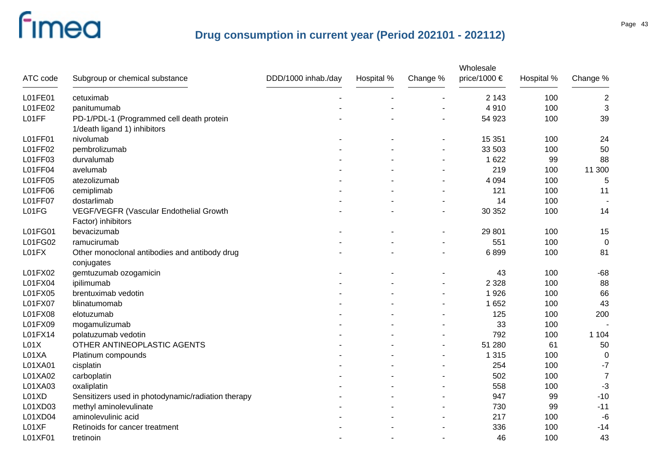|                |                                                    |                     |            |          | Wholesale    |            |                |
|----------------|----------------------------------------------------|---------------------|------------|----------|--------------|------------|----------------|
| ATC code       | Subgroup or chemical substance                     | DDD/1000 inhab./day | Hospital % | Change % | price/1000 € | Hospital % | Change %       |
| L01FE01        | cetuximab                                          |                     |            |          | 2 1 4 3      | 100        | $\overline{2}$ |
| L01FE02        | panitumumab                                        |                     |            |          | 4910         | 100        | 3              |
| L01FF          | PD-1/PDL-1 (Programmed cell death protein          |                     |            |          | 54 923       | 100        | 39             |
|                | 1/death ligand 1) inhibitors                       |                     |            |          |              |            |                |
| L01FF01        | nivolumab                                          |                     |            |          | 15 351       | 100        | 24             |
| L01FF02        | pembrolizumab                                      |                     |            |          | 33 503       | 100        | 50             |
| L01FF03        | durvalumab                                         |                     |            |          | 1 6 2 2      | 99         | 88             |
| L01FF04        | avelumab                                           |                     |            |          | 219          | 100        | 11 300         |
| L01FF05        | atezolizumab                                       |                     |            |          | 4 0 9 4      | 100        | 5              |
| L01FF06        | cemiplimab                                         |                     |            |          | 121          | 100        | 11             |
| <b>L01FF07</b> | dostarlimab                                        |                     |            |          | 14           | 100        |                |
| L01FG          | VEGF/VEGFR (Vascular Endothelial Growth            |                     |            |          | 30 352       | 100        | 14             |
|                | Factor) inhibitors                                 |                     |            |          |              |            |                |
| L01FG01        | bevacizumab                                        |                     |            |          | 29 801       | 100        | 15             |
| L01FG02        | ramucirumab                                        |                     |            |          | 551          | 100        | $\mathbf 0$    |
| L01FX          | Other monoclonal antibodies and antibody drug      |                     |            |          | 6899         | 100        | 81             |
|                | conjugates                                         |                     |            |          |              |            |                |
| L01FX02        | gemtuzumab ozogamicin                              |                     |            |          | 43           | 100        | $-68$          |
| L01FX04        | ipilimumab                                         |                     |            |          | 2 3 2 8      | 100        | 88             |
| L01FX05        | brentuximab vedotin                                |                     |            |          | 1926         | 100        | 66             |
| L01FX07        | blinatumomab                                       |                     |            |          | 1 6 5 2      | 100        | 43             |
| L01FX08        | elotuzumab                                         |                     |            |          | 125          | 100        | 200            |
| L01FX09        | mogamulizumab                                      |                     |            |          | 33           | 100        |                |
| L01FX14        | polatuzumab vedotin                                |                     |            |          | 792          | 100        | 1 1 0 4        |
| L01X           | OTHER ANTINEOPLASTIC AGENTS                        |                     |            |          | 51 280       | 61         | 50             |
| L01XA          | Platinum compounds                                 |                     |            |          | 1 3 1 5      | 100        | $\mathbf 0$    |
| L01XA01        | cisplatin                                          |                     |            |          | 254          | 100        | $-7$           |
| L01XA02        | carboplatin                                        |                     |            |          | 502          | 100        | $\overline{7}$ |
| L01XA03        | oxaliplatin                                        |                     |            |          | 558          | 100        | $-3$           |
| L01XD          | Sensitizers used in photodynamic/radiation therapy |                     |            |          | 947          | 99         | $-10$          |
| L01XD03        | methyl aminolevulinate                             |                     |            |          | 730          | 99         | $-11$          |
| L01XD04        | aminolevulinic acid                                |                     |            |          | 217          | 100        | $-6$           |
| L01XF          | Retinoids for cancer treatment                     |                     |            |          | 336          | 100        | $-14$          |
| L01XF01        | tretinoin                                          |                     |            |          | 46           | 100        | 43             |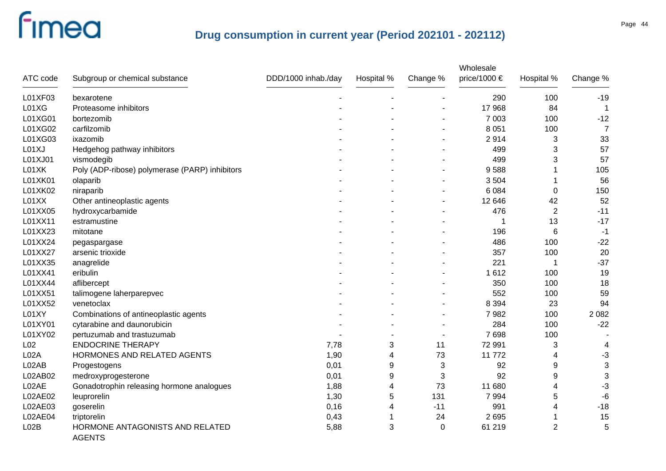|                  |                                                  |                     |            |             | Wholesale    |                |                |
|------------------|--------------------------------------------------|---------------------|------------|-------------|--------------|----------------|----------------|
| ATC code         | Subgroup or chemical substance                   | DDD/1000 inhab./day | Hospital % | Change %    | price/1000 € | Hospital %     | Change %       |
| L01XF03          | bexarotene                                       |                     |            |             | 290          | 100            | $-19$          |
| L01XG            | Proteasome inhibitors                            |                     |            |             | 17 968       | 84             |                |
| L01XG01          | bortezomib                                       |                     |            |             | 7 0 0 3      | 100            | $-12$          |
| L01XG02          | carfilzomib                                      |                     |            |             | 8 0 5 1      | 100            | $\overline{7}$ |
| L01XG03          | ixazomib                                         |                     |            |             | 2914         | 3              | 33             |
| L01XJ            | Hedgehog pathway inhibitors                      |                     |            |             | 499          | 3              | 57             |
| L01XJ01          | vismodegib                                       |                     |            |             | 499          | 3              | 57             |
| L01XK            | Poly (ADP-ribose) polymerase (PARP) inhibitors   |                     |            |             | 9588         |                | 105            |
| L01XK01          | olaparib                                         |                     |            |             | 3504         |                | 56             |
| L01XK02          | niraparib                                        |                     |            |             | 6 0 8 4      | 0              | 150            |
| L01XX            | Other antineoplastic agents                      |                     |            |             | 12 646       | 42             | 52             |
| L01XX05          | hydroxycarbamide                                 |                     |            |             | 476          | $\overline{2}$ | $-11$          |
| L01XX11          | estramustine                                     |                     |            |             |              | 13             | $-17$          |
| L01XX23          | mitotane                                         |                     |            |             | 196          | 6              | $-1$           |
| L01XX24          | pegaspargase                                     |                     |            |             | 486          | 100            | $-22$          |
| L01XX27          | arsenic trioxide                                 |                     |            |             | 357          | 100            | 20             |
| L01XX35          | anagrelide                                       |                     |            |             | 221          | 1              | $-37$          |
| L01XX41          | eribulin                                         |                     |            |             | 1612         | 100            | 19             |
| L01XX44          | aflibercept                                      |                     |            |             | 350          | 100            | 18             |
| L01XX51          | talimogene laherparepvec                         |                     |            |             | 552          | 100            | 59             |
| L01XX52          | venetoclax                                       |                     |            |             | 8 3 9 4      | 23             | 94             |
| L01XY            | Combinations of antineoplastic agents            |                     |            |             | 7982         | 100            | 2 0 8 2        |
| L01XY01          | cytarabine and daunorubicin                      |                     |            |             | 284          | 100            | $-22$          |
| L01XY02          | pertuzumab and trastuzumab                       |                     |            |             | 7698         | 100            |                |
| L <sub>02</sub>  | <b>ENDOCRINE THERAPY</b>                         | 7,78                | 3          | 11          | 72 991       | 3              | 4              |
| L <sub>02A</sub> | HORMONES AND RELATED AGENTS                      | 1,90                | 4          | 73          | 11 772       | 4              | $-3$           |
| L02AB            | Progestogens                                     | 0,01                | 9          | 3           | 92           | 9              | 3              |
| L02AB02          | medroxyprogesterone                              | 0,01                | 9          | 3           | 92           | 9              | 3              |
| L02AE            | Gonadotrophin releasing hormone analogues        | 1,88                | 4          | 73          | 11 680       | 4              | -3             |
| L02AE02          | leuprorelin                                      | 1,30                | 5          | 131         | 7994         | 5              | $-6$           |
| L02AE03          | goserelin                                        | 0,16                | 4          | $-11$       | 991          | 4              | $-18$          |
| L02AE04          | triptorelin                                      | 0,43                | 1          | 24          | 2695         |                | 15             |
| L02B             | HORMONE ANTAGONISTS AND RELATED<br><b>AGENTS</b> | 5,88                | 3          | $\mathbf 0$ | 61 219       | $\overline{2}$ | 5              |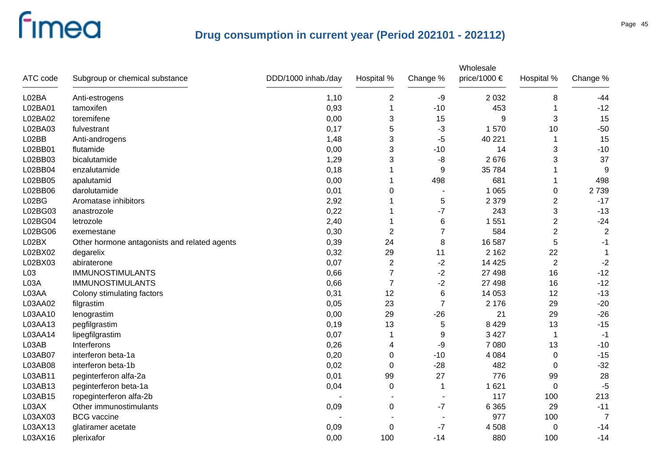| ATC code        | Subgroup or chemical substance               | DDD/1000 inhab./day | Hospital %     | Change %       | Wholesale<br>price/1000 € | Hospital %     | Change %       |
|-----------------|----------------------------------------------|---------------------|----------------|----------------|---------------------------|----------------|----------------|
| L02BA           | Anti-estrogens                               | 1,10                | $\overline{c}$ | -9             | 2 0 3 2                   | 8              | $-44$          |
| L02BA01         | tamoxifen                                    | 0,93                | 1              | $-10$          | 453                       |                | $-12$          |
| L02BA02         | toremifene                                   | 0,00                | 3              | 15             | 9                         | 3              | 15             |
| L02BA03         | fulvestrant                                  | 0,17                | 5              | $-3$           | 1570                      | 10             | $-50$          |
| L02BB           | Anti-androgens                               | 1,48                | 3              | $-5$           | 40 221                    | 1              | 15             |
| L02BB01         | flutamide                                    | 0,00                | 3              | $-10$          | 14                        | 3              | $-10$          |
| L02BB03         | bicalutamide                                 | 1,29                | 3              | -8             | 2676                      | 3              | 37             |
| L02BB04         | enzalutamide                                 | 0,18                |                | 9              | 35 784                    |                | 9              |
| L02BB05         | apalutamid                                   | 0,00                |                | 498            | 681                       | 1              | 498            |
| L02BB06         | darolutamide                                 | 0,01                | 0              |                | 1 0 6 5                   | 0              | 2739           |
| L02BG           | Aromatase inhibitors                         | 2,92                |                | 5              | 2 3 7 9                   | $\overline{2}$ | $-17$          |
| L02BG03         | anastrozole                                  | 0,22                |                | $-7$           | 243                       | 3              | $-13$          |
| L02BG04         | letrozole                                    | 2,40                |                | 6              | 1 551                     | $\overline{c}$ | $-24$          |
| L02BG06         | exemestane                                   | 0,30                | $\overline{2}$ | $\overline{7}$ | 584                       | $\overline{2}$ | $\overline{2}$ |
| L02BX           | Other hormone antagonists and related agents | 0,39                | 24             | 8              | 16 587                    | 5              | -1             |
| L02BX02         | degarelix                                    | 0,32                | 29             | 11             | 2 1 6 2                   | 22             |                |
| L02BX03         | abiraterone                                  | 0,07                | $\overline{2}$ | $-2$           | 14 4 25                   | $\overline{2}$ | $-2$           |
| L <sub>03</sub> | <b>IMMUNOSTIMULANTS</b>                      | 0,66                | 7              | $-2$           | 27 498                    | 16             | $-12$          |
| L03A            | <b>IMMUNOSTIMULANTS</b>                      | 0,66                | $\overline{7}$ | $-2$           | 27 498                    | 16             | $-12$          |
| L03AA           | Colony stimulating factors                   | 0,31                | 12             | 6              | 14 0 53                   | 12             | $-13$          |
| L03AA02         | filgrastim                                   | 0,05                | 23             | $\overline{7}$ | 2 1 7 6                   | 29             | $-20$          |
| L03AA10         | lenograstim                                  | 0,00                | 29             | $-26$          | 21                        | 29             | $-26$          |
| L03AA13         | pegfilgrastim                                | 0,19                | 13             | 5              | 8 4 2 9                   | 13             | $-15$          |
| L03AA14         | lipegfilgrastim                              | 0,07                |                | 9              | 3 4 2 7                   | 1              | $-1$           |
| L03AB           | Interferons                                  | 0,26                | 4              | -9             | 7 0 8 0                   | 13             | $-10$          |
| L03AB07         | interferon beta-1a                           | 0,20                | 0              | $-10$          | 4 0 8 4                   | $\pmb{0}$      | $-15$          |
| L03AB08         | interferon beta-1b                           | 0,02                | 0              | $-28$          | 482                       | 0              | $-32$          |
| L03AB11         | peginterferon alfa-2a                        | 0,01                | 99             | 27             | 776                       | 99             | 28             |
| L03AB13         | peginterferon beta-1a                        | 0,04                | $\mathbf 0$    | 1              | 1 6 2 1                   | $\mathbf 0$    | $-5$           |
| L03AB15         | ropeginterferon alfa-2b                      |                     |                |                | 117                       | 100            | 213            |
| L03AX           | Other immunostimulants                       | 0,09                | $\mathbf 0$    | $-7$           | 6 3 6 5                   | 29             | $-11$          |
| L03AX03         | <b>BCG</b> vaccine                           |                     |                |                | 977                       | 100            | $\overline{7}$ |
| L03AX13         | glatiramer acetate                           | 0,09                | 0              | $-7$           | 4 508                     | $\mathbf 0$    | $-14$          |
| L03AX16         | plerixafor                                   | 0,00                | 100            | $-14$          | 880                       | 100            | $-14$          |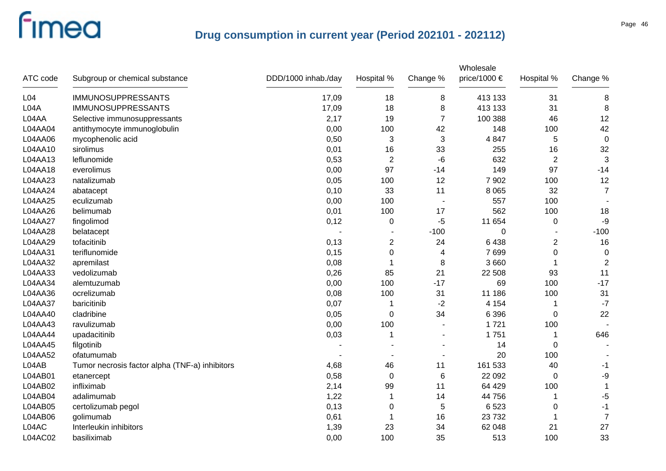| ATC code         | Subgroup or chemical substance                 | DDD/1000 inhab./day | Hospital %     | Change %                 | Wholesale<br>price/1000 € | Hospital %     | Change %         |
|------------------|------------------------------------------------|---------------------|----------------|--------------------------|---------------------------|----------------|------------------|
| L <sub>04</sub>  | <b>IMMUNOSUPPRESSANTS</b>                      | 17,09               | 18             | 8                        | 413 133                   | 31             | 8                |
| L <sub>04A</sub> | <b>IMMUNOSUPPRESSANTS</b>                      | 17,09               | 18             | 8                        | 413 133                   | 31             | 8                |
| L04AA            | Selective immunosuppressants                   | 2,17                | 19             | $\overline{7}$           | 100 388                   | 46             | 12               |
| L04AA04          | antithymocyte immunoglobulin                   | 0,00                | 100            | 42                       | 148                       | 100            | 42               |
| L04AA06          | mycophenolic acid                              | 0,50                | 3              | $\sqrt{3}$               | 4 8 4 7                   | 5              | $\mathbf 0$      |
| L04AA10          | sirolimus                                      | 0,01                | 16             | 33                       | 255                       | 16             | 32               |
| L04AA13          | leflunomide                                    | 0,53                | $\overline{c}$ | -6                       | 632                       | $\overline{2}$ | 3                |
| L04AA18          | everolimus                                     | 0,00                | 97             | $-14$                    | 149                       | 97             | $-14$            |
| L04AA23          | natalizumab                                    | 0,05                | 100            | 12                       | 7 9 0 2                   | 100            | 12               |
| L04AA24          | abatacept                                      | 0,10                | 33             | 11                       | 8 0 6 5                   | 32             | $\overline{7}$   |
| L04AA25          | eculizumab                                     | 0,00                | 100            | $\overline{\phantom{a}}$ | 557                       | 100            |                  |
| L04AA26          | belimumab                                      | 0,01                | 100            | 17                       | 562                       | 100            | 18               |
| L04AA27          | fingolimod                                     | 0,12                | 0              | $-5$                     | 11 654                    | $\pmb{0}$      | -9               |
| L04AA28          | belatacept                                     |                     |                | $-100$                   | 0                         |                | $-100$           |
| L04AA29          | tofacitinib                                    | 0,13                | 2              | 24                       | 6438                      | 2              | 16               |
| L04AA31          | teriflunomide                                  | 0,15                | 0              | 4                        | 7699                      | 0              | $\boldsymbol{0}$ |
| L04AA32          | apremilast                                     | 0,08                |                | 8                        | 3 6 6 0                   | 1              | $\overline{2}$   |
| L04AA33          | vedolizumab                                    | 0,26                | 85             | 21                       | 22 508                    | 93             | 11               |
| L04AA34          | alemtuzumab                                    | 0,00                | 100            | $-17$                    | 69                        | 100            | $-17$            |
| L04AA36          | ocrelizumab                                    | 0,08                | 100            | 31                       | 11 186                    | 100            | 31               |
| L04AA37          | baricitinib                                    | 0,07                | 1              | $-2$                     | 4 1 5 4                   | 1              | $-7$             |
| L04AA40          | cladribine                                     | 0,05                | 0              | 34                       | 6 3 9 6                   | $\mathbf 0$    | 22               |
| L04AA43          | ravulizumab                                    | 0,00                | 100            | $\blacksquare$           | 1721                      | 100            |                  |
| L04AA44          | upadacitinib                                   | 0,03                | 1              |                          | 1751                      | 1              | 646              |
| L04AA45          | filgotinib                                     |                     |                | ۰                        | 14                        | 0              |                  |
| L04AA52          | ofatumumab                                     |                     |                |                          | 20                        | 100            |                  |
| L04AB            | Tumor necrosis factor alpha (TNF-a) inhibitors | 4,68                | 46             | 11                       | 161 533                   | 40             | -1               |
| L04AB01          | etanercept                                     | 0,58                | $\Omega$       | 6                        | 22 092                    | $\mathbf 0$    | $-9$             |
| L04AB02          | infliximab                                     | 2,14                | 99             | 11                       | 64 429                    | 100            | 1                |
| L04AB04          | adalimumab                                     | 1,22                | 1              | 14                       | 44 756                    | 1              | $-5$             |
| L04AB05          | certolizumab pegol                             | 0,13                | 0              | 5                        | 6523                      | 0              | $-1$             |
| L04AB06          | golimumab                                      | 0,61                |                | 16                       | 23 7 32                   | 1              | $\overline{7}$   |
| L04AC            | Interleukin inhibitors                         | 1,39                | 23             | 34                       | 62 048                    | 21             | 27               |
| L04AC02          | basiliximab                                    | 0,00                | 100            | 35                       | 513                       | 100            | 33               |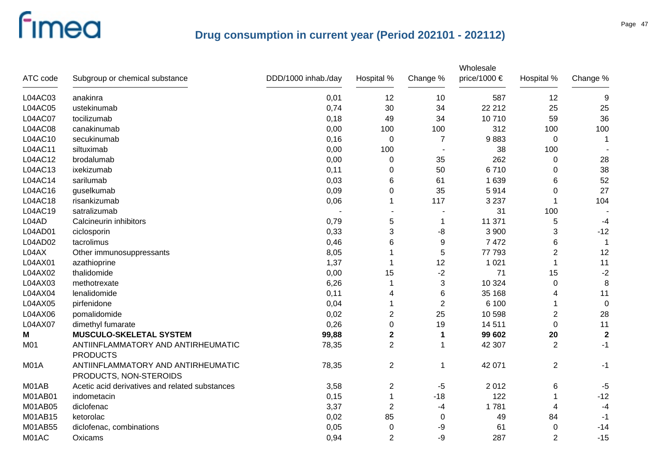|             |                                                              |                     |                |                  | Wholesale    |                |                |
|-------------|--------------------------------------------------------------|---------------------|----------------|------------------|--------------|----------------|----------------|
| ATC code    | Subgroup or chemical substance                               | DDD/1000 inhab./day | Hospital %     | Change %         | price/1000 € | Hospital %     | Change %       |
| L04AC03     | anakinra                                                     | 0,01                | 12             | 10               | 587          | 12             | 9              |
| L04AC05     | ustekinumab                                                  | 0,74                | 30             | 34               | 22 212       | 25             | 25             |
| L04AC07     | tocilizumab                                                  | 0,18                | 49             | 34               | 10710        | 59             | 36             |
| L04AC08     | canakinumab                                                  | 0,00                | 100            | 100              | 312          | 100            | 100            |
| L04AC10     | secukinumab                                                  | 0,16                | $\mathbf 0$    | $\overline{7}$   | 9883         | 0              | 1              |
| L04AC11     | siltuximab                                                   | 0,00                | 100            |                  | 38           | 100            |                |
| L04AC12     | brodalumab                                                   | 0,00                | 0              | 35               | 262          | 0              | 28             |
| L04AC13     | ixekizumab                                                   | 0,11                | 0              | 50               | 6710         | $\Omega$       | 38             |
| L04AC14     | sarilumab                                                    | 0,03                | 6              | 61               | 1 6 3 9      | 6              | 52             |
| L04AC16     | guselkumab                                                   | 0,09                | 0              | 35               | 5914         | 0              | 27             |
| L04AC18     | risankizumab                                                 | 0,06                |                | 117              | 3 2 3 7      |                | 104            |
| L04AC19     | satralizumab                                                 |                     |                |                  | 31           | 100            |                |
| L04AD       | Calcineurin inhibitors                                       | 0,79                | 5              | $\mathbf 1$      | 11 371       | 5              | $-4$           |
| L04AD01     | ciclosporin                                                  | 0,33                | 3              | -8               | 3 9 0 0      | 3              | $-12$          |
| L04AD02     | tacrolimus                                                   | 0,46                | 6              | $\boldsymbol{9}$ | 7 4 7 2      | 6              | $\overline{1}$ |
| L04AX       | Other immunosuppressants                                     | 8,05                |                | $\sqrt{5}$       | 77 793       | $\overline{c}$ | 12             |
| L04AX01     | azathioprine                                                 | 1,37                | -1             | 12               | 1 0 2 1      |                | 11             |
| L04AX02     | thalidomide                                                  | 0,00                | 15             | $-2$             | 71           | 15             | $-2$           |
| L04AX03     | methotrexate                                                 | 6,26                | -1             | 3                | 10 324       | 0              | 8              |
| L04AX04     | lenalidomide                                                 | 0,11                | 4              | 6                | 35 168       | 4              | 11             |
| L04AX05     | pirfenidone                                                  | 0,04                |                | $\overline{2}$   | 6 100        |                | $\mathbf 0$    |
| L04AX06     | pomalidomide                                                 | 0,02                | $\overline{2}$ | 25               | 10 598       | $\overline{2}$ | 28             |
| L04AX07     | dimethyl fumarate                                            | 0,26                | $\Omega$       | 19               | 14 511       | $\Omega$       | 11             |
| Μ           | <b>MUSCULO-SKELETAL SYSTEM</b>                               | 99,88               | $\mathbf 2$    | 1                | 99 602       | 20             | $\mathbf{2}$   |
| M01         | ANTIINFLAMMATORY AND ANTIRHEUMATIC<br><b>PRODUCTS</b>        | 78,35               | $\overline{2}$ |                  | 42 307       | $\overline{2}$ | $-1$           |
| <b>M01A</b> | ANTIINFLAMMATORY AND ANTIRHEUMATIC<br>PRODUCTS, NON-STEROIDS | 78,35               | $\overline{2}$ | 1                | 42 071       | $\overline{2}$ | $-1$           |
| M01AB       | Acetic acid derivatives and related substances               | 3,58                | $\overline{2}$ | $-5$             | 2012         | 6              | $-5$           |
| M01AB01     | indometacin                                                  | 0,15                | $\mathbf 1$    | $-18$            | 122          |                | $-12$          |
| M01AB05     | diclofenac                                                   | 3,37                | 2              | -4               | 1781         | 4              | $-4$           |
| M01AB15     | ketorolac                                                    | 0,02                | 85             | 0                | 49           | 84             | $-1$           |
| M01AB55     | diclofenac, combinations                                     | 0,05                | 0              | -9               | 61           | 0              | $-14$          |
| M01AC       | Oxicams                                                      | 0,94                | $\overline{2}$ | -9               | 287          | $\overline{2}$ | $-15$          |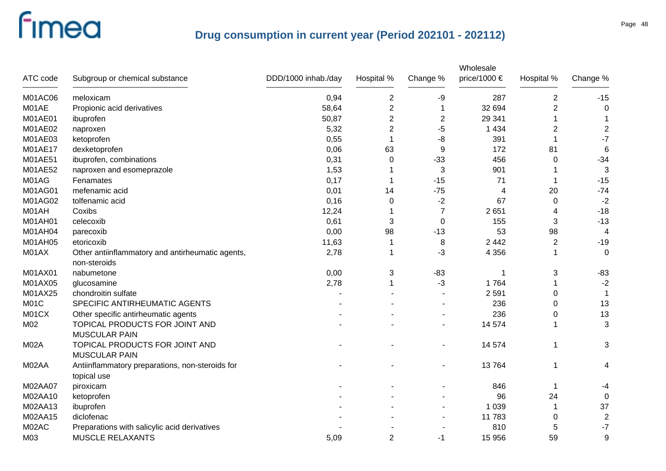| ATC code       | Subgroup or chemical substance                                   | DDD/1000 inhab./day | Hospital %       | Change %       | Wholesale<br>price/1000 € | Hospital %     | Change %         |
|----------------|------------------------------------------------------------------|---------------------|------------------|----------------|---------------------------|----------------|------------------|
| M01AC06        | meloxicam                                                        | 0,94                | $\boldsymbol{2}$ | -9             | 287                       | $\mathbf 2$    | $-15$            |
| M01AE          | Propionic acid derivatives                                       | 58,64               | $\overline{c}$   | $\mathbf 1$    | 32 694                    | $\overline{2}$ | $\mathbf 0$      |
| <b>M01AE01</b> | ibuprofen                                                        | 50,87               | $\overline{2}$   | $\sqrt{2}$     | 29 341                    | 1              |                  |
| M01AE02        | naproxen                                                         | 5,32                | $\overline{c}$   | -5             | 1 4 3 4                   | $\overline{2}$ | $\overline{c}$   |
| M01AE03        | ketoprofen                                                       | 0,55                | 1                | -8             | 391                       | 1              | $-7$             |
| M01AE17        | dexketoprofen                                                    | 0,06                | 63               | 9              | 172                       | 81             | $6\phantom{1}6$  |
| M01AE51        | ibuprofen, combinations                                          | 0,31                | 0                | $-33$          | 456                       | 0              | $-34$            |
| M01AE52        | naproxen and esomeprazole                                        | 1,53                | 1                | 3              | 901                       |                | 3                |
| M01AG          | Fenamates                                                        | 0,17                | 1                | $-15$          | 71                        | 1              | $-15$            |
| M01AG01        | mefenamic acid                                                   | 0,01                | 14               | $-75$          | 4                         | 20             | $-74$            |
| M01AG02        | tolfenamic acid                                                  | 0,16                | $\Omega$         | $-2$           | 67                        | $\mathbf 0$    | $-2$             |
| M01AH          | Coxibs                                                           | 12,24               |                  | $\overline{7}$ | 2651                      | 4              | $-18$            |
| <b>M01AH01</b> | celecoxib                                                        | 0,61                | 3                | 0              | 155                       | 3              | $-13$            |
| M01AH04        | parecoxib                                                        | 0,00                | 98               | $-13$          | 53                        | 98             | 4                |
| M01AH05        | etoricoxib                                                       | 11,63               | 1                | 8              | 2 4 4 2                   | $\overline{2}$ | $-19$            |
| M01AX          | Other antiinflammatory and antirheumatic agents,<br>non-steroids | 2,78                | 1                | -3             | 4 3 5 6                   | 1              | $\mathbf 0$      |
| M01AX01        | nabumetone                                                       | 0,00                | 3                | $-83$          | 1                         | 3              | $-83$            |
| M01AX05        | glucosamine                                                      | 2,78                | 1                | $-3$           | 1764                      | 1              | $-2$             |
| M01AX25        | chondroitin sulfate                                              |                     |                  |                | 2 5 9 1                   | 0              |                  |
| M01C           | SPECIFIC ANTIRHEUMATIC AGENTS                                    |                     |                  |                | 236                       | 0              | 13               |
| M01CX          | Other specific antirheumatic agents                              |                     |                  |                | 236                       | 0              | 13               |
| M02            | TOPICAL PRODUCTS FOR JOINT AND<br><b>MUSCULAR PAIN</b>           |                     |                  |                | 14 574                    | 1              | $\mathbf{3}$     |
| M02A           | TOPICAL PRODUCTS FOR JOINT AND<br><b>MUSCULAR PAIN</b>           |                     |                  |                | 14 574                    | 1              | 3                |
| M02AA          | Antiinflammatory preparations, non-steroids for<br>topical use   |                     |                  |                | 13764                     | 1              | 4                |
| M02AA07        | piroxicam                                                        |                     |                  |                | 846                       | $\mathbf 1$    | -4               |
| M02AA10        | ketoprofen                                                       |                     |                  |                | 96                        | 24             | 0                |
| M02AA13        | ibuprofen                                                        |                     |                  |                | 1 0 3 9                   | 1              | 37               |
| M02AA15        | diclofenac                                                       |                     |                  |                | 11783                     | 0              | $\boldsymbol{2}$ |
| M02AC          | Preparations with salicylic acid derivatives                     |                     |                  |                | 810                       | 5              | $-7$             |
| M03            | MUSCLE RELAXANTS                                                 | 5,09                | $\overline{c}$   | $-1$           | 15 956                    | 59             | 9                |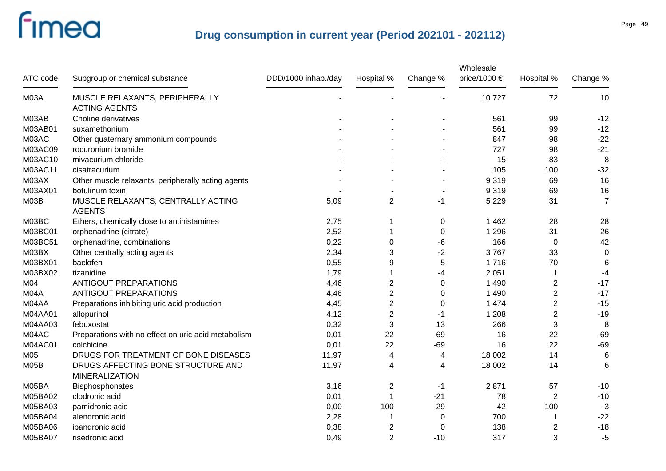| ATC code    | Subgroup or chemical substance                              | DDD/1000 inhab./day | Hospital %     | Change %    | Wholesale<br>price/1000 $\in$ | Hospital %       | Change %       |
|-------------|-------------------------------------------------------------|---------------------|----------------|-------------|-------------------------------|------------------|----------------|
| <b>M03A</b> | MUSCLE RELAXANTS, PERIPHERALLY<br><b>ACTING AGENTS</b>      |                     |                |             | 10727                         | 72               | 10             |
| M03AB       | Choline derivatives                                         |                     |                |             | 561                           | 99               | $-12$          |
| M03AB01     | suxamethonium                                               |                     |                |             | 561                           | 99               | $-12$          |
| M03AC       | Other quaternary ammonium compounds                         |                     |                |             | 847                           | 98               | $-22$          |
| M03AC09     | rocuronium bromide                                          |                     |                |             | 727                           | 98               | $-21$          |
| M03AC10     | mivacurium chloride                                         |                     |                |             | 15                            | 83               | 8              |
| M03AC11     | cisatracurium                                               |                     |                |             | 105                           | 100              | $-32$          |
| M03AX       | Other muscle relaxants, peripherally acting agents          |                     |                |             | 9 3 1 9                       | 69               | 16             |
| M03AX01     | botulinum toxin                                             |                     |                |             | 9 3 1 9                       | 69               | 16             |
| <b>M03B</b> | MUSCLE RELAXANTS, CENTRALLY ACTING<br><b>AGENTS</b>         | 5,09                | 2              | -1          | 5 2 2 9                       | 31               | $\overline{7}$ |
| M03BC       | Ethers, chemically close to antihistamines                  | 2,75                | 1              | 0           | 1 4 6 2                       | 28               | 28             |
| M03BC01     | orphenadrine (citrate)                                      | 2,52                | 1              | 0           | 1 2 9 6                       | 31               | 26             |
| M03BC51     | orphenadrine, combinations                                  | 0,22                | $\mathbf 0$    | -6          | 166                           | $\mathbf 0$      | 42             |
| M03BX       | Other centrally acting agents                               | 2,34                | 3              | $-2$        | 3767                          | 33               | $\mathbf 0$    |
| M03BX01     | baclofen                                                    | 0,55                | 9              | 5           | 1716                          | 70               | 6              |
| M03BX02     | tizanidine                                                  | 1,79                |                | -4          | 2 0 5 1                       | 1                | $-4$           |
| M04         | <b>ANTIGOUT PREPARATIONS</b>                                | 4,46                | $\overline{2}$ | 0           | 1 4 9 0                       | $\overline{2}$   | $-17$          |
| M04A        | <b>ANTIGOUT PREPARATIONS</b>                                | 4,46                | $\overline{2}$ | 0           | 1 4 9 0                       | $\overline{2}$   | $-17$          |
| M04AA       | Preparations inhibiting uric acid production                | 4,45                | $\overline{2}$ | 0           | 1 4 7 4                       | $\overline{2}$   | $-15$          |
| M04AA01     | allopurinol                                                 | 4,12                | $\overline{2}$ | -1          | 1 2 0 8                       | $\overline{2}$   | $-19$          |
| M04AA03     | febuxostat                                                  | 0,32                | 3              | 13          | 266                           | 3                | 8              |
| M04AC       | Preparations with no effect on uric acid metabolism         | 0,01                | 22             | $-69$       | 16                            | 22               | $-69$          |
| M04AC01     | colchicine                                                  | 0,01                | 22             | $-69$       | 16                            | 22               | $-69$          |
| M05         | DRUGS FOR TREATMENT OF BONE DISEASES                        | 11,97               | $\overline{4}$ | 4           | 18 002                        | 14               | 6              |
| M05B        | DRUGS AFFECTING BONE STRUCTURE AND<br><b>MINERALIZATION</b> | 11,97               | 4              | 4           | 18 002                        | 14               | 6              |
| M05BA       | Bisphosphonates                                             | 3,16                | $\overline{2}$ | -1          | 2871                          | 57               | $-10$          |
| M05BA02     | clodronic acid                                              | 0,01                | $\mathbf 1$    | $-21$       | 78                            | $\boldsymbol{2}$ | $-10$          |
| M05BA03     | pamidronic acid                                             | 0,00                | 100            | $-29$       | 42                            | 100              | $-3$           |
| M05BA04     | alendronic acid                                             | 2,28                | 1              | 0           | 700                           |                  | $-22$          |
| M05BA06     | ibandronic acid                                             | 0,38                | $\overline{2}$ | $\mathbf 0$ | 138                           | 2                | $-18$          |
| M05BA07     | risedronic acid                                             | 0,49                | $\overline{2}$ | $-10$       | 317                           | 3                | $-5$           |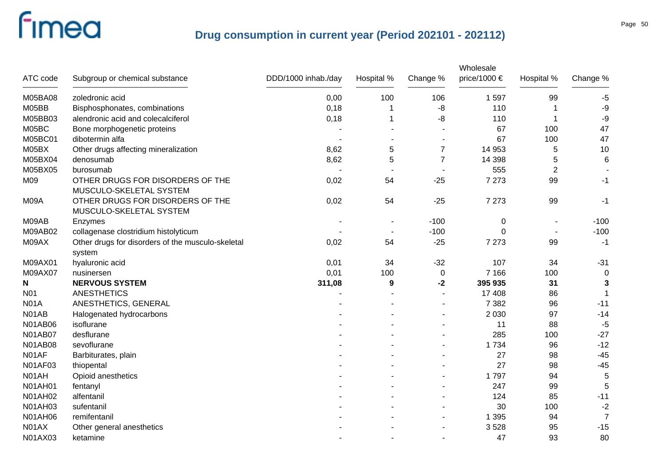|                  |                                                             |                     |            |                | Wholesale    |                |                |
|------------------|-------------------------------------------------------------|---------------------|------------|----------------|--------------|----------------|----------------|
| ATC code         | Subgroup or chemical substance                              | DDD/1000 inhab./day | Hospital % | Change %       | price/1000 € | Hospital %     | Change %       |
| M05BA08          | zoledronic acid                                             | 0,00                | 100        | 106            | 1597         | 99             | $-5$           |
| M05BB            | Bisphosphonates, combinations                               | 0,18                | 1          | -8             | 110          |                | $-9$           |
| M05BB03          | alendronic acid and colecalciferol                          | 0,18                | 1          | -8             | 110          | -1             | $-9$           |
| M05BC            | Bone morphogenetic proteins                                 |                     |            |                | 67           | 100            | 47             |
| M05BC01          | dibotermin alfa                                             |                     |            |                | 67           | 100            | 47             |
| M05BX            | Other drugs affecting mineralization                        | 8,62                | 5          | $\overline{7}$ | 14 953       | 5              | 10             |
| M05BX04          | denosumab                                                   | 8,62                | 5          | $\overline{7}$ | 14 3 98      | 5              | 6              |
| M05BX05          | burosumab                                                   |                     |            |                | 555          | $\overline{2}$ |                |
| M09              | OTHER DRUGS FOR DISORDERS OF THE<br>MUSCULO-SKELETAL SYSTEM | 0,02                | 54         | $-25$          | 7 2 7 3      | 99             | $-1$           |
| M09A             | OTHER DRUGS FOR DISORDERS OF THE<br>MUSCULO-SKELETAL SYSTEM | 0,02                | 54         | $-25$          | 7 2 7 3      | 99             | -1             |
| M09AB            | Enzymes                                                     |                     |            | $-100$         | $\pmb{0}$    |                | $-100$         |
| M09AB02          | collagenase clostridium histolyticum                        |                     |            | $-100$         | 0            |                | $-100$         |
| M09AX            | Other drugs for disorders of the musculo-skeletal<br>system | 0,02                | 54         | $-25$          | 7 2 7 3      | 99             | $-1$           |
| M09AX01          | hyaluronic acid                                             | 0,01                | 34         | $-32$          | 107          | 34             | $-31$          |
| M09AX07          | nusinersen                                                  | 0,01                | 100        | $\mathbf 0$    | 7 1 6 6      | 100            | 0              |
| N                | <b>NERVOUS SYSTEM</b>                                       | 311,08              | 9          | $-2$           | 395 935      | 31             | $\mathbf{3}$   |
| N <sub>0</sub> 1 | <b>ANESTHETICS</b>                                          |                     |            |                | 17 408       | 86             |                |
| <b>N01A</b>      | ANESTHETICS, GENERAL                                        |                     |            |                | 7 3 8 2      | 96             | $-11$          |
| N01AB            | Halogenated hydrocarbons                                    |                     |            |                | 2 0 3 0      | 97             | $-14$          |
| N01AB06          | isoflurane                                                  |                     |            |                | 11           | 88             | $-5$           |
| <b>N01AB07</b>   | desflurane                                                  |                     |            |                | 285          | 100            | $-27$          |
| <b>N01AB08</b>   | sevoflurane                                                 |                     |            |                | 1 7 3 4      | 96             | $-12$          |
| N01AF            | Barbiturates, plain                                         |                     |            |                | 27           | 98             | $-45$          |
| N01AF03          | thiopental                                                  |                     |            |                | 27           | 98             | $-45$          |
| N01AH            | Opioid anesthetics                                          |                     |            |                | 1797         | 94             | $\sqrt{5}$     |
| <b>N01AH01</b>   | fentanyl                                                    |                     |            |                | 247          | 99             | 5              |
| <b>N01AH02</b>   | alfentanil                                                  |                     |            |                | 124          | 85             | $-11$          |
| N01AH03          | sufentanil                                                  |                     |            |                | 30           | 100            | $-2$           |
| <b>N01AH06</b>   | remifentanil                                                |                     |            |                | 1 3 9 5      | 94             | $\overline{7}$ |
| N01AX            | Other general anesthetics                                   |                     |            |                | 3528         | 95             | $-15$          |
| N01AX03          | ketamine                                                    |                     |            |                | 47           | 93             | 80             |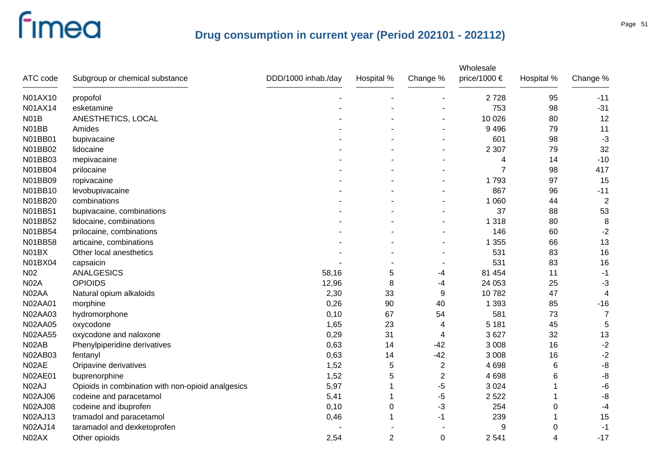| ATC code       | Subgroup or chemical substance                    | DDD/1000 inhab./day | Hospital %     | Change %       | Wholesale<br>price/1000 € | Hospital % | Change %       |
|----------------|---------------------------------------------------|---------------------|----------------|----------------|---------------------------|------------|----------------|
| N01AX10        | propofol                                          |                     |                |                | 2728                      | 95         | $-11$          |
| N01AX14        | esketamine                                        |                     |                |                | 753                       | 98         | $-31$          |
| <b>N01B</b>    | ANESTHETICS, LOCAL                                |                     |                |                | 10 0 26                   | 80         | 12             |
| N01BB          | Amides                                            |                     |                |                | 9 4 9 6                   | 79         | 11             |
| N01BB01        | bupivacaine                                       |                     |                |                | 601                       | 98         | $-3$           |
| N01BB02        | lidocaine                                         |                     |                |                | 2 3 0 7                   | 79         | 32             |
| N01BB03        | mepivacaine                                       |                     |                |                | 4                         | 14         | $-10$          |
| N01BB04        | prilocaine                                        |                     |                |                | 7                         | 98         | 417            |
| N01BB09        | ropivacaine                                       |                     |                |                | 1793                      | 97         | 15             |
| N01BB10        | levobupivacaine                                   |                     |                |                | 867                       | 96         | $-11$          |
| N01BB20        | combinations                                      |                     |                |                | 1 0 6 0                   | 44         | $\overline{2}$ |
| N01BB51        | bupivacaine, combinations                         |                     |                |                | 37                        | 88         | 53             |
| N01BB52        | lidocaine, combinations                           |                     |                |                | 1 3 1 8                   | 80         | 8              |
| N01BB54        | prilocaine, combinations                          |                     |                |                | 146                       | 60         | $-2$           |
| N01BB58        | articaine, combinations                           |                     |                |                | 1 3 5 5                   | 66         | 13             |
| N01BX          | Other local anesthetics                           |                     |                |                | 531                       | 83         | 16             |
| N01BX04        | capsaicin                                         |                     |                |                | 531                       | 83         | 16             |
| N02            | <b>ANALGESICS</b>                                 | 58,16               | 5              | -4             | 81 454                    | 11         | $-1$           |
| <b>N02A</b>    | <b>OPIOIDS</b>                                    | 12,96               | 8              | -4             | 24 053                    | 25         | $-3$           |
| N02AA          | Natural opium alkaloids                           | 2,30                | 33             | 9              | 10782                     | 47         | $\overline{4}$ |
| <b>N02AA01</b> | morphine                                          | 0,26                | 90             | 40             | 1 3 9 3                   | 85         | $-16$          |
| <b>N02AA03</b> | hydromorphone                                     | 0,10                | 67             | 54             | 581                       | 73         | $\overline{7}$ |
| <b>N02AA05</b> | oxycodone                                         | 1,65                | 23             | 4              | 5 1 8 1                   | 45         | 5              |
| <b>N02AA55</b> | oxycodone and naloxone                            | 0,29                | 31             | 4              | 3627                      | 32         | 13             |
| N02AB          | Phenylpiperidine derivatives                      | 0,63                | 14             | $-42$          | 3 0 0 8                   | 16         | $-2$           |
| N02AB03        | fentanyl                                          | 0,63                | 14             | $-42$          | 3 0 0 8                   | 16         | $-2$           |
| N02AE          | Oripavine derivatives                             | 1,52                | 5              | $\overline{2}$ | 4 6 9 8                   | 6          | -8             |
| <b>N02AE01</b> | buprenorphine                                     | 1,52                | 5              | $\overline{c}$ | 4698                      | 6          | -8             |
| N02AJ          | Opioids in combination with non-opioid analgesics | 5,97                |                | $-5$           | 3 0 2 4                   |            | -6             |
| <b>N02AJ06</b> | codeine and paracetamol                           | 5,41                |                | -5             | 2 5 2 2                   |            | -8             |
| <b>N02AJ08</b> | codeine and ibuprofen                             | 0,10                | $\mathbf 0$    | -3             | 254                       | 0          | $-4$           |
| N02AJ13        | tramadol and paracetamol                          | 0,46                | 1              | -1             | 239                       |            | 15             |
| N02AJ14        | taramadol and dexketoprofen                       |                     |                |                | 9                         | 0          | $-1$           |
| N02AX          | Other opioids                                     | 2,54                | $\overline{2}$ | $\mathbf 0$    | 2 5 4 1                   | 4          | $-17$          |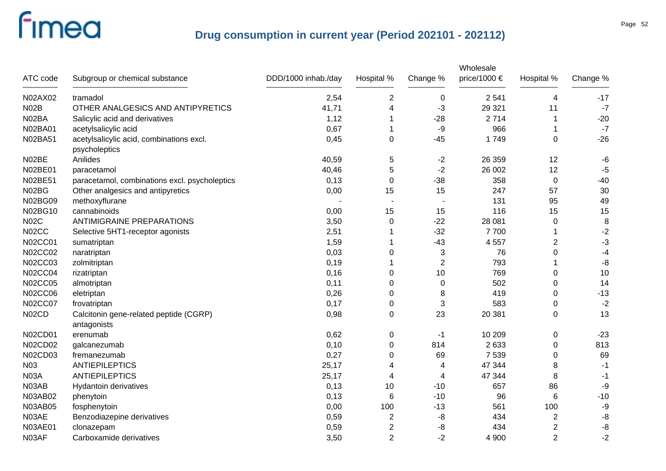| ATC code       | Subgroup or chemical substance                            | DDD/1000 inhab./day | Hospital %              | Change %       | Wholesale<br>price/1000 $\in$ | Hospital %     | Change % |
|----------------|-----------------------------------------------------------|---------------------|-------------------------|----------------|-------------------------------|----------------|----------|
| N02AX02        | tramadol                                                  | 2,54                | $\overline{\mathbf{c}}$ | $\mathbf 0$    | 2 5 4 1                       | 4              | $-17$    |
| <b>N02B</b>    | OTHER ANALGESICS AND ANTIPYRETICS                         | 41,71               | 4                       | -3             | 29 3 21                       | 11             | $-7$     |
| N02BA          | Salicylic acid and derivatives                            | 1,12                | 1                       | $-28$          | 2714                          | 1              | $-20$    |
| N02BA01        | acetylsalicylic acid                                      | 0,67                | 1                       | $-9$           | 966                           | 1              | $-7$     |
| N02BA51        | acetylsalicylic acid, combinations excl.<br>psycholeptics | 0,45                | $\Omega$                | $-45$          | 1749                          | $\Omega$       | $-26$    |
| N02BE          | Anilides                                                  | 40,59               | 5                       | $-2$           | 26 359                        | 12             | $-6$     |
| N02BE01        | paracetamol                                               | 40,46               | 5                       | $-2$           | 26 002                        | 12             | $-5$     |
| N02BE51        | paracetamol, combinations excl. psycholeptics             | 0,13                | 0                       | $-38$          | 358                           | $\mathbf 0$    | $-40$    |
| N02BG          | Other analgesics and antipyretics                         | 0,00                | 15                      | 15             | 247                           | 57             | 30       |
| N02BG09        | methoxyflurane                                            |                     |                         |                | 131                           | 95             | 49       |
| N02BG10        | cannabinoids                                              | 0,00                | 15                      | 15             | 116                           | 15             | 15       |
| <b>N02C</b>    | <b>ANTIMIGRAINE PREPARATIONS</b>                          | 3,50                | 0                       | $-22$          | 28 081                        | 0              | 8        |
| N02CC          | Selective 5HT1-receptor agonists                          | 2,51                |                         | $-32$          | 7700                          | 1              | $-2$     |
| N02CC01        | sumatriptan                                               | 1,59                | 1                       | $-43$          | 4 5 5 7                       | $\overline{2}$ | $-3$     |
| <b>N02CC02</b> | naratriptan                                               | 0,03                | 0                       | 3              | 76                            | 0              | $-4$     |
| N02CC03        | zolmitriptan                                              | 0,19                |                         | $\overline{2}$ | 793                           |                | -8       |
| <b>N02CC04</b> | rizatriptan                                               | 0,16                | 0                       | 10             | 769                           | 0              | 10       |
| <b>N02CC05</b> | almotriptan                                               | 0,11                | 0                       | 0              | 502                           | 0              | 14       |
| <b>N02CC06</b> | eletriptan                                                | 0,26                | 0                       | 8              | 419                           | 0              | $-13$    |
| <b>N02CC07</b> | frovatriptan                                              | 0,17                | 0                       | 3              | 583                           | 0              | $-2$     |
| N02CD          | Calcitonin gene-related peptide (CGRP)<br>antagonists     | 0,98                | $\Omega$                | 23             | 20 381                        | 0              | 13       |
| <b>N02CD01</b> | erenumab                                                  | 0,62                | 0                       | -1             | 10 209                        | 0              | $-23$    |
| N02CD02        | galcanezumab                                              | 0,10                | $\mathbf 0$             | 814            | 2633                          | 0              | 813      |
| N02CD03        | fremanezumab                                              | 0,27                | 0                       | 69             | 7 5 3 9                       | 0              | 69       |
| N03            | <b>ANTIEPILEPTICS</b>                                     | 25,17               | 4                       | 4              | 47 344                        | 8              | $-1$     |
| <b>N03A</b>    | <b>ANTIEPILEPTICS</b>                                     | 25,17               | 4                       | 4              | 47 344                        | 8              | $-1$     |
| N03AB          | Hydantoin derivatives                                     | 0,13                | 10                      | $-10$          | 657                           | 86             | $-9$     |
| N03AB02        | phenytoin                                                 | 0,13                | 6                       | $-10$          | 96                            | 6              | $-10$    |
| N03AB05        | fosphenytoin                                              | 0,00                | 100                     | $-13$          | 561                           | 100            | $-9$     |
| N03AE          | Benzodiazepine derivatives                                | 0,59                | $\overline{2}$          | -8             | 434                           | 2              | $-8$     |
| <b>N03AE01</b> | clonazepam                                                | 0,59                | $\overline{\mathbf{c}}$ | -8             | 434                           | 2              | $-8$     |
| N03AF          | Carboxamide derivatives                                   | 3,50                | $\overline{2}$          | $-2$           | 4 9 0 0                       | $\overline{2}$ | $-2$     |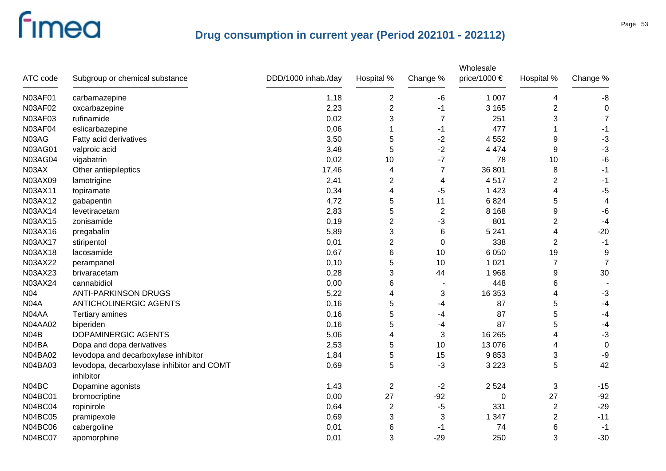| ATC code       | Subgroup or chemical substance                          | DDD/1000 inhab./day | Hospital %              | Change %       | Wholesale<br>price/1000 € | Hospital %     | Change %       |
|----------------|---------------------------------------------------------|---------------------|-------------------------|----------------|---------------------------|----------------|----------------|
| <b>N03AF01</b> | carbamazepine                                           | 1,18                | $\overline{\mathbf{c}}$ | -6             | 1 0 0 7                   | 4              | -8             |
| N03AF02        | oxcarbazepine                                           | 2,23                | $\overline{2}$          | $-1$           | 3 1 6 5                   | $\overline{2}$ | 0              |
| N03AF03        | rufinamide                                              | 0,02                | 3                       | 7              | 251                       | 3              | $\overline{7}$ |
| <b>N03AF04</b> | eslicarbazepine                                         | 0,06                |                         | $-1$           | 477                       |                | $-1$           |
| N03AG          | Fatty acid derivatives                                  | 3,50                | 5                       | $-2$           | 4 5 5 2                   | 9              | $-3$           |
| N03AG01        | valproic acid                                           | 3,48                | 5                       | $-2$           | 4 4 7 4                   | 9              | $-3$           |
| <b>N03AG04</b> | vigabatrin                                              | 0,02                | 10                      | $-7$           | 78                        | 10             | $-6$           |
| N03AX          | Other antiepileptics                                    | 17,46               | 4                       | $\overline{7}$ | 36 801                    | 8              | $-1$           |
| N03AX09        | lamotrigine                                             | 2,41                | $\overline{\mathbf{c}}$ | 4              | 4517                      | $\overline{2}$ | -1             |
| N03AX11        | topiramate                                              | 0,34                | 4                       | -5             | 1 4 2 3                   | 4              | $-5$           |
| N03AX12        | gabapentin                                              | 4,72                | 5                       | 11             | 6824                      | 5              | 4              |
| N03AX14        | levetiracetam                                           | 2,83                | 5                       | $\sqrt{2}$     | 8 1 6 8                   | 9              | $-6$           |
| N03AX15        | zonisamide                                              | 0,19                | 2                       | -3             | 801                       | $\overline{2}$ | $-4$           |
| N03AX16        | pregabalin                                              | 5,89                | 3                       | 6              | 5 2 4 1                   | 4              | $-20$          |
| N03AX17        | stiripentol                                             | 0,01                | 2                       | 0              | 338                       | $\overline{2}$ | $-1$           |
| N03AX18        | lacosamide                                              | 0,67                | 6                       | 10             | 6 0 5 0                   | 19             | 9              |
| N03AX22        | perampanel                                              | 0,10                | 5                       | 10             | 1 0 2 1                   | $\overline{7}$ | $\overline{7}$ |
| N03AX23        | brivaracetam                                            | 0,28                | 3                       | 44             | 1 9 6 8                   | 9              | 30             |
| N03AX24        | cannabidiol                                             | 0,00                | 6                       | $\blacksquare$ | 448                       | 6              |                |
| N04            | <b>ANTI-PARKINSON DRUGS</b>                             | 5,22                | 4                       | 3              | 16 353                    | 4              | $-3$           |
| <b>N04A</b>    | <b>ANTICHOLINERGIC AGENTS</b>                           | 0,16                | 5                       | -4             | 87                        | 5              | $-4$           |
| N04AA          | Tertiary amines                                         | 0,16                | 5                       | -4             | 87                        | 5              | $-4$           |
| <b>N04AA02</b> | biperiden                                               | 0,16                | 5                       | -4             | 87                        | 5              | $-4$           |
| <b>N04B</b>    | DOPAMINERGIC AGENTS                                     | 5,06                | 4                       | 3              | 16 265                    | 4              | $-3$           |
| N04BA          | Dopa and dopa derivatives                               | 2,53                | 5                       | 10             | 13 0 76                   | 4              | $\mathbf 0$    |
| N04BA02        | levodopa and decarboxylase inhibitor                    | 1,84                | 5                       | 15             | 9853                      | 3              | -9             |
| N04BA03        | levodopa, decarboxylase inhibitor and COMT<br>inhibitor | 0,69                | 5                       | -3             | 3 2 2 3                   | 5              | 42             |
| N04BC          | Dopamine agonists                                       | 1,43                | $\overline{2}$          | $-2$           | 2 5 2 4                   | 3              | $-15$          |
| <b>N04BC01</b> | bromocriptine                                           | 0,00                | 27                      | -92            | 0                         | 27             | $-92$          |
| N04BC04        | ropinirole                                              | 0,64                | $\overline{2}$          | $-5$           | 331                       | $\overline{c}$ | $-29$          |
| <b>N04BC05</b> | pramipexole                                             | 0,69                | 3                       | 3              | 1 3 4 7                   | $\overline{2}$ | $-11$          |
| <b>N04BC06</b> | cabergoline                                             | 0,01                | 6                       | -1             | 74                        | 6              | -1             |
| <b>N04BC07</b> | apomorphine                                             | 0,01                | 3                       | $-29$          | 250                       | 3              | $-30$          |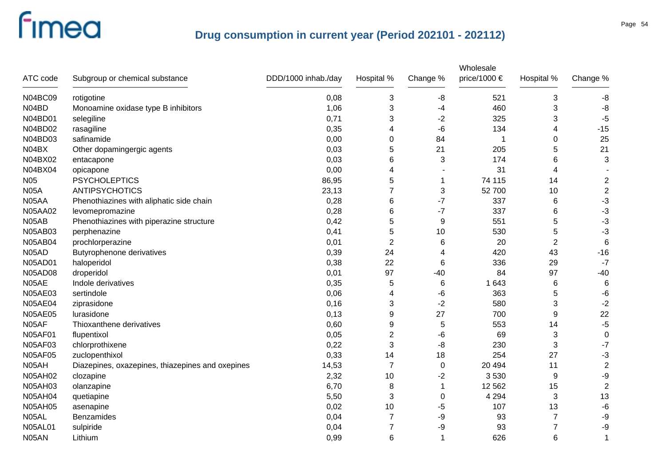| ATC code       | Subgroup or chemical substance                   | DDD/1000 inhab./day | Hospital %     | Change %        | Wholesale<br>price/1000 $\in$ | Hospital %     | Change %                |
|----------------|--------------------------------------------------|---------------------|----------------|-----------------|-------------------------------|----------------|-------------------------|
| <b>N04BC09</b> | rotigotine                                       | 0,08                | 3              | -8              | 521                           | 3              | -8                      |
| N04BD          | Monoamine oxidase type B inhibitors              | 1,06                | 3              | -4              | 460                           | 3              | -8                      |
| N04BD01        | selegiline                                       | 0,71                | 3              | $-2$            | 325                           | 3              | $-5$                    |
| N04BD02        | rasagiline                                       | 0,35                | 4              | -6              | 134                           | 4              | $-15$                   |
| N04BD03        | safinamide                                       | 0,00                | 0              | 84              | 1                             | 0              | 25                      |
| N04BX          | Other dopamingergic agents                       | 0,03                | 5              | 21              | 205                           | 5              | 21                      |
| N04BX02        | entacapone                                       | 0,03                | 6              | 3               | 174                           | 6              | 3                       |
| N04BX04        | opicapone                                        | 0,00                | 4              |                 | 31                            | 4              |                         |
| <b>N05</b>     | <b>PSYCHOLEPTICS</b>                             | 86,95               | 5              | $\mathbf 1$     | 74 115                        | 14             | $\overline{c}$          |
| <b>N05A</b>    | <b>ANTIPSYCHOTICS</b>                            | 23,13               | 7              | 3               | 52 700                        | 10             | $\boldsymbol{2}$        |
| N05AA          | Phenothiazines with aliphatic side chain         | 0,28                | 6              | $-7$            | 337                           | 6              | $-3$                    |
| <b>N05AA02</b> | levomepromazine                                  | 0,28                | 6              | $-7$            | 337                           | 6              | $-3$                    |
| N05AB          | Phenothiazines with piperazine structure         | 0,42                | 5              | 9               | 551                           | 5              | $-3$                    |
| N05AB03        | perphenazine                                     | 0,41                | 5              | 10              | 530                           | 5              | $-3$                    |
| <b>N05AB04</b> | prochlorperazine                                 | 0,01                | $\overline{2}$ | 6               | 20                            | $\overline{2}$ | $\,6$                   |
| N05AD          | Butyrophenone derivatives                        | 0,39                | 24             | 4               | 420                           | 43             | $-16$                   |
| <b>N05AD01</b> | haloperidol                                      | 0,38                | 22             | 6               | 336                           | 29             | $-7$                    |
| <b>N05AD08</b> | droperidol                                       | 0,01                | 97             | $-40$           | 84                            | 97             | $-40$                   |
| N05AE          | Indole derivatives                               | 0,35                | 5              | $6\phantom{1}6$ | 1 643                         | 6              | $\,6$                   |
| N05AE03        | sertindole                                       | 0,06                | 4              | -6              | 363                           | 5              | $-6$                    |
| <b>N05AE04</b> | ziprasidone                                      | 0,16                | 3              | $-2$            | 580                           | 3              | $-2$                    |
| <b>N05AE05</b> | lurasidone                                       | 0,13                | 9              | 27              | 700                           | 9              | 22                      |
| N05AF          | Thioxanthene derivatives                         | 0,60                | 9              | 5               | 553                           | 14             | $-5$                    |
| <b>N05AF01</b> | flupentixol                                      | 0,05                | 2              | -6              | 69                            | 3              | $\pmb{0}$               |
| <b>N05AF03</b> | chlorprothixene                                  | 0,22                | 3              | -8              | 230                           | 3              | $-7$                    |
| <b>N05AF05</b> | zuclopenthixol                                   | 0,33                | 14             | 18              | 254                           | 27             | $-3$                    |
| N05AH          | Diazepines, oxazepines, thiazepines and oxepines | 14,53               | $\overline{7}$ | $\mathbf 0$     | 20 4 94                       | 11             | $\overline{\mathbf{c}}$ |
| <b>N05AH02</b> | clozapine                                        | 2,32                | 10             | $-2$            | 3530                          | 9              | $-9$                    |
| <b>N05AH03</b> | olanzapine                                       | 6,70                | 8              | $\mathbf 1$     | 12 5 62                       | 15             | $\overline{2}$          |
| <b>N05AH04</b> | quetiapine                                       | 5,50                | 3              | $\mathbf 0$     | 4 2 9 4                       | 3              | 13                      |
| <b>N05AH05</b> | asenapine                                        | 0,02                | 10             | -5              | 107                           | 13             | $-6$                    |
| N05AL          | Benzamides                                       | 0,04                | $\overline{7}$ | -9              | 93                            | $\overline{7}$ | $-9$                    |
| <b>N05AL01</b> | sulpiride                                        | 0,04                | $\overline{7}$ | -9              | 93                            | 7              | $-9$                    |
| N05AN          | Lithium                                          | 0,99                | 6              | -1              | 626                           | 6              | 1                       |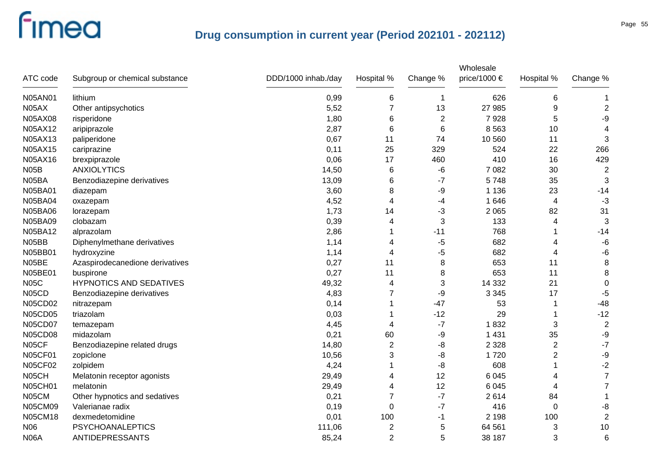| ATC code       | Subgroup or chemical substance  | DDD/1000 inhab./day | Hospital %              | Change %       | Wholesale<br>price/1000 € | Hospital %     | Change %       |
|----------------|---------------------------------|---------------------|-------------------------|----------------|---------------------------|----------------|----------------|
| N05AN01        | lithium                         | 0,99                | 6                       | $\mathbf 1$    | 626                       | 6              | 1              |
| N05AX          | Other antipsychotics            | 5,52                | 7                       | 13             | 27 985                    | 9              | $\overline{2}$ |
| N05AX08        | risperidone                     | 1,80                | 6                       | $\overline{c}$ | 7928                      | 5              | $-9$           |
| N05AX12        | aripiprazole                    | 2,87                | 6                       | 6              | 8 5 6 3                   | 10             | $\overline{4}$ |
| N05AX13        | paliperidone                    | 0,67                | 11                      | 74             | 10 560                    | 11             | 3              |
| N05AX15        | cariprazine                     | 0,11                | 25                      | 329            | 524                       | 22             | 266            |
| N05AX16        | brexpiprazole                   | 0,06                | 17                      | 460            | 410                       | 16             | 429            |
| <b>N05B</b>    | <b>ANXIOLYTICS</b>              | 14,50               | 6                       | $-6$           | 7 0 8 2                   | 30             | $\overline{2}$ |
| N05BA          | Benzodiazepine derivatives      | 13,09               | 6                       | $-7$           | 5748                      | 35             | 3              |
| <b>N05BA01</b> | diazepam                        | 3,60                | 8                       | -9             | 1 1 3 6                   | 23             | $-14$          |
| <b>N05BA04</b> | oxazepam                        | 4,52                | 4                       | -4             | 1 646                     | 4              | $-3$           |
| <b>N05BA06</b> | lorazepam                       | 1,73                | 14                      | $-3$           | 2 0 6 5                   | 82             | 31             |
| <b>N05BA09</b> | clobazam                        | 0,39                | 4                       | 3              | 133                       | 4              | 3              |
| N05BA12        | alprazolam                      | 2,86                |                         | $-11$          | 768                       | 1              | $-14$          |
| N05BB          | Diphenylmethane derivatives     | 1,14                | 4                       | -5             | 682                       | 4              | $-6$           |
| N05BB01        | hydroxyzine                     | 1,14                | 4                       | -5             | 682                       | 4              | $-6$           |
| N05BE          | Azaspirodecanedione derivatives | 0,27                | 11                      | 8              | 653                       | 11             | $\bf8$         |
| N05BE01        | buspirone                       | 0,27                | 11                      | 8              | 653                       | 11             | 8              |
| <b>N05C</b>    | <b>HYPNOTICS AND SEDATIVES</b>  | 49,32               | 4                       | 3              | 14 3 32                   | 21             | $\pmb{0}$      |
| N05CD          | Benzodiazepine derivatives      | 4,83                | 7                       | -9             | 3 3 4 5                   | 17             | $-5$           |
| <b>N05CD02</b> | nitrazepam                      | 0,14                |                         | $-47$          | 53                        | 1              | $-48$          |
| <b>N05CD05</b> | triazolam                       | 0,03                |                         | $-12$          | 29                        | 1              | $-12$          |
| <b>N05CD07</b> | temazepam                       | 4,45                | 4                       | $-7$           | 1832                      | 3              | $\overline{2}$ |
| <b>N05CD08</b> | midazolam                       | 0,21                | 60                      | -9             | 1 4 3 1                   | 35             | $-9$           |
| N05CF          | Benzodiazepine related drugs    | 14,80               | $\overline{2}$          | -8             | 2 3 2 8                   | 2              | $-7$           |
| <b>N05CF01</b> | zopiclone                       | 10,56               | 3                       | -8             | 1720                      | $\overline{c}$ | $-9$           |
| <b>N05CF02</b> | zolpidem                        | 4,24                |                         | -8             | 608                       | 1              | $-2$           |
| N05CH          | Melatonin receptor agonists     | 29,49               | 4                       | 12             | 6 0 4 5                   | 4              | $\overline{7}$ |
| <b>N05CH01</b> | melatonin                       | 29,49               | 4                       | 12             | 6 0 4 5                   | 4              | $\overline{7}$ |
| N05CM          | Other hypnotics and sedatives   | 0,21                | 7                       | $-7$           | 2614                      | 84             | 1              |
| <b>N05CM09</b> | Valerianae radix                | 0,19                | $\mathbf 0$             | $-7$           | 416                       | $\mathbf 0$    | $-8$           |
| <b>N05CM18</b> | dexmedetomidine                 | 0,01                | 100                     | $-1$           | 2 1 9 8                   | 100            | $\overline{2}$ |
| <b>N06</b>     | <b>PSYCHOANALEPTICS</b>         | 111,06              | $\overline{\mathbf{c}}$ | 5              | 64 561                    | 3              | 10             |
| <b>N06A</b>    | <b>ANTIDEPRESSANTS</b>          | 85,24               | $\overline{2}$          | 5              | 38 187                    | 3              | $\,6$          |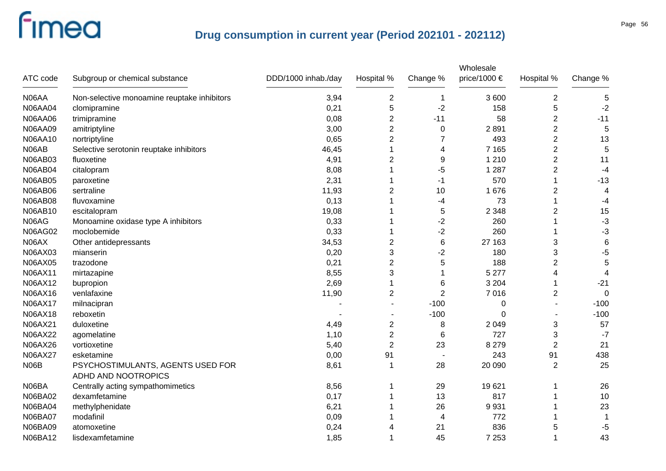| ATC code       | Subgroup or chemical substance              | DDD/1000 inhab./day | Hospital %     | Change %       | Wholesale<br>price/1000 $\in$ | Hospital %       | Change %    |
|----------------|---------------------------------------------|---------------------|----------------|----------------|-------------------------------|------------------|-------------|
| N06AA          | Non-selective monoamine reuptake inhibitors | 3,94                | $\overline{c}$ | 1              | 3 600                         | $\boldsymbol{2}$ | 5           |
| <b>N06AA04</b> | clomipramine                                | 0,21                | 5              | $-2$           | 158                           | 5                | $-2$        |
| N06AA06        | trimipramine                                | 0,08                | $\overline{2}$ | $-11$          | 58                            | $\overline{2}$   | $-11$       |
| <b>N06AA09</b> | amitriptyline                               | 3,00                | $\overline{c}$ | 0              | 2891                          | $\overline{c}$   | $\mathbf 5$ |
| N06AA10        | nortriptyline                               | 0,65                | $\overline{2}$ | 7              | 493                           | $\overline{2}$   | 13          |
| N06AB          | Selective serotonin reuptake inhibitors     | 46,45               | 1              | 4              | 7 1 6 5                       | $\overline{2}$   | $\mathbf 5$ |
| <b>N06AB03</b> | fluoxetine                                  | 4,91                | $\overline{c}$ | 9              | 1 2 1 0                       | $\overline{c}$   | 11          |
| <b>N06AB04</b> | citalopram                                  | 8,08                |                | $-5$           | 1 2 8 7                       | 2                | $-4$        |
| <b>N06AB05</b> | paroxetine                                  | 2,31                |                | -1             | 570                           |                  | $-13$       |
| <b>N06AB06</b> | sertraline                                  | 11,93               | $\overline{2}$ | 10             | 1676                          | $\overline{2}$   | 4           |
| <b>N06AB08</b> | fluvoxamine                                 | 0,13                |                | -4             | 73                            |                  | $-4$        |
| N06AB10        | escitalopram                                | 19,08               |                | 5              | 2 3 4 8                       | 2                | 15          |
| N06AG          | Monoamine oxidase type A inhibitors         | 0,33                |                | $-2$           | 260                           |                  | $-3$        |
| <b>N06AG02</b> | moclobemide                                 | 0,33                |                | $-2$           | 260                           |                  | $-3$        |
| N06AX          | Other antidepressants                       | 34,53               | $\overline{2}$ | $\,6\,$        | 27 163                        | 3                | $\,6$       |
| N06AX03        | mianserin                                   | 0,20                | 3              | $-2$           | 180                           | 3                | $-5$        |
| N06AX05        | trazodone                                   | 0,21                | $\overline{2}$ | 5              | 188                           | $\overline{2}$   | $\sqrt{5}$  |
| N06AX11        | mirtazapine                                 | 8,55                | 3              | 1              | 5 2 7 7                       | 4                | 4           |
| N06AX12        | bupropion                                   | 2,69                | 1              | 6              | 3 2 0 4                       | 1                | $-21$       |
| N06AX16        | venlafaxine                                 | 11,90               | $\overline{c}$ | $\overline{2}$ | 7016                          | 2                | $\mathbf 0$ |
| N06AX17        | milnacipran                                 |                     |                | $-100$         | 0                             |                  | $-100$      |
| <b>N06AX18</b> | reboxetin                                   |                     |                | $-100$         | 0                             |                  | $-100$      |
| N06AX21        | duloxetine                                  | 4,49                | $\overline{c}$ | 8              | 2 0 4 9                       | 3                | 57          |
| N06AX22        | agomelatine                                 | 1,10                | $\overline{2}$ | 6              | 727                           | 3                | $-7$        |
| N06AX26        | vortioxetine                                | 5,40                | $\overline{2}$ | 23             | 8 2 7 9                       | $\overline{2}$   | 21          |
| N06AX27        | esketamine                                  | 0,00                | 91             |                | 243                           | 91               | 438         |
| N06B           | PSYCHOSTIMULANTS, AGENTS USED FOR           | 8,61                | -1             | 28             | 20 090                        | $\overline{2}$   | 25          |
|                | ADHD AND NOOTROPICS                         |                     |                |                |                               |                  |             |
| N06BA          | Centrally acting sympathomimetics           | 8,56                |                | 29             | 19621                         |                  | 26          |
| N06BA02        | dexamfetamine                               | 0,17                |                | 13             | 817                           |                  | 10          |
| <b>N06BA04</b> | methylphenidate                             | 6,21                |                | 26             | 9931                          |                  | 23          |
| <b>N06BA07</b> | modafinil                                   | 0,09                |                | 4              | 772                           |                  | 1           |
| N06BA09        | atomoxetine                                 | 0,24                | 4              | 21             | 836                           | 5                | $-5$        |
| N06BA12        | lisdexamfetamine                            | 1,85                | 1              | 45             | 7 2 5 3                       | 1                | 43          |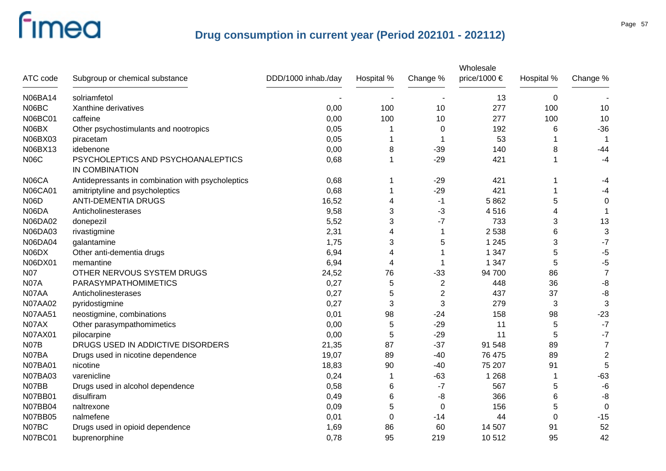| ATC code       | Subgroup or chemical substance                       | DDD/1000 inhab./day | Hospital %     | Change %       | Wholesale<br>price/1000 $\epsilon$ | Hospital % | Change %       |
|----------------|------------------------------------------------------|---------------------|----------------|----------------|------------------------------------|------------|----------------|
| N06BA14        | solriamfetol                                         |                     |                |                | 13                                 | $\pmb{0}$  |                |
| N06BC          | Xanthine derivatives                                 | 0,00                | 100            | 10             | 277                                | 100        | 10             |
| <b>N06BC01</b> | caffeine                                             | 0,00                | 100            | 10             | 277                                | 100        | 10             |
| N06BX          | Other psychostimulants and nootropics                | 0,05                |                | 0              | 192                                | 6          | $-36$          |
| N06BX03        | piracetam                                            | 0,05                | 1              | 1              | 53                                 |            | -1             |
| N06BX13        | idebenone                                            | 0,00                | 8              | $-39$          | 140                                | 8          | $-44$          |
| <b>N06C</b>    | PSYCHOLEPTICS AND PSYCHOANALEPTICS<br>IN COMBINATION | 0,68                | 1              | $-29$          | 421                                |            | $-4$           |
| N06CA          | Antidepressants in combination with psycholeptics    | 0,68                |                | $-29$          | 421                                |            | -4             |
| <b>N06CA01</b> | amitriptyline and psycholeptics                      | 0,68                |                | $-29$          | 421                                |            | -4             |
| <b>N06D</b>    | <b>ANTI-DEMENTIA DRUGS</b>                           | 16,52               | 4              | $-1$           | 5862                               | 5          | $\Omega$       |
| N06DA          | Anticholinesterases                                  | 9,58                | 3              | -3             | 4516                               | 4          |                |
| <b>N06DA02</b> | donepezil                                            | 5,52                | 3              | $-7$           | 733                                | 3          | 13             |
| N06DA03        | rivastigmine                                         | 2,31                | 4              | 1              | 2 5 3 8                            | 6          | 3              |
| <b>N06DA04</b> | galantamine                                          | 1,75                | 3              | 5              | 1 2 4 5                            | 3          | $-7$           |
| N06DX          | Other anti-dementia drugs                            | 6,94                | 4              | 1              | 1 3 4 7                            | 5          | $-5$           |
| N06DX01        | memantine                                            | 6,94                | $\overline{4}$ | 1              | 1 3 4 7                            | 5          | -5             |
| N07            | OTHER NERVOUS SYSTEM DRUGS                           | 24,52               | 76             | $-33$          | 94 700                             | 86         | $\overline{7}$ |
| <b>N07A</b>    | PARASYMPATHOMIMETICS                                 | 0,27                | 5              | $\overline{c}$ | 448                                | 36         | $-8$           |
| N07AA          | Anticholinesterases                                  | 0,27                | 5              | $\overline{2}$ | 437                                | 37         | -8             |
| N07AA02        | pyridostigmine                                       | 0,27                | 3              | 3              | 279                                | 3          | $\sqrt{3}$     |
| <b>N07AA51</b> | neostigmine, combinations                            | 0,01                | 98             | $-24$          | 158                                | 98         | $-23$          |
| N07AX          | Other parasympathomimetics                           | 0,00                | 5              | $-29$          | 11                                 | 5          | $-7$           |
| N07AX01        | pilocarpine                                          | 0,00                | 5              | $-29$          | 11                                 | 5          | $-7$           |
| N07B           | DRUGS USED IN ADDICTIVE DISORDERS                    | 21,35               | 87             | $-37$          | 91 548                             | 89         | $\overline{7}$ |
| N07BA          | Drugs used in nicotine dependence                    | 19,07               | 89             | $-40$          | 76 475                             | 89         | $\overline{2}$ |
| <b>N07BA01</b> | nicotine                                             | 18,83               | 90             | $-40$          | 75 207                             | 91         | 5              |
| <b>N07BA03</b> | varenicline                                          | 0,24                |                | $-63$          | 1 2 6 8                            | 1          | $-63$          |
| N07BB          | Drugs used in alcohol dependence                     | 0,58                | 6              | $-7$           | 567                                | 5          | $-6$           |
| N07BB01        | disulfiram                                           | 0,49                | 6              | -8             | 366                                | 6          | -8             |
| <b>N07BB04</b> | naltrexone                                           | 0,09                | 5              | 0              | 156                                | 5          | $\mathbf 0$    |
| N07BB05        | nalmefene                                            | 0,01                | 0              | $-14$          | 44                                 | $\Omega$   | $-15$          |
| N07BC          | Drugs used in opioid dependence                      | 1,69                | 86             | 60             | 14 507                             | 91         | 52             |
| <b>N07BC01</b> | buprenorphine                                        | 0,78                | 95             | 219            | 10512                              | 95         | 42             |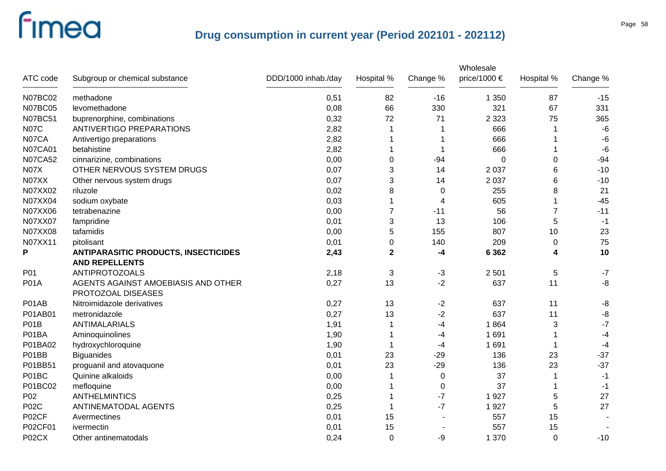| ATC code       | Subgroup or chemical substance                            | DDD/1000 inhab./day | Hospital %  | Change % | Wholesale<br>price/1000 $\in$ | Hospital %     | Change % |
|----------------|-----------------------------------------------------------|---------------------|-------------|----------|-------------------------------|----------------|----------|
| <b>N07BC02</b> | methadone                                                 | 0,51                | 82          | $-16$    | 1 3 5 0                       | 87             | $-15$    |
| <b>N07BC05</b> | levomethadone                                             | 0,08                | 66          | 330      | 321                           | 67             | 331      |
| <b>N07BC51</b> | buprenorphine, combinations                               | 0,32                | 72          | 71       | 2 3 2 3                       | 75             | 365      |
| <b>N07C</b>    | <b>ANTIVERTIGO PREPARATIONS</b>                           | 2,82                | 1           | 1        | 666                           | 1              | $-6$     |
| N07CA          | Antivertigo preparations                                  | 2,82                | 1           | -1       | 666                           |                | $-6$     |
| <b>N07CA01</b> | betahistine                                               | 2,82                | 1           | -1       | 666                           |                | $-6$     |
| <b>N07CA52</b> | cinnarizine, combinations                                 | 0,00                | $\Omega$    | $-94$    | 0                             | 0              | $-94$    |
| <b>N07X</b>    | OTHER NERVOUS SYSTEM DRUGS                                | 0,07                | 3           | 14       | 2 0 3 7                       | 6              | $-10$    |
| N07XX          | Other nervous system drugs                                | 0,07                | 3           | 14       | 2 0 3 7                       | 6              | $-10$    |
| N07XX02        | riluzole                                                  | 0,02                | 8           | $\Omega$ | 255                           | 8              | 21       |
| N07XX04        | sodium oxybate                                            | 0,03                | 1           | 4        | 605                           | 1              | $-45$    |
| N07XX06        | tetrabenazine                                             | 0,00                | 7           | $-11$    | 56                            | $\overline{7}$ | $-11$    |
| N07XX07        | fampridine                                                | 0,01                | 3           | 13       | 106                           | 5              | $-1$     |
| N07XX08        | tafamidis                                                 | 0,00                | 5           | 155      | 807                           | 10             | 23       |
| N07XX11        | pitolisant                                                | 0,01                | $\Omega$    | 140      | 209                           | 0              | 75       |
| P              | <b>ANTIPARASITIC PRODUCTS, INSECTICIDES</b>               | 2,43                | $\mathbf 2$ | -4       | 6 3 6 2                       | 4              | 10       |
|                | <b>AND REPELLENTS</b>                                     |                     |             |          |                               |                |          |
| P01            | <b>ANTIPROTOZOALS</b>                                     | 2,18                | 3           | $-3$     | 2 5 0 1                       | 5              | $-7$     |
| <b>P01A</b>    | AGENTS AGAINST AMOEBIASIS AND OTHER<br>PROTOZOAL DISEASES | 0,27                | 13          | $-2$     | 637                           | 11             | $-8$     |
| P01AB          | Nitroimidazole derivatives                                | 0,27                | 13          | $-2$     | 637                           | 11             | -8       |
| P01AB01        | metronidazole                                             | 0,27                | 13          | $-2$     | 637                           | 11             | $-8$     |
| P01B           | <b>ANTIMALARIALS</b>                                      | 1,91                | $\mathbf 1$ | -4       | 1864                          | 3              | $-7$     |
| P01BA          | Aminoquinolines                                           | 1,90                | -1          | -4       | 1691                          | 1              | $-4$     |
| P01BA02        | hydroxychloroquine                                        | 1,90                | -1          | -4       | 1691                          | $\mathbf 1$    | $-4$     |
| P01BB          | <b>Biguanides</b>                                         | 0,01                | 23          | $-29$    | 136                           | 23             | $-37$    |
| P01BB51        | proguanil and atovaquone                                  | 0,01                | 23          | $-29$    | 136                           | 23             | $-37$    |
| P01BC          | Quinine alkaloids                                         | 0,00                | 1           | 0        | 37                            | 1              | $-1$     |
| P01BC02        | mefloquine                                                | 0,00                | -1          | 0        | 37                            | 1              | $-1$     |
| P02            | <b>ANTHELMINTICS</b>                                      | 0,25                | -1          | $-7$     | 1927                          | 5              | 27       |
| <b>P02C</b>    | ANTINEMATODAL AGENTS                                      | 0,25                | 1           | $-7$     | 1927                          | 5              | 27       |
| P02CF          | Avermectines                                              | 0,01                | 15          |          | 557                           | 15             |          |
| P02CF01        | ivermectin                                                | 0,01                | 15          |          | 557                           | 15             |          |
| P02CX          | Other antinematodals                                      | 0,24                | $\mathbf 0$ | -9       | 1 370                         | $\mathbf 0$    | $-10$    |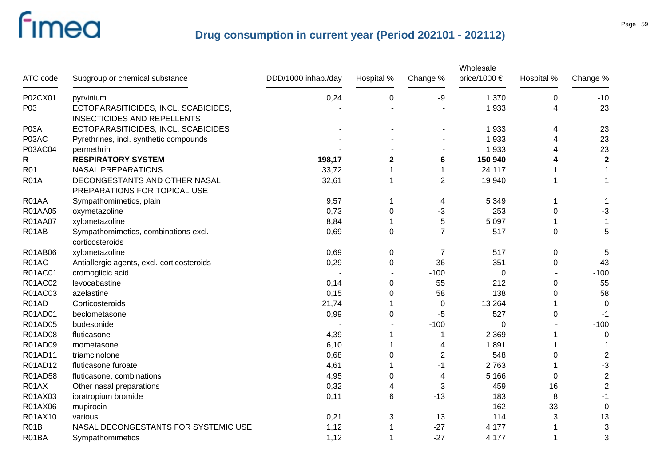| ATC code    | Subgroup or chemical substance                                             | DDD/1000 inhab./day | Hospital %       | Change %       | Wholesale<br>price/1000 € | Hospital % | Change %                |
|-------------|----------------------------------------------------------------------------|---------------------|------------------|----------------|---------------------------|------------|-------------------------|
| P02CX01     | pyrvinium                                                                  | 0,24                | $\boldsymbol{0}$ | -9             | 1 370                     | $\pmb{0}$  | $-10$                   |
| P03         | ECTOPARASITICIDES, INCL. SCABICIDES,<br><b>INSECTICIDES AND REPELLENTS</b> |                     |                  |                | 1933                      | 4          | 23                      |
| P03A        | ECTOPARASITICIDES, INCL. SCABICIDES                                        |                     |                  |                | 1933                      | 4          | 23                      |
| P03AC       | Pyrethrines, incl. synthetic compounds                                     |                     |                  |                | 1933                      | 4          | 23                      |
| P03AC04     | permethrin                                                                 |                     |                  |                | 1933                      | 4          | 23                      |
| R           | <b>RESPIRATORY SYSTEM</b>                                                  | 198,17              | $\mathbf{2}$     | 6              | 150 940                   |            | $\mathbf 2$             |
| R01         | <b>NASAL PREPARATIONS</b>                                                  | 33,72               |                  | $\mathbf 1$    | 24 117                    |            |                         |
| <b>R01A</b> | DECONGESTANTS AND OTHER NASAL<br>PREPARATIONS FOR TOPICAL USE              | 32,61               |                  | $\overline{2}$ | 19 940                    |            |                         |
| R01AA       | Sympathomimetics, plain                                                    | 9,57                | 1                | 4              | 5 3 4 9                   | 1          |                         |
| R01AA05     | oxymetazoline                                                              | 0,73                | 0                | $-3$           | 253                       | $\pmb{0}$  | $-3$                    |
| R01AA07     | xylometazoline                                                             | 8,84                |                  | 5              | 5 0 9 7                   |            |                         |
| R01AB       | Sympathomimetics, combinations excl.<br>corticosteroids                    | 0,69                | $\Omega$         | $\overline{7}$ | 517                       | $\Omega$   | 5                       |
| R01AB06     | xylometazoline                                                             | 0,69                | 0                | 7              | 517                       | 0          | 5                       |
| R01AC       | Antiallergic agents, excl. corticosteroids                                 | 0,29                | $\pmb{0}$        | 36             | 351                       | $\pmb{0}$  | 43                      |
| R01AC01     | cromoglicic acid                                                           |                     |                  | $-100$         | 0                         |            | $-100$                  |
| R01AC02     | levocabastine                                                              | 0,14                | 0                | 55             | 212                       | 0          | 55                      |
| R01AC03     | azelastine                                                                 | 0,15                | 0                | 58             | 138                       | 0          | 58                      |
| R01AD       | Corticosteroids                                                            | 21,74               |                  | 0              | 13 2 64                   |            | $\Omega$                |
| R01AD01     | beclometasone                                                              | 0,99                | 0                | -5             | 527                       | 0          | $-1$                    |
| R01AD05     | budesonide                                                                 |                     |                  | $-100$         | 0                         |            | $-100$                  |
| R01AD08     | fluticasone                                                                | 4,39                |                  | -1             | 2 3 6 9                   |            | 0                       |
| R01AD09     | mometasone                                                                 | 6,10                |                  | 4              | 1891                      |            |                         |
| R01AD11     | triamcinolone                                                              | 0,68                | 0                | $\overline{2}$ | 548                       | 0          | 2                       |
| R01AD12     | fluticasone furoate                                                        | 4,61                |                  | -1             | 2763                      |            | -3                      |
| R01AD58     | fluticasone, combinations                                                  | 4,95                | 0                | 4              | 5 1 6 6                   | 0          | $\boldsymbol{2}$        |
| R01AX       | Other nasal preparations                                                   | 0,32                | 4                | 3              | 459                       | 16         | $\overline{\mathbf{c}}$ |
| R01AX03     | ipratropium bromide                                                        | 0,11                | 6                | $-13$          | 183                       | 8          | $-1$                    |
| R01AX06     | mupirocin                                                                  |                     |                  |                | 162                       | 33         | $\mathbf 0$             |
| R01AX10     | various                                                                    | 0,21                | 3                | 13             | 114                       | 3          | 13                      |
| <b>R01B</b> | NASAL DECONGESTANTS FOR SYSTEMIC USE                                       | 1,12                |                  | $-27$          | 4 177                     |            | 3                       |
| R01BA       | Sympathomimetics                                                           | 1,12                |                  | $-27$          | 4 177                     | 1          | 3                       |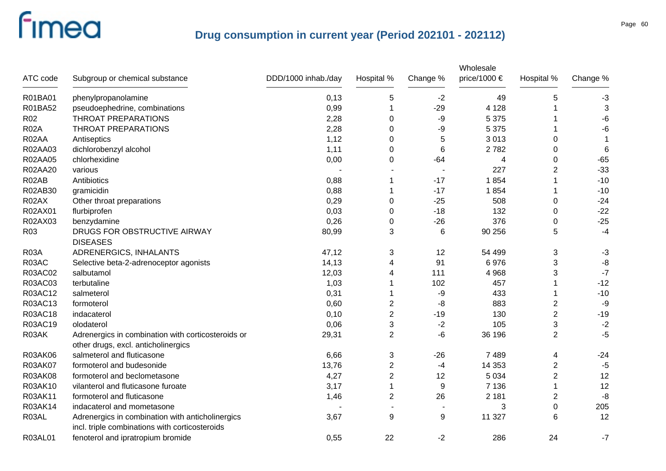| ATC code        | Subgroup or chemical substance                                                                     | DDD/1000 inhab./day | Hospital %     | Change %       | Wholesale<br>price/1000 € | Hospital %     | Change %    |
|-----------------|----------------------------------------------------------------------------------------------------|---------------------|----------------|----------------|---------------------------|----------------|-------------|
| R01BA01         | phenylpropanolamine                                                                                | 0,13                | 5              | $-2$           | 49                        | 5              | $-3$        |
| R01BA52         | pseudoephedrine, combinations                                                                      | 0,99                | 1              | $-29$          | 4 1 2 8                   |                | 3           |
| R <sub>02</sub> | <b>THROAT PREPARATIONS</b>                                                                         | 2,28                | 0              | -9             | 5 3 7 5                   |                | -6          |
| <b>R02A</b>     | THROAT PREPARATIONS                                                                                | 2,28                | 0              | -9             | 5 3 7 5                   |                | -6          |
| R02AA           | Antiseptics                                                                                        | 1,12                | 0              | 5              | 3013                      | 0              | $\mathbf 1$ |
| R02AA03         | dichlorobenzyl alcohol                                                                             | 1,11                | 0              | 6              | 2782                      | 0              | 6           |
| R02AA05         | chlorhexidine                                                                                      | 0,00                | 0              | -64            | 4                         | 0              | $-65$       |
| R02AA20         | various                                                                                            |                     |                |                | 227                       | $\overline{2}$ | $-33$       |
| R02AB           | Antibiotics                                                                                        | 0,88                | 1              | $-17$          | 1854                      |                | $-10$       |
| R02AB30         | gramicidin                                                                                         | 0,88                |                | $-17$          | 1854                      | 1              | $-10$       |
| R02AX           | Other throat preparations                                                                          | 0,29                | 0              | $-25$          | 508                       | 0              | $-24$       |
| R02AX01         | flurbiprofen                                                                                       | 0,03                | 0              | $-18$          | 132                       | 0              | $-22$       |
| R02AX03         | benzydamine                                                                                        | 0,26                | 0              | $-26$          | 376                       | 0              | $-25$       |
| R <sub>03</sub> | DRUGS FOR OBSTRUCTIVE AIRWAY<br><b>DISEASES</b>                                                    | 80,99               | 3              | 6              | 90 256                    | 5              | $-4$        |
| <b>R03A</b>     | ADRENERGICS, INHALANTS                                                                             | 47,12               | 3              | 12             | 54 499                    | 3              | $-3$        |
| R03AC           | Selective beta-2-adrenoceptor agonists                                                             | 14,13               | 4              | 91             | 6976                      | 3              | $-8$        |
| R03AC02         | salbutamol                                                                                         | 12,03               | 4              | 111            | 4 9 6 8                   | 3              | $-7$        |
| R03AC03         | terbutaline                                                                                        | 1,03                |                | 102            | 457                       | 1              | $-12$       |
| R03AC12         | salmeterol                                                                                         | 0,31                |                | -9             | 433                       | 1              | $-10$       |
| R03AC13         | formoterol                                                                                         | 0,60                | $\overline{2}$ | -8             | 883                       | 2              | $-9$        |
| R03AC18         | indacaterol                                                                                        | 0,10                | $\overline{c}$ | $-19$          | 130                       | $\overline{2}$ | $-19$       |
| R03AC19         | olodaterol                                                                                         | 0,06                | 3              | $-2$           | 105                       | 3              | $-2$        |
| R03AK           | Adrenergics in combination with corticosteroids or<br>other drugs, excl. anticholinergics          | 29,31               | $\overline{2}$ | -6             | 36 196                    | $\overline{2}$ | $-5$        |
| R03AK06         | salmeterol and fluticasone                                                                         | 6,66                | 3              | $-26$          | 7 4 8 9                   | 4              | $-24$       |
| R03AK07         | formoterol and budesonide                                                                          | 13,76               | 2              | -4             | 14 3 53                   | 2              | $-5$        |
| R03AK08         | formoterol and beclometasone                                                                       | 4,27                | $\overline{c}$ | 12             | 5 0 3 4                   | $\overline{2}$ | 12          |
| R03AK10         | vilanterol and fluticasone furoate                                                                 | 3,17                |                | 9              | 7 1 3 6                   | 1              | 12          |
| R03AK11         | formoterol and fluticasone                                                                         | 1,46                | $\overline{2}$ | 26             | 2 1 8 1                   | 2              | $-8$        |
| R03AK14         | indacaterol and mometasone                                                                         |                     |                | $\blacksquare$ | 3                         | $\pmb{0}$      | 205         |
| R03AL           | Adrenergics in combination with anticholinergics<br>incl. triple combinations with corticosteroids | 3,67                | 9              | 9              | 11 327                    | 6              | 12          |
| R03AL01         | fenoterol and ipratropium bromide                                                                  | 0,55                | 22             | $-2$           | 286                       | 24             | $-7$        |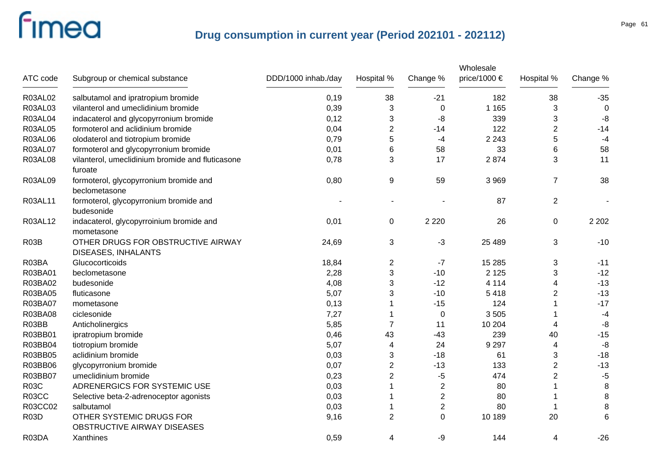|                   |                                                                  |                     |                |                | Wholesale    |                |             |
|-------------------|------------------------------------------------------------------|---------------------|----------------|----------------|--------------|----------------|-------------|
| ATC code          | Subgroup or chemical substance                                   | DDD/1000 inhab./day | Hospital %     | Change %       | price/1000 € | Hospital %     | Change %    |
| R03AL02           | salbutamol and ipratropium bromide                               | 0,19                | 38             | $-21$          | 182          | 38             | $-35$       |
| R03AL03           | vilanterol and umeclidinium bromide                              | 0,39                | 3              | 0              | 1 1 6 5      | 3              | $\mathbf 0$ |
| R03AL04           | indacaterol and glycopyrronium bromide                           | 0,12                | 3              | -8             | 339          | 3              | -8          |
| R03AL05           | formoterol and aclidinium bromide                                | 0,04                | $\overline{c}$ | $-14$          | 122          | $\overline{2}$ | $-14$       |
| R03AL06           | olodaterol and tiotropium bromide                                | 0,79                | 5              | -4             | 2 2 4 3      | 5              | $-4$        |
| R03AL07           | formoterol and glycopyrronium bromide                            | 0,01                | 6              | 58             | 33           | 6              | 58          |
| <b>R03AL08</b>    | vilanterol, umeclidinium bromide and fluticasone<br>furoate      | 0,78                | 3              | 17             | 2874         | 3              | 11          |
| R03AL09           | formoterol, glycopyrronium bromide and<br>beclometasone          | 0,80                | 9              | 59             | 3 9 6 9      | $\overline{7}$ | 38          |
| R03AL11           | formoterol, glycopyrronium bromide and<br>budesonide             |                     |                |                | 87           | $\overline{2}$ |             |
| R03AL12           | indacaterol, glycopyrroinium bromide and<br>mometasone           | 0,01                | $\mathbf 0$    | 2 2 2 0        | 26           | $\pmb{0}$      | 2 2 0 2     |
| R <sub>03</sub> B | OTHER DRUGS FOR OBSTRUCTIVE AIRWAY<br><b>DISEASES, INHALANTS</b> | 24,69               | 3              | $-3$           | 25 4 89      | 3              | $-10$       |
| R03BA             | Glucocorticoids                                                  | 18,84               | $\overline{2}$ | $-7$           | 15 285       | 3              | $-11$       |
| R03BA01           | beclometasone                                                    | 2,28                | 3              | $-10$          | 2 1 2 5      | 3              | $-12$       |
| R03BA02           | budesonide                                                       | 4,08                | 3              | $-12$          | 4 1 1 4      | 4              | $-13$       |
| R03BA05           | fluticasone                                                      | 5,07                | 3              | $-10$          | 5 4 1 8      | $\overline{2}$ | $-13$       |
| R03BA07           | mometasone                                                       | 0,13                | 1              | $-15$          | 124          |                | $-17$       |
| R03BA08           | ciclesonide                                                      | 7,27                | 1              | 0              | 3505         |                | $-4$        |
| R03BB             | Anticholinergics                                                 | 5,85                | 7              | 11             | 10 204       | 4              | -8          |
| R03BB01           | ipratropium bromide                                              | 0,46                | 43             | $-43$          | 239          | 40             | $-15$       |
| R03BB04           | tiotropium bromide                                               | 5,07                | $\overline{4}$ | 24             | 9 2 9 7      | 4              | -8          |
| R03BB05           | aclidinium bromide                                               | 0,03                | 3              | $-18$          | 61           | 3              | $-18$       |
| R03BB06           | glycopyrronium bromide                                           | 0,07                | $\overline{2}$ | $-13$          | 133          | $\overline{2}$ | $-13$       |
| R03BB07           | umeclidinium bromide                                             | 0,23                | $\overline{2}$ | $-5$           | 474          | $\overline{2}$ | $-5$        |
| <b>R03C</b>       | ADRENERGICS FOR SYSTEMIC USE                                     | 0,03                | 1              | $\overline{2}$ | 80           |                | $\, 8$      |
| R03CC             | Selective beta-2-adrenoceptor agonists                           | 0,03                |                | $\overline{2}$ | 80           |                | $\bf 8$     |
| R03CC02           | salbutamol                                                       | 0,03                |                | $\overline{2}$ | 80           |                | 8           |
| <b>R03D</b>       | OTHER SYSTEMIC DRUGS FOR<br>OBSTRUCTIVE AIRWAY DISEASES          | 9,16                | $\overline{2}$ | $\mathbf 0$    | 10 189       | 20             | 6           |
| R03DA             | Xanthines                                                        | 0,59                | 4              | -9             | 144          | 4              | $-26$       |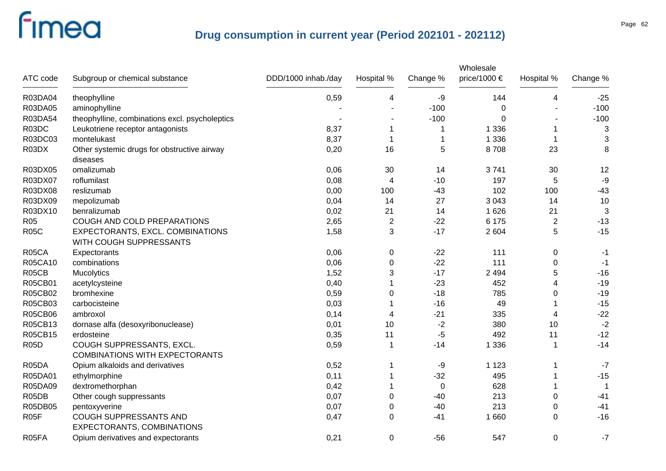|                   |                                                             |                     |                |          | Wholesale    |                |          |
|-------------------|-------------------------------------------------------------|---------------------|----------------|----------|--------------|----------------|----------|
| ATC code          | Subgroup or chemical substance                              | DDD/1000 inhab./day | Hospital %     | Change % | price/1000 € | Hospital %     | Change % |
| R03DA04           | theophylline                                                | 0,59                | 4              | -9       | 144          | 4              | $-25$    |
| R03DA05           | aminophylline                                               |                     |                | $-100$   | 0            |                | $-100$   |
| R03DA54           | theophylline, combinations excl. psycholeptics              |                     |                | $-100$   | $\Omega$     |                | $-100$   |
| R03DC             | Leukotriene receptor antagonists                            | 8,37                | 1              | 1        | 1 3 3 6      | 1              | 3        |
| R03DC03           | montelukast                                                 | 8,37                | -1             | 1        | 1 3 3 6      | -1             | 3        |
| R03DX             | Other systemic drugs for obstructive airway                 | 0,20                | 16             | 5        | 8708         | 23             | 8        |
|                   | diseases                                                    |                     |                |          |              |                |          |
| R03DX05           | omalizumab                                                  | 0,06                | 30             | 14       | 3741         | 30             | 12       |
| R03DX07           | roflumilast                                                 | 0,08                | 4              | $-10$    | 197          | 5              | $-9$     |
| R03DX08           | reslizumab                                                  | 0,00                | 100            | $-43$    | 102          | 100            | $-43$    |
| R03DX09           | mepolizumab                                                 | 0,04                | 14             | 27       | 3 0 4 3      | 14             | 10       |
| R03DX10           | benralizumab                                                | 0,02                | 21             | 14       | 1626         | 21             | 3        |
| R05               | COUGH AND COLD PREPARATIONS                                 | 2,65                | $\overline{c}$ | $-22$    | 6 175        | $\overline{c}$ | $-13$    |
| <b>R05C</b>       | EXPECTORANTS, EXCL. COMBINATIONS<br>WITH COUGH SUPPRESSANTS | 1,58                | 3              | $-17$    | 2 604        | 5              | $-15$    |
| R05CA             | Expectorants                                                | 0,06                | $\pmb{0}$      | $-22$    | 111          | $\pmb{0}$      | $-1$     |
| R05CA10           | combinations                                                | 0,06                | $\pmb{0}$      | $-22$    | 111          | 0              | $-1$     |
| R05CB             | Mucolytics                                                  | 1,52                | 3              | $-17$    | 2 4 9 4      | 5              | $-16$    |
| R05CB01           | acetylcysteine                                              | 0,40                |                | $-23$    | 452          | 4              | $-19$    |
| R05CB02           | bromhexine                                                  | 0,59                | 0              | $-18$    | 785          | $\pmb{0}$      | $-19$    |
| R05CB03           | carbocisteine                                               | 0,03                |                | $-16$    | 49           |                | $-15$    |
| R05CB06           | ambroxol                                                    | 0,14                | 4              | $-21$    | 335          | 4              | $-22$    |
| R05CB13           | dornase alfa (desoxyribonuclease)                           | 0,01                | 10             | -2       | 380          | 10             | $-2$     |
| R05CB15           | erdosteine                                                  | 0,35                | 11             | -5       | 492          | 11             | $-12$    |
| <b>R05D</b>       | COUGH SUPPRESSANTS, EXCL.                                   | 0,59                | 1              | $-14$    | 1 3 3 6      | 1              | $-14$    |
|                   | <b>COMBINATIONS WITH EXPECTORANTS</b>                       |                     |                |          |              |                |          |
| R05DA             | Opium alkaloids and derivatives                             | 0,52                |                | -9       | 1 1 2 3      |                | $-7$     |
| R05DA01           | ethylmorphine                                               | 0,11                |                | $-32$    | 495          |                | $-15$    |
| R05DA09           | dextromethorphan                                            | 0,42                |                | 0        | 628          |                |          |
| R05DB             | Other cough suppressants                                    | 0,07                | 0              | $-40$    | 213          | 0              | $-41$    |
| R05DB05           | pentoxyverine                                               | 0,07                | 0              | $-40$    | 213          | $\pmb{0}$      | $-41$    |
| R <sub>05</sub> F | COUGH SUPPRESSANTS AND<br>EXPECTORANTS, COMBINATIONS        | 0,47                | 0              | $-41$    | 1660         | $\mathbf 0$    | $-16$    |
| R05FA             | Opium derivatives and expectorants                          | 0,21                | 0              | $-56$    | 547          | $\pmb{0}$      | $-7$     |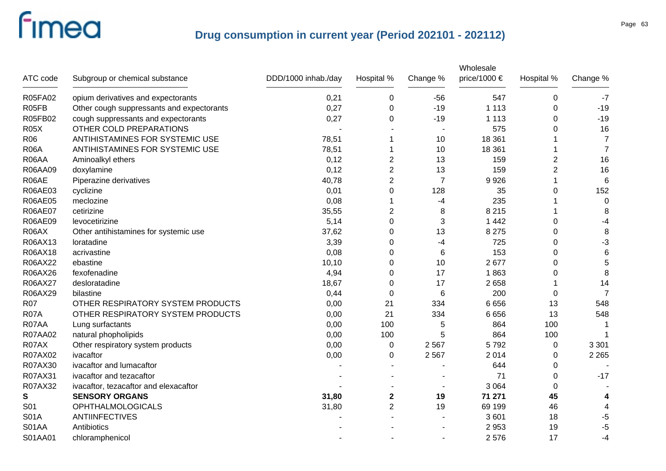|             |                                           |                     |                |                 | Wholesale    |                |                |
|-------------|-------------------------------------------|---------------------|----------------|-----------------|--------------|----------------|----------------|
| ATC code    | Subgroup or chemical substance            | DDD/1000 inhab./day | Hospital %     | Change %        | price/1000 € | Hospital %     | Change %       |
| R05FA02     | opium derivatives and expectorants        | 0,21                | 0              | $-56$           | 547          | 0              | $-7$           |
| R05FB       | Other cough suppressants and expectorants | 0,27                | $\Omega$       | $-19$           | 1 1 1 3      | $\Omega$       | $-19$          |
| R05FB02     | cough suppressants and expectorants       | 0,27                | 0              | $-19$           | 1 1 1 3      | $\Omega$       | $-19$          |
| <b>R05X</b> | OTHER COLD PREPARATIONS                   |                     |                |                 | 575          | 0              | 16             |
| R06         | ANTIHISTAMINES FOR SYSTEMIC USE           | 78,51               | 1              | 10              | 18 3 61      |                | $\overline{7}$ |
| <b>R06A</b> | ANTIHISTAMINES FOR SYSTEMIC USE           | 78,51               |                | 10              | 18 361       |                | $\overline{7}$ |
| R06AA       | Aminoalkyl ethers                         | 0,12                | 2              | 13              | 159          | 2              | 16             |
| R06AA09     | doxylamine                                | 0,12                | 2              | 13              | 159          | $\overline{2}$ | 16             |
| R06AE       | Piperazine derivatives                    | 40,78               | $\overline{2}$ | $\overline{7}$  | 9926         |                | 6              |
| R06AE03     | cyclizine                                 | 0,01                | 0              | 128             | 35           | 0              | 152            |
| R06AE05     | meclozine                                 | 0,08                |                | -4              | 235          |                | 0              |
| R06AE07     | cetirizine                                | 35,55               | $\overline{2}$ | 8               | 8 2 1 5      |                | 8              |
| R06AE09     | levocetirizine                            | 5,14                | 0              | 3               | 1 4 4 2      | 0              | $-4$           |
| R06AX       | Other antihistamines for systemic use     | 37,62               | 0              | 13              | 8 2 7 5      | 0              | 8              |
| R06AX13     | loratadine                                | 3,39                | 0              | -4              | 725          | 0              | $-3$           |
| R06AX18     | acrivastine                               | 0,08                | 0              | 6               | 153          | 0              | $\,6$          |
| R06AX22     | ebastine                                  | 10, 10              | 0              | 10              | 2677         | 0              | $\overline{5}$ |
| R06AX26     | fexofenadine                              | 4,94                | 0              | 17              | 1863         | 0              | 8              |
| R06AX27     | desloratadine                             | 18,67               | 0              | 17              | 2658         |                | 14             |
| R06AX29     | bilastine                                 | 0,44                | $\Omega$       | $6\phantom{1}6$ | 200          | 0              | 7              |
| <b>R07</b>  | OTHER RESPIRATORY SYSTEM PRODUCTS         | 0,00                | 21             | 334             | 6656         | 13             | 548            |
| <b>R07A</b> | OTHER RESPIRATORY SYSTEM PRODUCTS         | 0,00                | 21             | 334             | 6656         | 13             | 548            |
| R07AA       | Lung surfactants                          | 0,00                | 100            | 5               | 864          | 100            |                |
| R07AA02     | natural phopholipids                      | 0,00                | 100            | 5               | 864          | 100            |                |
| R07AX       | Other respiratory system products         | 0,00                | $\mathbf 0$    | 2567            | 5792         | $\mathbf 0$    | 3 3 0 1        |
| R07AX02     | ivacaftor                                 | 0,00                | 0              | 2567            | 2014         | $\Omega$       | 2 2 6 5        |
| R07AX30     | ivacaftor and lumacaftor                  |                     |                |                 | 644          | $\Omega$       |                |
| R07AX31     | ivacaftor and tezacaftor                  |                     |                |                 | 71           | $\Omega$       | $-17$          |
| R07AX32     | ivacaftor, tezacaftor and elexacaftor     |                     |                |                 | 3 0 6 4      | $\Omega$       |                |
| S           | <b>SENSORY ORGANS</b>                     | 31,80               | 2              | 19              | 71 271       | 45             | 4              |
| S01         | <b>OPHTHALMOLOGICALS</b>                  | 31,80               | $\overline{2}$ | 19              | 69 199       | 46             | 4              |
| <b>S01A</b> | <b>ANTIINFECTIVES</b>                     |                     |                |                 | 3601         | 18             | -5             |
| S01AA       | Antibiotics                               |                     |                |                 | 2 9 5 3      | 19             | $-5$           |
| S01AA01     | chloramphenicol                           |                     |                |                 | 2576         | 17             | $-4$           |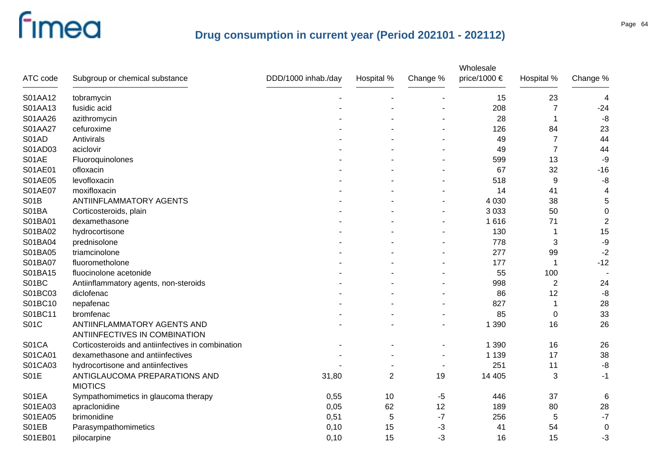| ATC code    | Subgroup or chemical substance                                      | DDD/1000 inhab./day | Hospital %     | Change % | Wholesale<br>price/1000 € | Hospital %     | Change %         |
|-------------|---------------------------------------------------------------------|---------------------|----------------|----------|---------------------------|----------------|------------------|
| S01AA12     | tobramycin                                                          |                     |                |          | 15                        | 23             | 4                |
| S01AA13     | fusidic acid                                                        |                     |                |          | 208                       | $\overline{7}$ | $-24$            |
| S01AA26     | azithromycin                                                        |                     |                |          | 28                        | 1              | $-8$             |
| S01AA27     | cefuroxime                                                          |                     |                |          | 126                       | 84             | 23               |
| S01AD       | Antivirals                                                          |                     |                |          | 49                        | $\overline{7}$ | 44               |
| S01AD03     | aciclovir                                                           |                     |                |          | 49                        | $\overline{7}$ | 44               |
| S01AE       | Fluoroquinolones                                                    |                     |                |          | 599                       | 13             | -9               |
| S01AE01     | ofloxacin                                                           |                     |                |          | 67                        | 32             | $-16$            |
| S01AE05     | levofloxacin                                                        |                     |                |          | 518                       | 9              | -8               |
| S01AE07     | moxifloxacin                                                        |                     |                |          | 14                        | 41             | 4                |
| <b>S01B</b> | ANTIINFLAMMATORY AGENTS                                             |                     |                |          | 4 0 3 0                   | 38             | $\sqrt{5}$       |
| S01BA       | Corticosteroids, plain                                              |                     |                |          | 3 0 3 3                   | 50             | $\pmb{0}$        |
| S01BA01     | dexamethasone                                                       |                     |                |          | 1616                      | 71             | $\sqrt{2}$       |
| S01BA02     | hydrocortisone                                                      |                     |                |          | 130                       |                | 15               |
| S01BA04     | prednisolone                                                        |                     |                |          | 778                       | 3              | -9               |
| S01BA05     | triamcinolone                                                       |                     |                |          | 277                       | 99             | $-2$             |
| S01BA07     | fluorometholone                                                     |                     |                |          | 177                       |                | $-12$            |
| S01BA15     | fluocinolone acetonide                                              |                     |                |          | 55                        | 100            |                  |
| S01BC       | Antiinflammatory agents, non-steroids                               |                     |                |          | 998                       | $\overline{2}$ | 24               |
| S01BC03     | diclofenac                                                          |                     |                |          | 86                        | 12             | $-8$             |
| S01BC10     | nepafenac                                                           |                     |                |          | 827                       |                | 28               |
| S01BC11     | bromfenac                                                           |                     |                |          | 85                        | 0              | 33               |
| <b>S01C</b> | ANTIINFLAMMATORY AGENTS AND<br><b>ANTIINFECTIVES IN COMBINATION</b> |                     |                |          | 1 3 9 0                   | 16             | 26               |
| S01CA       | Corticosteroids and antiinfectives in combination                   |                     |                |          | 1 3 9 0                   | 16             | 26               |
| S01CA01     | dexamethasone and antiinfectives                                    |                     |                |          | 1 1 3 9                   | 17             | 38               |
| S01CA03     | hydrocortisone and antiinfectives                                   |                     |                |          | 251                       | 11             | $-8$             |
| <b>S01E</b> | ANTIGLAUCOMA PREPARATIONS AND<br><b>MIOTICS</b>                     | 31,80               | $\overline{2}$ | 19       | 14 4 05                   | 3              | $-1$             |
| S01EA       | Sympathomimetics in glaucoma therapy                                | 0,55                | 10             | -5       | 446                       | 37             | 6                |
| S01EA03     | apraclonidine                                                       | 0,05                | 62             | 12       | 189                       | 80             | 28               |
| S01EA05     | brimonidine                                                         | 0,51                | 5              | $-7$     | 256                       | 5              | $-7$             |
| S01EB       | Parasympathomimetics                                                | 0,10                | 15             | $-3$     | 41                        | 54             | $\boldsymbol{0}$ |
| S01EB01     | pilocarpine                                                         | 0,10                | 15             | $-3$     | 16                        | 15             | -3               |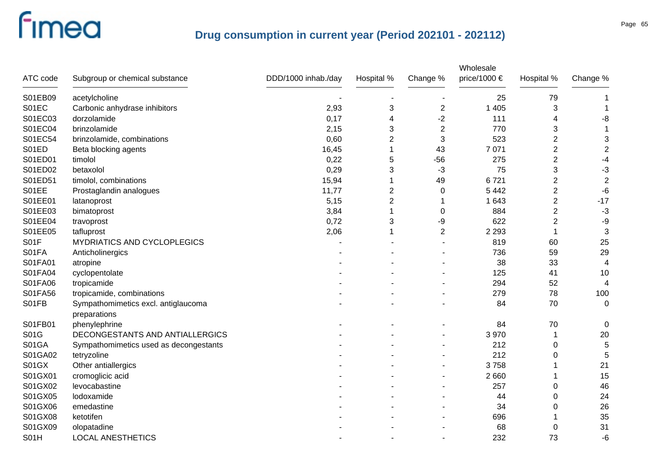| ATC code     | Subgroup or chemical substance                      | DDD/1000 inhab./day | Hospital %     | Change %                | Wholesale<br>price/1000 € | Hospital %     | Change %                |
|--------------|-----------------------------------------------------|---------------------|----------------|-------------------------|---------------------------|----------------|-------------------------|
| S01EB09      | acetylcholine                                       |                     |                |                         | 25                        | 79             |                         |
| S01EC        | Carbonic anhydrase inhibitors                       | 2,93                | 3              | $\overline{\mathbf{c}}$ | 1 4 0 5                   | 3              | 1                       |
| S01EC03      | dorzolamide                                         | 0,17                | 4              | $-2$                    | 111                       | 4              | -8                      |
| S01EC04      | brinzolamide                                        | 2,15                | 3              | $\overline{2}$          | 770                       | 3              |                         |
| S01EC54      | brinzolamide, combinations                          | 0,60                | 2              | 3                       | 523                       | $\overline{2}$ | 3                       |
| S01ED        | Beta blocking agents                                | 16,45               | 1              | 43                      | 7 0 7 1                   | $\overline{2}$ | $\sqrt{2}$              |
| S01ED01      | timolol                                             | 0,22                | 5              | $-56$                   | 275                       | $\overline{2}$ | $-4$                    |
| S01ED02      | betaxolol                                           | 0,29                | 3              | $-3$                    | 75                        | 3              | $-3$                    |
| S01ED51      | timolol, combinations                               | 15,94               | 1              | 49                      | 6721                      | $\overline{c}$ | $\overline{2}$          |
| S01EE        | Prostaglandin analogues                             | 11,77               | 2              | 0                       | 5 4 4 2                   | $\overline{2}$ | $-6$                    |
| S01EE01      | latanoprost                                         | 5,15                | $\overline{2}$ | 1                       | 1 643                     | $\overline{2}$ | $-17$                   |
| S01EE03      | bimatoprost                                         | 3,84                | 1              | $\mathbf 0$             | 884                       | $\overline{2}$ | $-3$                    |
| S01EE04      | travoprost                                          | 0,72                | 3              | -9                      | 622                       | $\overline{2}$ | $-9$                    |
| S01EE05      | tafluprost                                          | 2,06                | 1              | $\overline{2}$          | 2 2 9 3                   | 1              | 3                       |
| S01F         | MYDRIATICS AND CYCLOPLEGICS                         |                     |                |                         | 819                       | 60             | 25                      |
| S01FA        | Anticholinergics                                    |                     |                |                         | 736                       | 59             | 29                      |
| S01FA01      | atropine                                            |                     |                |                         | 38                        | 33             | $\overline{\mathbf{4}}$ |
| S01FA04      | cyclopentolate                                      |                     |                |                         | 125                       | 41             | 10                      |
| S01FA06      | tropicamide                                         |                     |                |                         | 294                       | 52             | 4                       |
| S01FA56      | tropicamide, combinations                           |                     |                |                         | 279                       | 78             | 100                     |
| S01FB        | Sympathomimetics excl. antiglaucoma<br>preparations |                     |                |                         | 84                        | 70             | $\mathbf 0$             |
| S01FB01      | phenylephrine                                       |                     |                |                         | 84                        | 70             | 0                       |
| S01G         | DECONGESTANTS AND ANTIALLERGICS                     |                     |                |                         | 3 9 7 0                   | 1              | 20                      |
| S01GA        | Sympathomimetics used as decongestants              |                     |                |                         | 212                       | 0              | 5                       |
| S01GA02      | tetryzoline                                         |                     |                |                         | 212                       | 0              | 5                       |
| <b>S01GX</b> | Other antiallergics                                 |                     |                |                         | 3758                      |                | 21                      |
| S01GX01      | cromoglicic acid                                    |                     |                |                         | 2 6 6 0                   | 1              | 15                      |
| S01GX02      | levocabastine                                       |                     |                |                         | 257                       | 0              | 46                      |
| S01GX05      | lodoxamide                                          |                     |                |                         | 44                        | 0              | 24                      |
| S01GX06      | emedastine                                          |                     |                |                         | 34                        | 0              | 26                      |
| S01GX08      | ketotifen                                           |                     |                |                         | 696                       |                | 35                      |
| S01GX09      | olopatadine                                         |                     |                |                         | 68                        | 0              | 31                      |
| S01H         | <b>LOCAL ANESTHETICS</b>                            |                     |                |                         | 232                       | 73             | $-6$                    |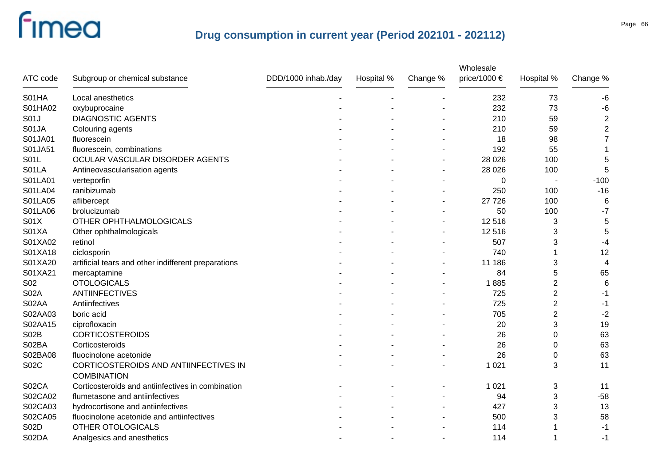|             |                                                     |                     |            |          | Wholesale    |                |                         |
|-------------|-----------------------------------------------------|---------------------|------------|----------|--------------|----------------|-------------------------|
| ATC code    | Subgroup or chemical substance                      | DDD/1000 inhab./day | Hospital % | Change % | price/1000 € | Hospital %     | Change %                |
| S01HA       | Local anesthetics                                   |                     |            |          | 232          | 73             | $-6$                    |
| S01HA02     | oxybuprocaine                                       |                     |            |          | 232          | 73             | $-6$                    |
| S01J        | <b>DIAGNOSTIC AGENTS</b>                            |                     |            |          | 210          | 59             | $\overline{2}$          |
| S01JA       | Colouring agents                                    |                     |            |          | 210          | 59             | $\overline{\mathbf{c}}$ |
| S01JA01     | fluorescein                                         |                     |            |          | 18           | 98             | $\overline{7}$          |
| S01JA51     | fluorescein, combinations                           |                     |            |          | 192          | 55             | 1                       |
| S01L        | OCULAR VASCULAR DISORDER AGENTS                     |                     |            |          | 28 0 26      | 100            | 5                       |
| S01LA       | Antineovascularisation agents                       |                     |            |          | 28 0 26      | 100            | 5                       |
| S01LA01     | verteporfin                                         |                     |            |          | 0            |                | $-100$                  |
| S01LA04     | ranibizumab                                         |                     |            |          | 250          | 100            | $-16$                   |
| S01LA05     | aflibercept                                         |                     |            |          | 27 7 26      | 100            | 6                       |
| S01LA06     | brolucizumab                                        |                     |            |          | 50           | 100            | $-7$                    |
| S01X        | OTHER OPHTHALMOLOGICALS                             |                     |            |          | 12 5 16      | 3              | 5                       |
| S01XA       | Other ophthalmologicals                             |                     |            |          | 12 5 16      | 3              | 5                       |
| S01XA02     | retinol                                             |                     |            |          | 507          | 3              | $-4$                    |
| S01XA18     | ciclosporin                                         |                     |            |          | 740          |                | 12                      |
| S01XA20     | artificial tears and other indifferent preparations |                     |            |          | 11 186       | 3              | 4                       |
| S01XA21     | mercaptamine                                        |                     |            |          | 84           | 5              | 65                      |
| <b>S02</b>  | <b>OTOLOGICALS</b>                                  |                     |            |          | 1885         | $\overline{2}$ | 6                       |
| <b>S02A</b> | <b>ANTIINFECTIVES</b>                               |                     |            |          | 725          | $\overline{2}$ | -1                      |
| S02AA       | Antiinfectives                                      |                     |            |          | 725          | $\overline{2}$ | -1                      |
| S02AA03     | boric acid                                          |                     |            |          | 705          | $\overline{2}$ | $-2$                    |
| S02AA15     | ciprofloxacin                                       |                     |            |          | 20           | 3              | 19                      |
| <b>S02B</b> | <b>CORTICOSTEROIDS</b>                              |                     |            |          | 26           | 0              | 63                      |
| S02BA       | Corticosteroids                                     |                     |            |          | 26           | 0              | 63                      |
| S02BA08     | fluocinolone acetonide                              |                     |            |          | 26           | 0              | 63                      |
| S02C        | CORTICOSTEROIDS AND ANTIINFECTIVES IN               |                     |            |          | 1 0 2 1      | 3              | 11                      |
|             | <b>COMBINATION</b>                                  |                     |            |          |              |                |                         |
| S02CA       | Corticosteroids and antiinfectives in combination   |                     |            |          | 1 0 2 1      | 3              | 11                      |
| S02CA02     | flumetasone and antiinfectives                      |                     |            |          | 94           | 3              | $-58$                   |
| S02CA03     | hydrocortisone and antiinfectives                   |                     |            |          | 427          | 3              | 13                      |
| S02CA05     | fluocinolone acetonide and antiinfectives           |                     |            |          | 500          | 3              | 58                      |
| S02D        | OTHER OTOLOGICALS                                   |                     |            |          | 114          |                | $-1$                    |
| S02DA       | Analgesics and anesthetics                          |                     |            |          | 114          | 1              | $-1$                    |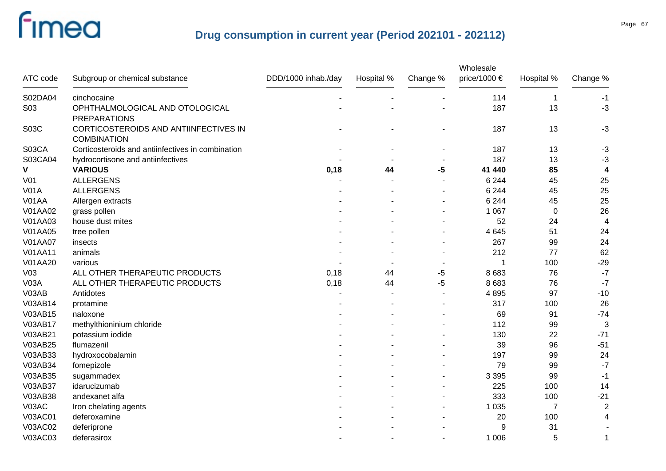| ATC code        | Subgroup or chemical substance                              | DDD/1000 inhab./day | Hospital % | Change % | Wholesale<br>price/1000 € | Hospital %       | Change %                |
|-----------------|-------------------------------------------------------------|---------------------|------------|----------|---------------------------|------------------|-------------------------|
| S02DA04         | cinchocaine                                                 |                     |            |          | 114                       | $\overline{1}$   | $-1$                    |
| S03             | OPHTHALMOLOGICAL AND OTOLOGICAL<br><b>PREPARATIONS</b>      |                     |            |          | 187                       | 13               | $-3$                    |
| S03C            | CORTICOSTEROIDS AND ANTIINFECTIVES IN<br><b>COMBINATION</b> |                     |            |          | 187                       | 13               | $-3$                    |
| S03CA           | Corticosteroids and antiinfectives in combination           |                     |            |          | 187                       | 13               | $-3$                    |
| S03CA04         | hydrocortisone and antiinfectives                           |                     |            |          | 187                       | 13               | $-3$                    |
| V               | <b>VARIOUS</b>                                              | 0,18                | 44         | $-5$     | 41 440                    | 85               | $\overline{\mathbf{4}}$ |
| V <sub>01</sub> | <b>ALLERGENS</b>                                            |                     |            |          | 6 2 4 4                   | 45               | 25                      |
| <b>V01A</b>     | <b>ALLERGENS</b>                                            |                     |            |          | 6 2 4 4                   | 45               | 25                      |
| V01AA           | Allergen extracts                                           |                     |            |          | 6 2 4 4                   | 45               | 25                      |
| V01AA02         | grass pollen                                                |                     |            |          | 1 0 6 7                   | $\boldsymbol{0}$ | 26                      |
| V01AA03         | house dust mites                                            |                     |            |          | 52                        | 24               | 4                       |
| <b>V01AA05</b>  | tree pollen                                                 |                     |            |          | 4 6 4 5                   | 51               | 24                      |
| <b>V01AA07</b>  | insects                                                     |                     |            |          | 267                       | 99               | 24                      |
| V01AA11         | animals                                                     |                     |            |          | 212                       | 77               | 62                      |
| V01AA20         | various                                                     |                     |            |          |                           | 100              | $-29$                   |
| V <sub>03</sub> | ALL OTHER THERAPEUTIC PRODUCTS                              | 0,18                | 44         | -5       | 8 6 8 3                   | 76               | $-7$                    |
| <b>V03A</b>     | ALL OTHER THERAPEUTIC PRODUCTS                              | 0,18                | 44         | $-5$     | 8 6 8 3                   | 76               | $-7$                    |
| V03AB           | Antidotes                                                   |                     |            |          | 4895                      | 97               | $-10$                   |
| V03AB14         | protamine                                                   |                     |            |          | 317                       | 100              | 26                      |
| V03AB15         | naloxone                                                    |                     |            |          | 69                        | 91               | $-74$                   |
| V03AB17         | methylthioninium chloride                                   |                     |            |          | 112                       | 99               | $\sqrt{3}$              |
| V03AB21         | potassium iodide                                            |                     |            |          | 130                       | 22               | $-71$                   |
| V03AB25         | flumazenil                                                  |                     |            |          | 39                        | 96               | $-51$                   |
| V03AB33         | hydroxocobalamin                                            |                     |            |          | 197                       | 99               | 24                      |
| V03AB34         | fomepizole                                                  |                     |            |          | 79                        | 99               | $-7$                    |
| V03AB35         | sugammadex                                                  |                     |            |          | 3 3 9 5                   | 99               | $-1$                    |
| V03AB37         | idarucizumab                                                |                     |            |          | 225                       | 100              | 14                      |
| V03AB38         | andexanet alfa                                              |                     |            |          | 333                       | 100              | $-21$                   |
| V03AC           | Iron chelating agents                                       |                     |            |          | 1 0 3 5                   | $\overline{7}$   | $\sqrt{2}$              |
| V03AC01         | deferoxamine                                                |                     |            |          | 20                        | 100              | $\overline{4}$          |
| V03AC02         | deferiprone                                                 |                     |            |          | 9                         | 31               |                         |
| V03AC03         | deferasirox                                                 |                     |            |          | 1 0 0 6                   | 5                | 1                       |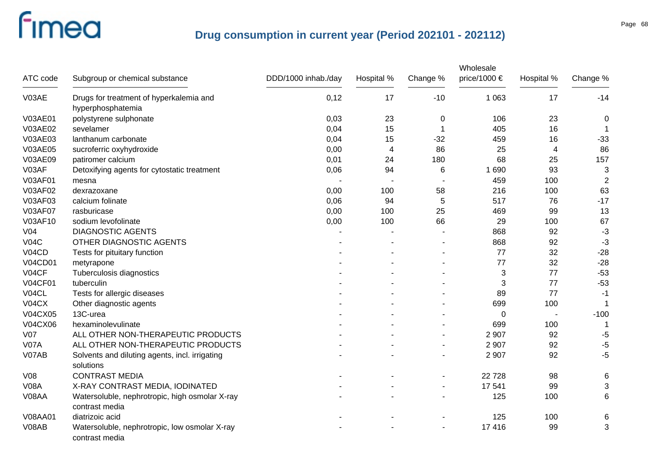|                 |                                                                  |                     |            |                | Wholesale    |                |                |
|-----------------|------------------------------------------------------------------|---------------------|------------|----------------|--------------|----------------|----------------|
| ATC code        | Subgroup or chemical substance                                   | DDD/1000 inhab./day | Hospital % | Change %       | price/1000 € | Hospital %     | Change %       |
| V03AE           | Drugs for treatment of hyperkalemia and<br>hyperphosphatemia     | 0,12                | 17         | $-10$          | 1 0 6 3      | 17             | $-14$          |
| V03AE01         | polystyrene sulphonate                                           | 0,03                | 23         | 0              | 106          | 23             | $\mathbf 0$    |
| V03AE02         | sevelamer                                                        | 0,04                | 15         | 1              | 405          | 16             | -1             |
| V03AE03         | lanthanum carbonate                                              | 0,04                | 15         | $-32$          | 459          | 16             | $-33$          |
| V03AE05         | sucroferric oxyhydroxide                                         | 0,00                | 4          | 86             | 25           | $\overline{4}$ | 86             |
| V03AE09         | patiromer calcium                                                | 0,01                | 24         | 180            | 68           | 25             | 157            |
| V03AF           | Detoxifying agents for cytostatic treatment                      | 0,06                | 94         | 6              | 1690         | 93             | 3              |
| V03AF01         | mesna                                                            |                     |            |                | 459          | 100            | $\overline{2}$ |
| V03AF02         | dexrazoxane                                                      | 0,00                | 100        | 58             | 216          | 100            | 63             |
| V03AF03         | calcium folinate                                                 | 0,06                | 94         | 5              | 517          | 76             | $-17$          |
| <b>V03AF07</b>  | rasburicase                                                      | 0,00                | 100        | 25             | 469          | 99             | 13             |
| V03AF10         | sodium levofolinate                                              | 0,00                | 100        | 66             | 29           | 100            | 67             |
| V <sub>04</sub> | <b>DIAGNOSTIC AGENTS</b>                                         |                     |            |                | 868          | 92             | $-3$           |
| VO4C            | OTHER DIAGNOSTIC AGENTS                                          |                     |            |                | 868          | 92             | $-3$           |
| V04CD           | Tests for pituitary function                                     |                     |            |                | 77           | 32             | $-28$          |
| <b>V04CD01</b>  | metyrapone                                                       |                     |            |                | 77           | 32             | $-28$          |
| V04CF           | Tuberculosis diagnostics                                         |                     |            |                | 3            | 77             | $-53$          |
| <b>V04CF01</b>  | tuberculin                                                       |                     |            |                | 3            | 77             | $-53$          |
| V04CL           | Tests for allergic diseases                                      |                     |            |                | 89           | 77             | $-1$           |
| <b>V04CX</b>    | Other diagnostic agents                                          |                     |            |                | 699          | 100            |                |
| <b>V04CX05</b>  | 13C-urea                                                         |                     |            |                | 0            |                | $-100$         |
| V04CX06         | hexaminolevulinate                                               |                     |            |                | 699          | 100            | 1              |
| V <sub>07</sub> | ALL OTHER NON-THERAPEUTIC PRODUCTS                               |                     |            |                | 2 9 0 7      | 92             | $-5$           |
| <b>V07A</b>     | ALL OTHER NON-THERAPEUTIC PRODUCTS                               |                     |            |                | 2 9 0 7      | 92             | $-5$           |
| V07AB           | Solvents and diluting agents, incl. irrigating<br>solutions      |                     |            | L,             | 2 9 0 7      | 92             | $-5$           |
| <b>V08</b>      | <b>CONTRAST MEDIA</b>                                            |                     |            |                | 22728        | 98             | 6              |
| <b>V08A</b>     | X-RAY CONTRAST MEDIA, IODINATED                                  |                     |            | $\blacksquare$ | 17 541       | 99             | 3              |
| V08AA           | Watersoluble, nephrotropic, high osmolar X-ray<br>contrast media |                     |            |                | 125          | 100            | 6              |
| <b>V08AA01</b>  | diatrizoic acid                                                  |                     |            |                | 125          | 100            | 6              |
| V08AB           | Watersoluble, nephrotropic, low osmolar X-ray<br>contrast media  |                     |            |                | 17 416       | 99             | 3              |